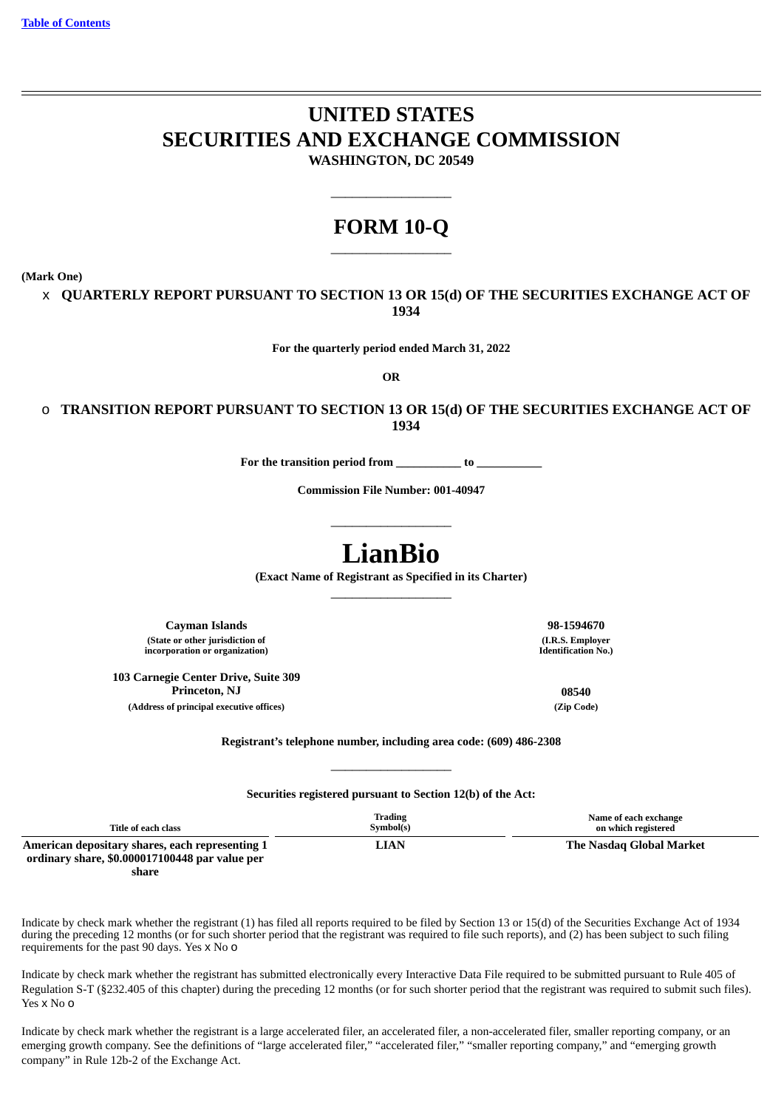# **UNITED STATES SECURITIES AND EXCHANGE COMMISSION WASHINGTON, DC 20549**

**FORM 10-Q** \_\_\_\_\_\_\_\_\_\_\_\_\_\_\_\_\_

\_\_\_\_\_\_\_\_\_\_\_\_\_\_\_\_\_

**(Mark One)**

x **QUARTERLY REPORT PURSUANT TO SECTION 13 OR 15(d) OF THE SECURITIES EXCHANGE ACT OF 1934**

**For the quarterly period ended March 31, 2022**

**OR**

o **TRANSITION REPORT PURSUANT TO SECTION 13 OR 15(d) OF THE SECURITIES EXCHANGE ACT OF 1934**

**For the transition period from \_\_\_\_\_\_\_\_\_\_\_ to \_\_\_\_\_\_\_\_\_\_\_**

**Commission File Number: 001-40947**

\_\_\_\_\_\_\_\_\_\_\_\_\_\_\_\_\_

# **LianBio**

**(Exact Name of Registrant as Specified in its Charter)** \_\_\_\_\_\_\_\_\_\_\_\_\_\_\_\_\_

**Cayman Islands 98-1594670 (State or other jurisdiction of incorporation or organization)**

**103 Carnegie Center Drive, Suite 309**

**Princeton, NJ 08540**

**(I.R.S. Employer**

**Registrant's telephone number, including area code: (609) 486-2308** \_\_\_\_\_\_\_\_\_\_\_\_\_\_\_\_\_

**Securities registered pursuant to Section 12(b) of the Act:**

| Title of each class                                                                               | Trading<br>Symbol(s) | Name of each exchange<br>on which registered |
|---------------------------------------------------------------------------------------------------|----------------------|----------------------------------------------|
| American depositary shares, each representing 1<br>ordinary share, \$0.000017100448 par value per | <b>LIAN</b>          | The Nasdag Global Market                     |

**share**

Indicate by check mark whether the registrant (1) has filed all reports required to be filed by Section 13 or 15(d) of the Securities Exchange Act of 1934 during the preceding 12 months (or for such shorter period that the registrant was required to file such reports), and (2) has been subject to such filing requirements for the past 90 days. Yes x No o

Indicate by check mark whether the registrant has submitted electronically every Interactive Data File required to be submitted pursuant to Rule 405 of Regulation S-T (§232.405 of this chapter) during the preceding 12 months (or for such shorter period that the registrant was required to submit such files). Yes x No o

Indicate by check mark whether the registrant is a large accelerated filer, an accelerated filer, a non-accelerated filer, smaller reporting company, or an emerging growth company. See the definitions of "large accelerated filer," "accelerated filer," "smaller reporting company," and "emerging growth company" in Rule 12b-2 of the Exchange Act.

**Identification No.)**

**(Address of principal executive offices) (Zip Code)**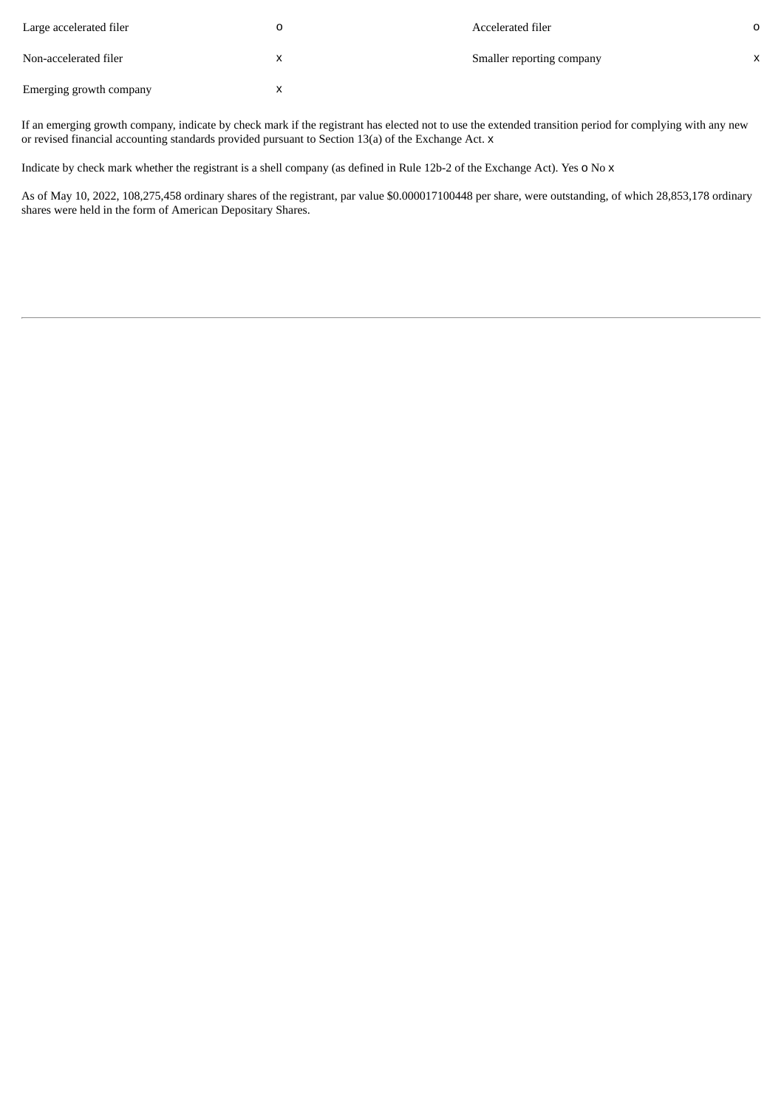| Large accelerated filer |   | Accelerated filer         | 0 |
|-------------------------|---|---------------------------|---|
| Non-accelerated filer   |   | Smaller reporting company | X |
| Emerging growth company | х |                           |   |

If an emerging growth company, indicate by check mark if the registrant has elected not to use the extended transition period for complying with any new or revised financial accounting standards provided pursuant to Section 13(a) of the Exchange Act. x

Indicate by check mark whether the registrant is a shell company (as defined in Rule 12b-2 of the Exchange Act). Yes o No x

<span id="page-1-0"></span>As of May 10, 2022, 108,275,458 ordinary shares of the registrant, par value \$0.000017100448 per share, were outstanding, of which 28,853,178 ordinary shares were held in the form of American Depositary Shares.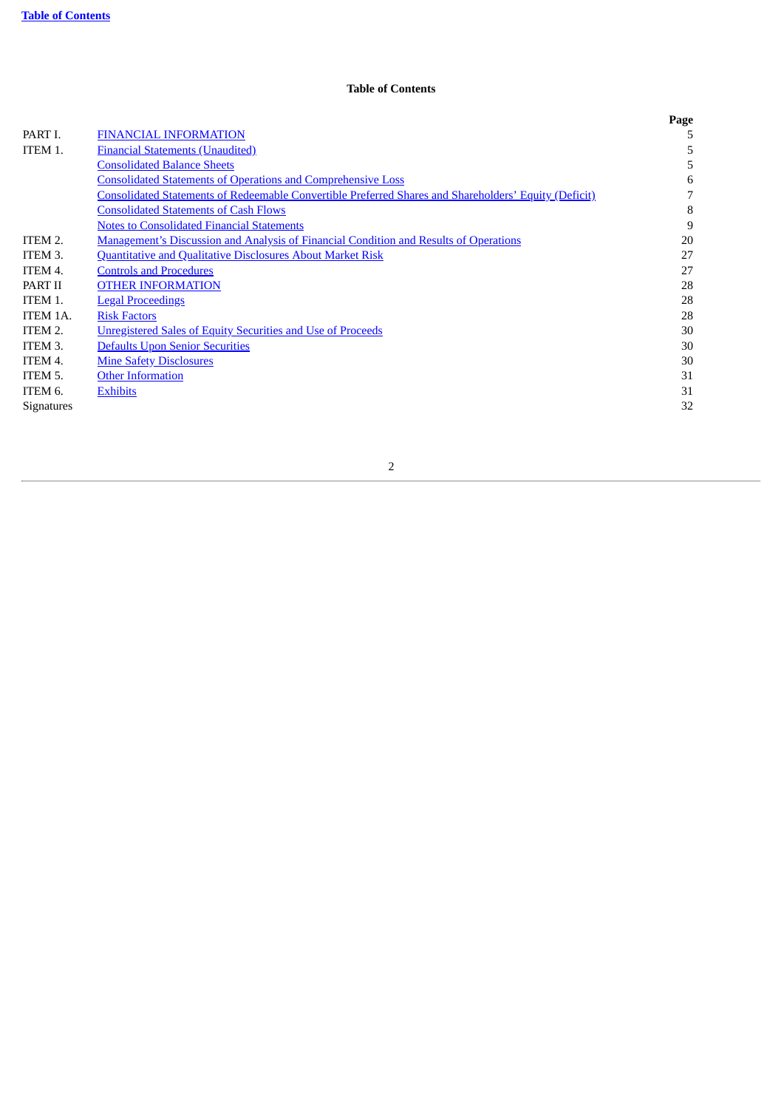# **Table of Contents**

|                   |                                                                                                              | Page |
|-------------------|--------------------------------------------------------------------------------------------------------------|------|
| PART I.           | <b>FINANCIAL INFORMATION</b>                                                                                 | 5    |
| ITEM 1.           | <b>Financial Statements (Unaudited)</b>                                                                      | 5    |
|                   | <b>Consolidated Balance Sheets</b>                                                                           | 5    |
|                   | <b>Consolidated Statements of Operations and Comprehensive Loss</b>                                          | 6    |
|                   | <b>Consolidated Statements of Redeemable Convertible Preferred Shares and Shareholders' Equity (Deficit)</b> | 7    |
|                   | <b>Consolidated Statements of Cash Flows</b>                                                                 | 8    |
|                   | <b>Notes to Consolidated Financial Statements</b>                                                            | 9    |
| ITEM 2.           | Management's Discussion and Analysis of Financial Condition and Results of Operations                        | 20   |
| ITEM 3.           | <b>Quantitative and Qualitative Disclosures About Market Risk</b>                                            | 27   |
| ITEM 4.           | <b>Controls and Procedures</b>                                                                               | 27   |
| PART II           | <b>OTHER INFORMATION</b>                                                                                     | 28   |
| ITEM 1.           | <b>Legal Proceedings</b>                                                                                     | 28   |
| ITEM 1A.          | <b>Risk Factors</b>                                                                                          | 28   |
| ITEM 2.           | Unregistered Sales of Equity Securities and Use of Proceeds                                                  | 30   |
| ITEM 3.           | <b>Defaults Upon Senior Securities</b>                                                                       | 30   |
| ITEM 4.           | <b>Mine Safety Disclosures</b>                                                                               | 30   |
| ITEM 5.           | <b>Other Information</b>                                                                                     | 31   |
| ITEM 6.           | <b>Exhibits</b>                                                                                              | 31   |
| <b>Signatures</b> |                                                                                                              | 32   |
|                   |                                                                                                              |      |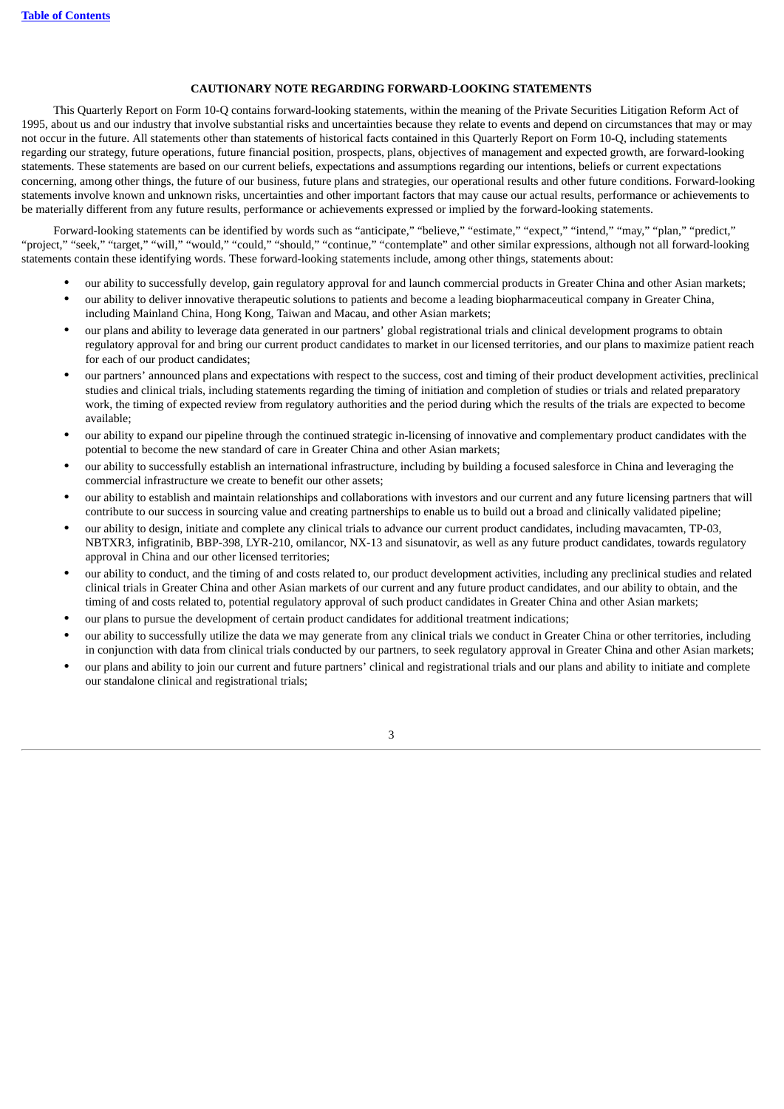## **CAUTIONARY NOTE REGARDING FORWARD-LOOKING STATEMENTS**

This Quarterly Report on Form 10-Q contains forward-looking statements, within the meaning of the Private Securities Litigation Reform Act of 1995, about us and our industry that involve substantial risks and uncertainties because they relate to events and depend on circumstances that may or may not occur in the future. All statements other than statements of historical facts contained in this Quarterly Report on Form 10-Q, including statements regarding our strategy, future operations, future financial position, prospects, plans, objectives of management and expected growth, are forward-looking statements. These statements are based on our current beliefs, expectations and assumptions regarding our intentions, beliefs or current expectations concerning, among other things, the future of our business, future plans and strategies, our operational results and other future conditions. Forward-looking statements involve known and unknown risks, uncertainties and other important factors that may cause our actual results, performance or achievements to be materially different from any future results, performance or achievements expressed or implied by the forward-looking statements.

Forward-looking statements can be identified by words such as "anticipate," "believe," "estimate," "expect," "intend," "may," "plan," "predict," "project," "seek," "target," "will," "would," "could," "should," "continue," "contemplate" and other similar expressions, although not all forward-looking statements contain these identifying words. These forward-looking statements include, among other things, statements about:

- our ability to successfully develop, gain regulatory approval for and launch commercial products in Greater China and other Asian markets;
- our ability to deliver innovative therapeutic solutions to patients and become a leading biopharmaceutical company in Greater China, including Mainland China, Hong Kong, Taiwan and Macau, and other Asian markets;
- our plans and ability to leverage data generated in our partners' global registrational trials and clinical development programs to obtain regulatory approval for and bring our current product candidates to market in our licensed territories, and our plans to maximize patient reach for each of our product candidates;
- our partners' announced plans and expectations with respect to the success, cost and timing of their product development activities, preclinical studies and clinical trials, including statements regarding the timing of initiation and completion of studies or trials and related preparatory work, the timing of expected review from regulatory authorities and the period during which the results of the trials are expected to become available;
- our ability to expand our pipeline through the continued strategic in-licensing of innovative and complementary product candidates with the potential to become the new standard of care in Greater China and other Asian markets;
- our ability to successfully establish an international infrastructure, including by building a focused salesforce in China and leveraging the commercial infrastructure we create to benefit our other assets;
- our ability to establish and maintain relationships and collaborations with investors and our current and any future licensing partners that will contribute to our success in sourcing value and creating partnerships to enable us to build out a broad and clinically validated pipeline;
- our ability to design, initiate and complete any clinical trials to advance our current product candidates, including mavacamten, TP-03, NBTXR3, infigratinib, BBP-398, LYR-210, omilancor, NX-13 and sisunatovir, as well as any future product candidates, towards regulatory approval in China and our other licensed territories;
- our ability to conduct, and the timing of and costs related to, our product development activities, including any preclinical studies and related clinical trials in Greater China and other Asian markets of our current and any future product candidates, and our ability to obtain, and the timing of and costs related to, potential regulatory approval of such product candidates in Greater China and other Asian markets;
- our plans to pursue the development of certain product candidates for additional treatment indications;
- our ability to successfully utilize the data we may generate from any clinical trials we conduct in Greater China or other territories, including in conjunction with data from clinical trials conducted by our partners, to seek regulatory approval in Greater China and other Asian markets;
- our plans and ability to join our current and future partners' clinical and registrational trials and our plans and ability to initiate and complete our standalone clinical and registrational trials;

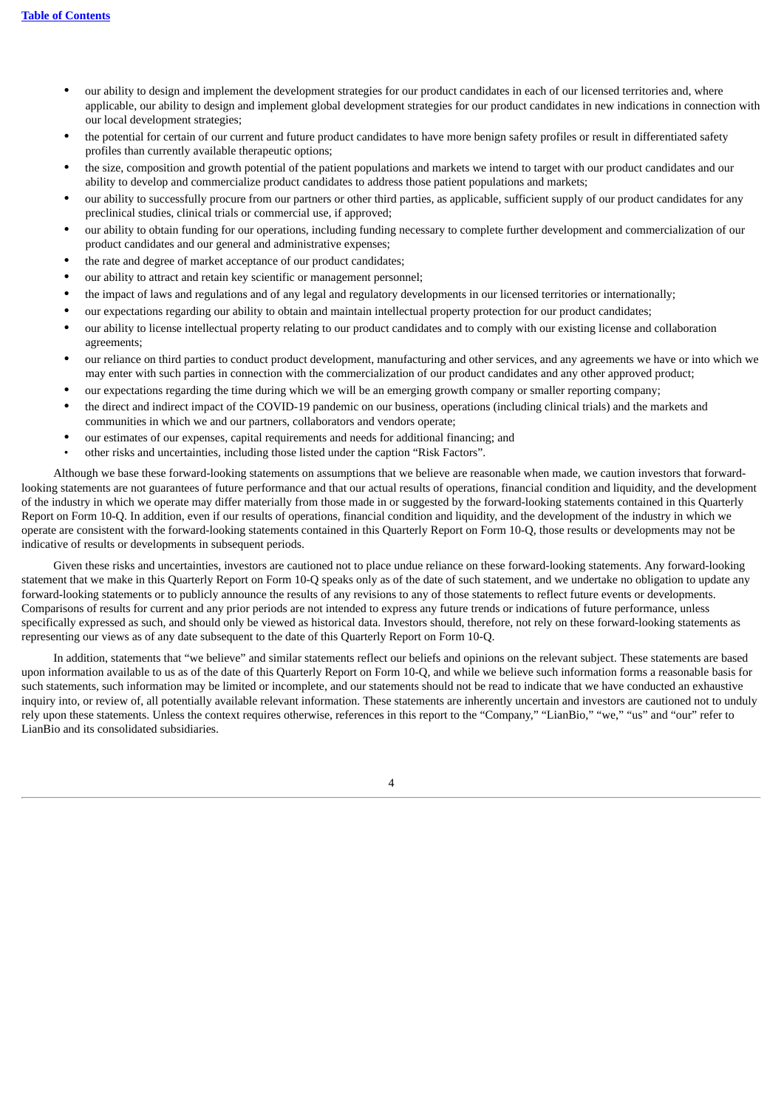- our ability to design and implement the development strategies for our product candidates in each of our licensed territories and, where applicable, our ability to design and implement global development strategies for our product candidates in new indications in connection with our local development strategies;
- the potential for certain of our current and future product candidates to have more benign safety profiles or result in differentiated safety profiles than currently available therapeutic options;
- the size, composition and growth potential of the patient populations and markets we intend to target with our product candidates and our ability to develop and commercialize product candidates to address those patient populations and markets;
- our ability to successfully procure from our partners or other third parties, as applicable, sufficient supply of our product candidates for any preclinical studies, clinical trials or commercial use, if approved;
- our ability to obtain funding for our operations, including funding necessary to complete further development and commercialization of our product candidates and our general and administrative expenses;
- the rate and degree of market acceptance of our product candidates;
- our ability to attract and retain key scientific or management personnel;
- the impact of laws and regulations and of any legal and regulatory developments in our licensed territories or internationally;
- our expectations regarding our ability to obtain and maintain intellectual property protection for our product candidates;
- our ability to license intellectual property relating to our product candidates and to comply with our existing license and collaboration agreements;
- our reliance on third parties to conduct product development, manufacturing and other services, and any agreements we have or into which we may enter with such parties in connection with the commercialization of our product candidates and any other approved product;
- our expectations regarding the time during which we will be an emerging growth company or smaller reporting company;
- the direct and indirect impact of the COVID-19 pandemic on our business, operations (including clinical trials) and the markets and communities in which we and our partners, collaborators and vendors operate;
- our estimates of our expenses, capital requirements and needs for additional financing; and
- other risks and uncertainties, including those listed under the caption "Risk Factors".

Although we base these forward-looking statements on assumptions that we believe are reasonable when made, we caution investors that forwardlooking statements are not guarantees of future performance and that our actual results of operations, financial condition and liquidity, and the development of the industry in which we operate may differ materially from those made in or suggested by the forward-looking statements contained in this Quarterly Report on Form 10-Q. In addition, even if our results of operations, financial condition and liquidity, and the development of the industry in which we operate are consistent with the forward-looking statements contained in this Quarterly Report on Form 10-Q, those results or developments may not be indicative of results or developments in subsequent periods.

Given these risks and uncertainties, investors are cautioned not to place undue reliance on these forward-looking statements. Any forward-looking statement that we make in this Quarterly Report on Form 10-Q speaks only as of the date of such statement, and we undertake no obligation to update any forward-looking statements or to publicly announce the results of any revisions to any of those statements to reflect future events or developments. Comparisons of results for current and any prior periods are not intended to express any future trends or indications of future performance, unless specifically expressed as such, and should only be viewed as historical data. Investors should, therefore, not rely on these forward-looking statements as representing our views as of any date subsequent to the date of this Quarterly Report on Form 10-Q.

<span id="page-4-0"></span>In addition, statements that "we believe" and similar statements reflect our beliefs and opinions on the relevant subject. These statements are based upon information available to us as of the date of this Quarterly Report on Form 10-Q, and while we believe such information forms a reasonable basis for such statements, such information may be limited or incomplete, and our statements should not be read to indicate that we have conducted an exhaustive inquiry into, or review of, all potentially available relevant information. These statements are inherently uncertain and investors are cautioned not to unduly rely upon these statements. Unless the context requires otherwise, references in this report to the "Company," "LianBio," "we," "us" and "our" refer to LianBio and its consolidated subsidiaries.

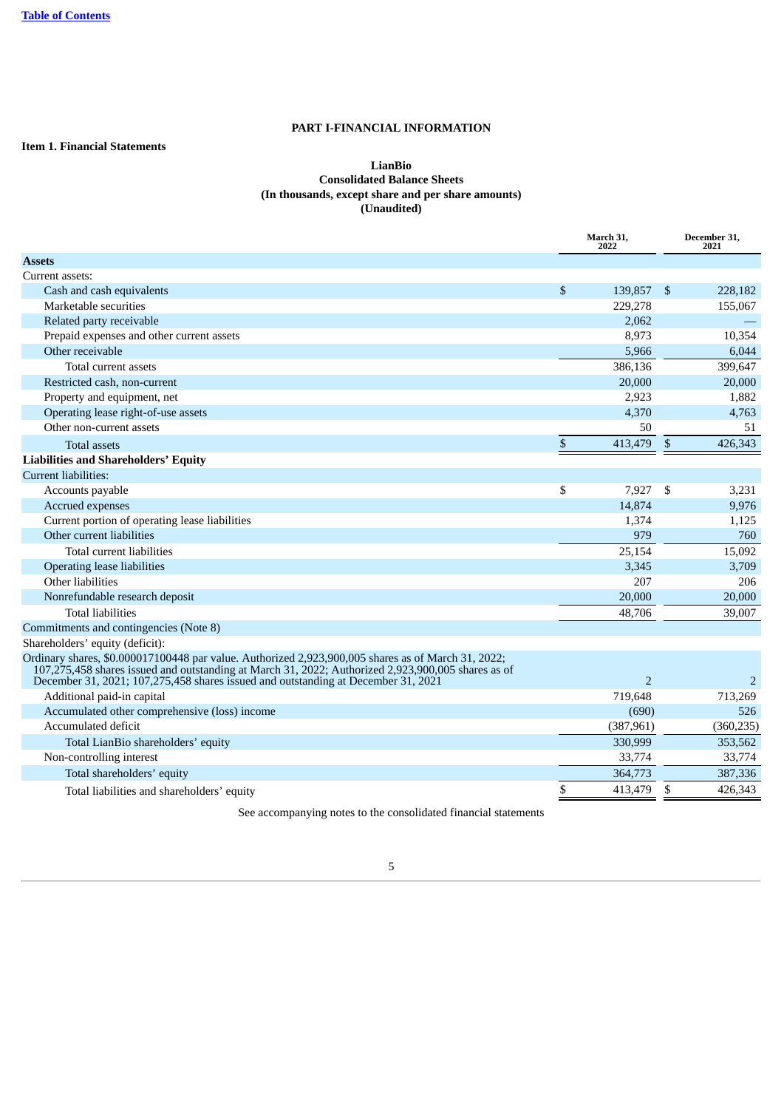# **PART I-FINANCIAL INFORMATION**

# <span id="page-5-0"></span>**Item 1. Financial Statements**

# **LianBio Consolidated Balance Sheets (In thousands, except share and per share amounts) (Unaudited)**

|                                                                                                                                                                                                                                                                                                 |                | March 31,<br>2022 |     | December 31,<br>2021 |
|-------------------------------------------------------------------------------------------------------------------------------------------------------------------------------------------------------------------------------------------------------------------------------------------------|----------------|-------------------|-----|----------------------|
| <b>Assets</b>                                                                                                                                                                                                                                                                                   |                |                   |     |                      |
| Current assets:                                                                                                                                                                                                                                                                                 |                |                   |     |                      |
| Cash and cash equivalents                                                                                                                                                                                                                                                                       | $\mathbb{S}$   | 139,857           | -S  | 228,182              |
| Marketable securities                                                                                                                                                                                                                                                                           |                | 229,278           |     | 155,067              |
| Related party receivable                                                                                                                                                                                                                                                                        |                | 2,062             |     |                      |
| Prepaid expenses and other current assets                                                                                                                                                                                                                                                       |                | 8,973             |     | 10,354               |
| Other receivable                                                                                                                                                                                                                                                                                |                | 5,966             |     | 6,044                |
| Total current assets                                                                                                                                                                                                                                                                            |                | 386,136           |     | 399,647              |
| Restricted cash, non-current                                                                                                                                                                                                                                                                    |                | 20,000            |     | 20,000               |
| Property and equipment, net                                                                                                                                                                                                                                                                     |                | 2,923             |     | 1,882                |
| Operating lease right-of-use assets                                                                                                                                                                                                                                                             |                | 4,370             |     | 4,763                |
| Other non-current assets                                                                                                                                                                                                                                                                        |                | 50                |     | 51                   |
| <b>Total assets</b>                                                                                                                                                                                                                                                                             | $\mathfrak{s}$ | 413,479           | \$  | 426,343              |
| <b>Liabilities and Shareholders' Equity</b>                                                                                                                                                                                                                                                     |                |                   |     |                      |
| <b>Current liabilities:</b>                                                                                                                                                                                                                                                                     |                |                   |     |                      |
| Accounts payable                                                                                                                                                                                                                                                                                | \$             | 7,927             | -\$ | 3,231                |
| Accrued expenses                                                                                                                                                                                                                                                                                |                | 14,874            |     | 9,976                |
| Current portion of operating lease liabilities                                                                                                                                                                                                                                                  |                | 1,374             |     | 1,125                |
| Other current liabilities                                                                                                                                                                                                                                                                       |                | 979               |     | 760                  |
| Total current liabilities                                                                                                                                                                                                                                                                       |                | 25,154            |     | 15,092               |
| <b>Operating lease liabilities</b>                                                                                                                                                                                                                                                              |                | 3,345             |     | 3,709                |
| Other liabilities                                                                                                                                                                                                                                                                               |                | 207               |     | 206                  |
| Nonrefundable research deposit                                                                                                                                                                                                                                                                  |                | 20,000            |     | 20,000               |
| <b>Total liabilities</b>                                                                                                                                                                                                                                                                        |                | 48,706            |     | 39,007               |
| Commitments and contingencies (Note 8)                                                                                                                                                                                                                                                          |                |                   |     |                      |
| Shareholders' equity (deficit):                                                                                                                                                                                                                                                                 |                |                   |     |                      |
| Ordinary shares, \$0.000017100448 par value. Authorized 2,923,900,005 shares as of March 31, 2022;<br>107,275,458 shares issued and outstanding at March 31, 2022; Authorized 2,923,900,005 shares as of<br>December 31, 2021; 107, 275, 458 shares issued and outstanding at December 31, 2021 |                | $\overline{2}$    |     |                      |
| Additional paid-in capital                                                                                                                                                                                                                                                                      |                | 719,648           |     | 713,269              |
| Accumulated other comprehensive (loss) income                                                                                                                                                                                                                                                   |                | (690)             |     | 526                  |
| Accumulated deficit                                                                                                                                                                                                                                                                             |                | (387, 961)        |     | (360, 235)           |
| Total LianBio shareholders' equity                                                                                                                                                                                                                                                              |                | 330,999           |     | 353,562              |
| Non-controlling interest                                                                                                                                                                                                                                                                        |                | 33,774            |     | 33,774               |
| Total shareholders' equity                                                                                                                                                                                                                                                                      |                | 364,773           |     | 387,336              |
| Total liabilities and shareholders' equity                                                                                                                                                                                                                                                      | \$             | 413,479           | \$  | 426,343              |
|                                                                                                                                                                                                                                                                                                 |                |                   |     |                      |

<span id="page-5-1"></span>See accompanying notes to the consolidated financial statements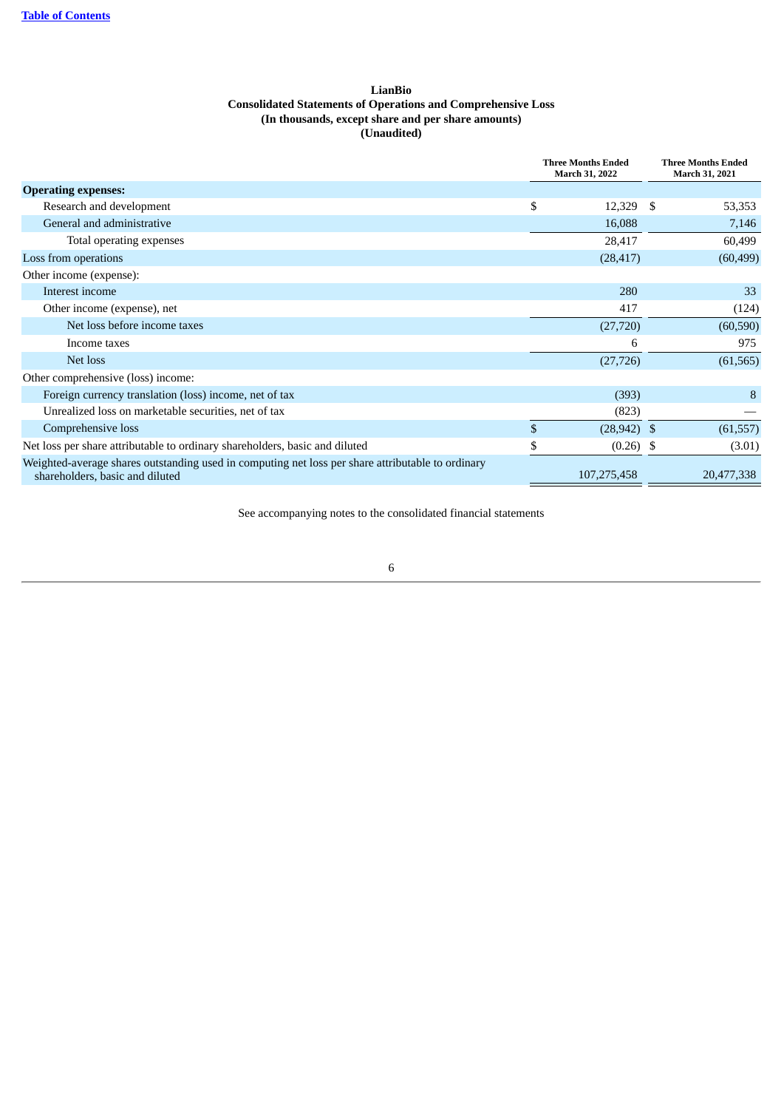# **LianBio Consolidated Statements of Operations and Comprehensive Loss (In thousands, except share and per share amounts) (Unaudited)**

|                                                                                                                                      |    | <b>Three Months Ended</b><br>March 31, 2022 |     | <b>Three Months Ended</b><br>March 31, 2021 |
|--------------------------------------------------------------------------------------------------------------------------------------|----|---------------------------------------------|-----|---------------------------------------------|
| <b>Operating expenses:</b>                                                                                                           |    |                                             |     |                                             |
| Research and development                                                                                                             | \$ | 12,329                                      | -\$ | 53,353                                      |
| General and administrative                                                                                                           |    | 16,088                                      |     | 7,146                                       |
| Total operating expenses                                                                                                             |    | 28,417                                      |     | 60,499                                      |
| Loss from operations                                                                                                                 |    | (28, 417)                                   |     | (60, 499)                                   |
| Other income (expense):                                                                                                              |    |                                             |     |                                             |
| Interest income                                                                                                                      |    | 280                                         |     | 33                                          |
| Other income (expense), net                                                                                                          |    | 417                                         |     | (124)                                       |
| Net loss before income taxes                                                                                                         |    | (27, 720)                                   |     | (60, 590)                                   |
| Income taxes                                                                                                                         |    | 6                                           |     | 975                                         |
| Net loss                                                                                                                             |    | (27, 726)                                   |     | (61, 565)                                   |
| Other comprehensive (loss) income:                                                                                                   |    |                                             |     |                                             |
| Foreign currency translation (loss) income, net of tax                                                                               |    | (393)                                       |     | 8                                           |
| Unrealized loss on marketable securities, net of tax                                                                                 |    | (823)                                       |     |                                             |
| Comprehensive loss                                                                                                                   |    | $(28, 942)$ \$                              |     | (61, 557)                                   |
| Net loss per share attributable to ordinary shareholders, basic and diluted                                                          | S  | $(0.26)$ \$                                 |     | (3.01)                                      |
| Weighted-average shares outstanding used in computing net loss per share attributable to ordinary<br>shareholders, basic and diluted |    | 107,275,458                                 |     | 20,477,338                                  |

<span id="page-6-0"></span>See accompanying notes to the consolidated financial statements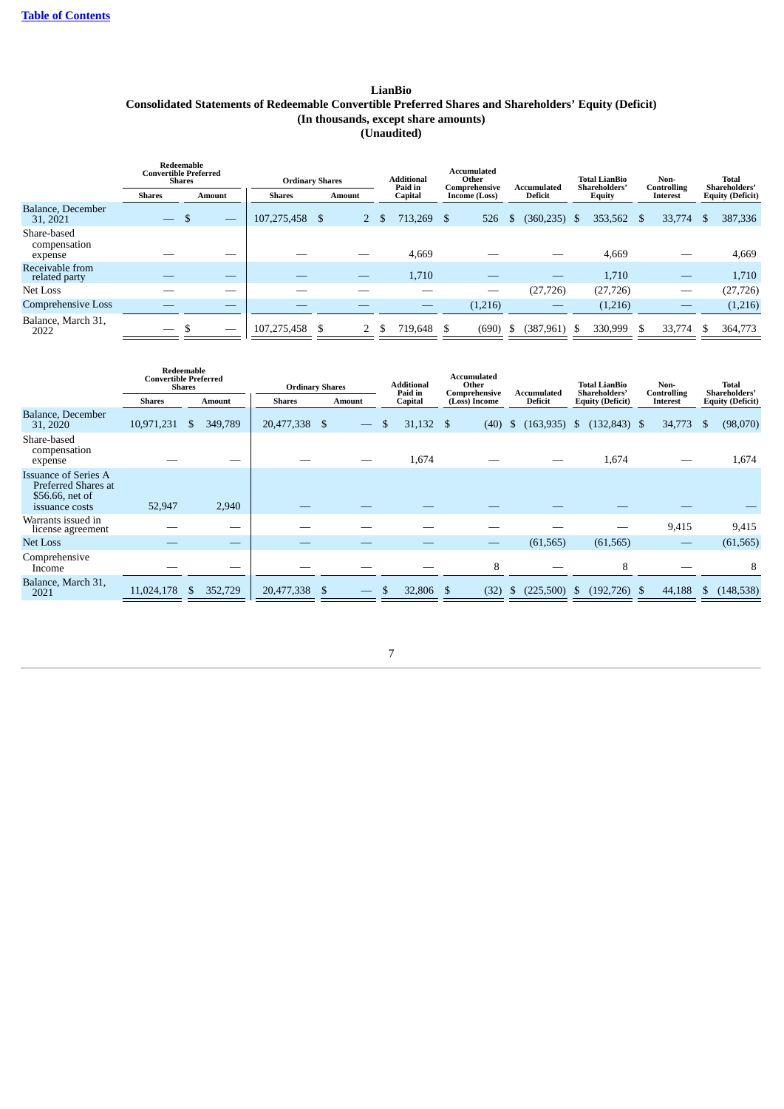# **LianBio Consolidated Statements of Redeemable Convertible Preferred Shares and Shareholders' Equity (Deficit) (In thousands, except share amounts) (Unaudited)**

|                                        | Redeemable<br><b>Convertible Preferred</b><br><b>Shares</b> |        | <b>Ordinary Shares</b> |        |                | <b>Additional</b><br>Paid in | Accumulated<br>Other<br>Comprehensive |               | Accumulated     | Total LianBio<br>Shareholders' | Non-<br>Controlling |    | <b>Total</b><br>Shareholders' |
|----------------------------------------|-------------------------------------------------------------|--------|------------------------|--------|----------------|------------------------------|---------------------------------------|---------------|-----------------|--------------------------------|---------------------|----|-------------------------------|
|                                        | <b>Shares</b>                                               | Amount | <b>Shares</b>          | Amount |                | Capital                      | Income (Loss)                         |               | Deficit         | <b>Equity</b>                  | Interest            |    | <b>Equity (Deficit)</b>       |
| Balance, December<br>31, 2021          |                                                             |        | 107,275,458            | \$     | 2 <sub>5</sub> | 713,269 \$                   | 526                                   | <sup>\$</sup> | $(360, 235)$ \$ | 353,562 \$                     | 33,774              | S  | 387,336                       |
| Share-based<br>compensation<br>expense |                                                             |        |                        |        |                | 4,669                        |                                       |               |                 | 4,669                          |                     |    | 4,669                         |
| Receivable from<br>related party       |                                                             |        |                        | _      |                | 1,710                        |                                       |               |                 | 1,710                          |                     |    | 1,710                         |
| Net Loss                               |                                                             | ---    |                        |        |                |                              |                                       |               | (27, 726)       | (27, 726)                      | ---                 |    | (27, 726)                     |
| Comprehensive Loss                     |                                                             | _      |                        |        |                |                              | (1,216)                               |               | —               | (1,216)                        |                     |    | (1,216)                       |
| Balance, March 31,<br>2022             |                                                             |        | 107,275,458            | \$     |                | 719,648                      | (690)                                 | - 55          | $(387, 961)$ \$ | 330,999                        | 33,774              | -S | 364,773                       |

<span id="page-7-0"></span>

|            |               |                                               |        |                                                          | <b>Additional</b>        |         | Other                 |                                                      |                   |                |                                                                                    | Non-                                             |                         | <b>Total</b><br>Shareholders' |
|------------|---------------|-----------------------------------------------|--------|----------------------------------------------------------|--------------------------|---------|-----------------------|------------------------------------------------------|-------------------|----------------|------------------------------------------------------------------------------------|--------------------------------------------------|-------------------------|-------------------------------|
| Shares     | Amount        | Shares                                        | Amount |                                                          | Capital                  |         |                       | Deficit                                              |                   |                |                                                                                    |                                                  |                         | <b>Equity (Deficit)</b>       |
| 10,971,231 | 349,789<br>S  |                                               |        | -S                                                       |                          |         | (40)                  |                                                      |                   |                |                                                                                    | 34,773                                           | \$                      | (98,070)                      |
|            |               |                                               |        |                                                          | 1,674                    |         |                       |                                                      |                   | 1,674          |                                                                                    |                                                  |                         | 1,674                         |
| 52,947     | 2,940         |                                               |        |                                                          |                          |         |                       |                                                      |                   |                |                                                                                    |                                                  |                         |                               |
|            |               |                                               |        |                                                          |                          |         |                       |                                                      |                   |                |                                                                                    | 9,415                                            |                         | 9,415                         |
|            |               |                                               |        |                                                          |                          |         |                       | (61, 565)                                            |                   | (61, 565)      |                                                                                    |                                                  |                         | (61, 565)                     |
|            |               |                                               |        |                                                          |                          |         | 8                     |                                                      |                   | 8              |                                                                                    |                                                  |                         | 8                             |
| 11,024,178 | 352,729<br>-S |                                               |        |                                                          |                          | - \$    | (32)                  | S                                                    |                   |                |                                                                                    | 44,188                                           | \$                      | (148, 538)                    |
|            |               | <b>Convertible Preferred</b><br><b>Shares</b> |        | <b>Ordinary Shares</b><br>20,477,338 \$<br>20,477,338 \$ | $\overline{\phantom{m}}$ | Paid in | $31,132$ \$<br>32,806 | <b>Accumulated</b><br>Comprehensive<br>(Loss) Income | Accumulated<br>S. | $(225,500)$ \$ | <b>Total LianBio</b><br>Shareholders'<br><b>Equity (Deficit)</b><br>$(163,935)$ \$ | Redeemable<br>$(132, 843)$ \$<br>$(192, 726)$ \$ | Controlling<br>Interest |                               |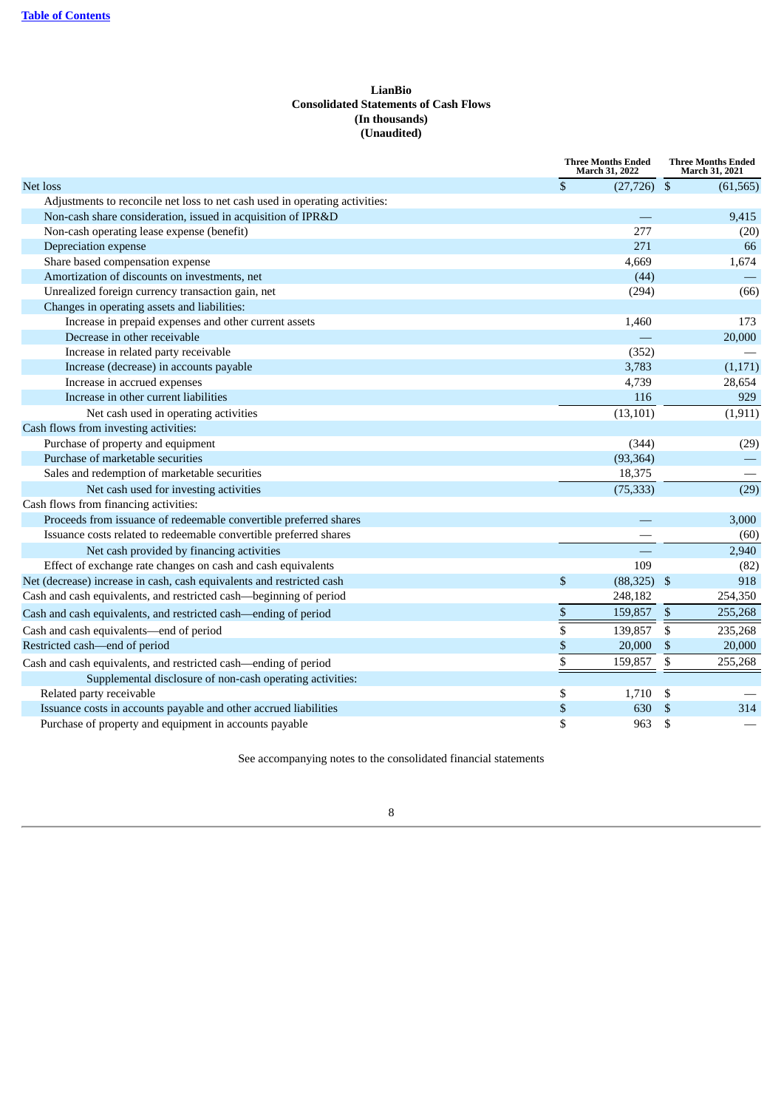# **LianBio Consolidated Statements of Cash Flows (In thousands) (Unaudited)**

|                                                                             |              | <b>Three Months Ended</b><br><b>March 31, 2022</b> |                           | <b>Three Months Ended</b><br><b>March 31, 2021</b> |
|-----------------------------------------------------------------------------|--------------|----------------------------------------------------|---------------------------|----------------------------------------------------|
| <b>Net loss</b>                                                             | $\mathbb{S}$ | (27, 726)                                          | $\mathfrak{s}$            | (61, 565)                                          |
| Adjustments to reconcile net loss to net cash used in operating activities: |              |                                                    |                           |                                                    |
| Non-cash share consideration, issued in acquisition of IPR&D                |              |                                                    |                           | 9,415                                              |
| Non-cash operating lease expense (benefit)                                  |              | 277                                                |                           | (20)                                               |
| Depreciation expense                                                        |              | 271                                                |                           | 66                                                 |
| Share based compensation expense                                            |              | 4,669                                              |                           | 1,674                                              |
| Amortization of discounts on investments, net                               |              | (44)                                               |                           |                                                    |
| Unrealized foreign currency transaction gain, net                           |              | (294)                                              |                           | (66)                                               |
| Changes in operating assets and liabilities:                                |              |                                                    |                           |                                                    |
| Increase in prepaid expenses and other current assets                       |              | 1,460                                              |                           | 173                                                |
| Decrease in other receivable                                                |              |                                                    |                           | 20,000                                             |
| Increase in related party receivable                                        |              | (352)                                              |                           |                                                    |
| Increase (decrease) in accounts payable                                     |              | 3,783                                              |                           | (1,171)                                            |
| Increase in accrued expenses                                                |              | 4,739                                              |                           | 28,654                                             |
| Increase in other current liabilities                                       |              | 116                                                |                           | 929                                                |
| Net cash used in operating activities                                       |              | (13, 101)                                          |                           | (1, 911)                                           |
| Cash flows from investing activities:                                       |              |                                                    |                           |                                                    |
| Purchase of property and equipment                                          |              | (344)                                              |                           | (29)                                               |
| Purchase of marketable securities                                           |              | (93, 364)                                          |                           |                                                    |
| Sales and redemption of marketable securities                               |              | 18,375                                             |                           |                                                    |
| Net cash used for investing activities                                      |              | (75, 333)                                          |                           | (29)                                               |
| Cash flows from financing activities:                                       |              |                                                    |                           |                                                    |
| Proceeds from issuance of redeemable convertible preferred shares           |              |                                                    |                           | 3,000                                              |
| Issuance costs related to redeemable convertible preferred shares           |              |                                                    |                           | (60)                                               |
| Net cash provided by financing activities                                   |              |                                                    |                           | 2,940                                              |
| Effect of exchange rate changes on cash and cash equivalents                |              | 109                                                |                           | (82)                                               |
| Net (decrease) increase in cash, cash equivalents and restricted cash       | \$           | (88, 325)                                          | $\boldsymbol{\mathsf{S}}$ | 918                                                |
| Cash and cash equivalents, and restricted cash-beginning of period          |              | 248,182                                            |                           | 254,350                                            |
| Cash and cash equivalents, and restricted cash-ending of period             | $\mathbb{S}$ | 159,857                                            | $\boldsymbol{\mathsf{S}}$ | 255,268                                            |
| Cash and cash equivalents-end of period                                     | \$           | 139,857                                            | \$                        | 235,268                                            |
| Restricted cash-end of period                                               | \$           | 20,000                                             | $\boldsymbol{\mathsf{S}}$ | 20,000                                             |
| Cash and cash equivalents, and restricted cash-ending of period             | \$           | 159,857                                            | \$                        | 255,268                                            |
| Supplemental disclosure of non-cash operating activities:                   |              |                                                    |                           |                                                    |
| Related party receivable                                                    | \$           | 1,710                                              | \$                        |                                                    |
| Issuance costs in accounts payable and other accrued liabilities            | \$           | 630                                                | $\mathfrak{s}$            | 314                                                |
| Purchase of property and equipment in accounts payable                      | \$           | 963                                                | \$                        |                                                    |

<span id="page-8-0"></span>See accompanying notes to the consolidated financial statements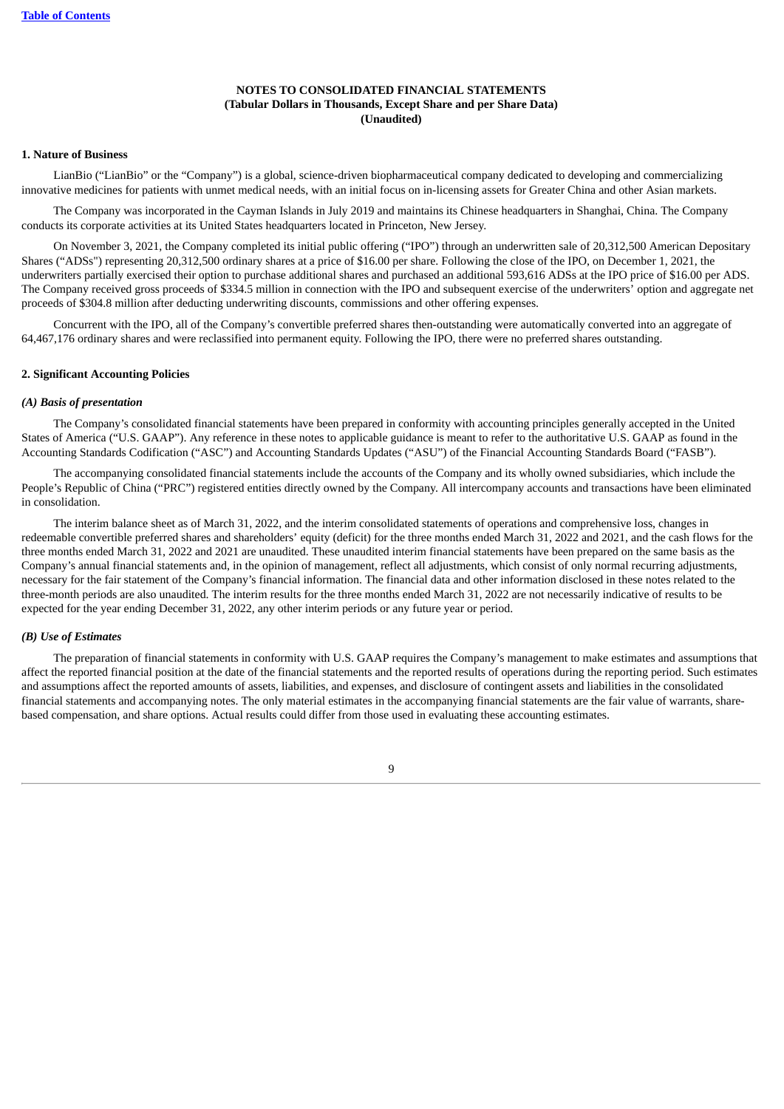# **NOTES TO CONSOLIDATED FINANCIAL STATEMENTS (Tabular Dollars in Thousands, Except Share and per Share Data) (Unaudited)**

#### **1. Nature of Business**

LianBio ("LianBio" or the "Company") is a global, science-driven biopharmaceutical company dedicated to developing and commercializing innovative medicines for patients with unmet medical needs, with an initial focus on in-licensing assets for Greater China and other Asian markets.

The Company was incorporated in the Cayman Islands in July 2019 and maintains its Chinese headquarters in Shanghai, China. The Company conducts its corporate activities at its United States headquarters located in Princeton, New Jersey.

On November 3, 2021, the Company completed its initial public offering ("IPO") through an underwritten sale of 20,312,500 American Depositary Shares ("ADSs") representing 20,312,500 ordinary shares at a price of \$16.00 per share. Following the close of the IPO, on December 1, 2021, the underwriters partially exercised their option to purchase additional shares and purchased an additional 593,616 ADSs at the IPO price of \$16.00 per ADS. The Company received gross proceeds of \$334.5 million in connection with the IPO and subsequent exercise of the underwriters' option and aggregate net proceeds of \$304.8 million after deducting underwriting discounts, commissions and other offering expenses.

Concurrent with the IPO, all of the Company's convertible preferred shares then-outstanding were automatically converted into an aggregate of 64,467,176 ordinary shares and were reclassified into permanent equity. Following the IPO, there were no preferred shares outstanding.

#### **2. Significant Accounting Policies**

#### *(A) Basis of presentation*

The Company's consolidated financial statements have been prepared in conformity with accounting principles generally accepted in the United States of America ("U.S. GAAP"). Any reference in these notes to applicable guidance is meant to refer to the authoritative U.S. GAAP as found in the Accounting Standards Codification ("ASC") and Accounting Standards Updates ("ASU") of the Financial Accounting Standards Board ("FASB").

The accompanying consolidated financial statements include the accounts of the Company and its wholly owned subsidiaries, which include the People's Republic of China ("PRC") registered entities directly owned by the Company. All intercompany accounts and transactions have been eliminated in consolidation.

The interim balance sheet as of March 31, 2022, and the interim consolidated statements of operations and comprehensive loss, changes in redeemable convertible preferred shares and shareholders' equity (deficit) for the three months ended March 31, 2022 and 2021, and the cash flows for the three months ended March 31, 2022 and 2021 are unaudited. These unaudited interim financial statements have been prepared on the same basis as the Company's annual financial statements and, in the opinion of management, reflect all adjustments, which consist of only normal recurring adjustments, necessary for the fair statement of the Company's financial information. The financial data and other information disclosed in these notes related to the three-month periods are also unaudited. The interim results for the three months ended March 31, 2022 are not necessarily indicative of results to be expected for the year ending December 31, 2022, any other interim periods or any future year or period.

# *(B) Use of Estimates*

The preparation of financial statements in conformity with U.S. GAAP requires the Company's management to make estimates and assumptions that affect the reported financial position at the date of the financial statements and the reported results of operations during the reporting period. Such estimates and assumptions affect the reported amounts of assets, liabilities, and expenses, and disclosure of contingent assets and liabilities in the consolidated financial statements and accompanying notes. The only material estimates in the accompanying financial statements are the fair value of warrants, sharebased compensation, and share options. Actual results could differ from those used in evaluating these accounting estimates.

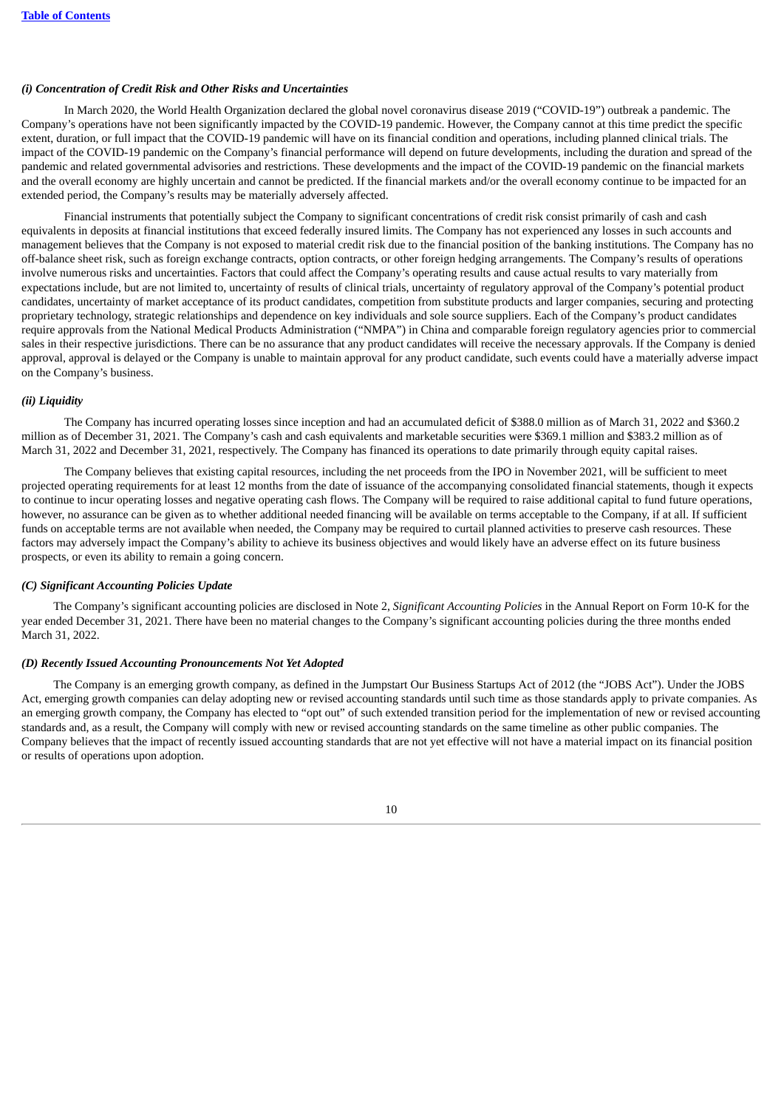#### *(i) Concentration of Credit Risk and Other Risks and Uncertainties*

In March 2020, the World Health Organization declared the global novel coronavirus disease 2019 ("COVID-19") outbreak a pandemic. The Company's operations have not been significantly impacted by the COVID-19 pandemic. However, the Company cannot at this time predict the specific extent, duration, or full impact that the COVID-19 pandemic will have on its financial condition and operations, including planned clinical trials. The impact of the COVID-19 pandemic on the Company's financial performance will depend on future developments, including the duration and spread of the pandemic and related governmental advisories and restrictions. These developments and the impact of the COVID-19 pandemic on the financial markets and the overall economy are highly uncertain and cannot be predicted. If the financial markets and/or the overall economy continue to be impacted for an extended period, the Company's results may be materially adversely affected.

Financial instruments that potentially subject the Company to significant concentrations of credit risk consist primarily of cash and cash equivalents in deposits at financial institutions that exceed federally insured limits. The Company has not experienced any losses in such accounts and management believes that the Company is not exposed to material credit risk due to the financial position of the banking institutions. The Company has no off-balance sheet risk, such as foreign exchange contracts, option contracts, or other foreign hedging arrangements. The Company's results of operations involve numerous risks and uncertainties. Factors that could affect the Company's operating results and cause actual results to vary materially from expectations include, but are not limited to, uncertainty of results of clinical trials, uncertainty of regulatory approval of the Company's potential product candidates, uncertainty of market acceptance of its product candidates, competition from substitute products and larger companies, securing and protecting proprietary technology, strategic relationships and dependence on key individuals and sole source suppliers. Each of the Company's product candidates require approvals from the National Medical Products Administration ("NMPA") in China and comparable foreign regulatory agencies prior to commercial sales in their respective jurisdictions. There can be no assurance that any product candidates will receive the necessary approvals. If the Company is denied approval, approval is delayed or the Company is unable to maintain approval for any product candidate, such events could have a materially adverse impact on the Company's business.

#### *(ii) Liquidity*

The Company has incurred operating losses since inception and had an accumulated deficit of \$388.0 million as of March 31, 2022 and \$360.2 million as of December 31, 2021. The Company's cash and cash equivalents and marketable securities were \$369.1 million and \$383.2 million as of March 31, 2022 and December 31, 2021, respectively. The Company has financed its operations to date primarily through equity capital raises.

The Company believes that existing capital resources, including the net proceeds from the IPO in November 2021, will be sufficient to meet projected operating requirements for at least 12 months from the date of issuance of the accompanying consolidated financial statements, though it expects to continue to incur operating losses and negative operating cash flows. The Company will be required to raise additional capital to fund future operations, however, no assurance can be given as to whether additional needed financing will be available on terms acceptable to the Company, if at all. If sufficient funds on acceptable terms are not available when needed, the Company may be required to curtail planned activities to preserve cash resources. These factors may adversely impact the Company's ability to achieve its business objectives and would likely have an adverse effect on its future business prospects, or even its ability to remain a going concern.

#### *(C) Significant Accounting Policies Update*

The Company's significant accounting policies are disclosed in Note 2, *Significant Accounting Policies* in the Annual Report on Form 10-K for the year ended December 31, 2021. There have been no material changes to the Company's significant accounting policies during the three months ended March 31, 2022.

#### *(D) Recently Issued Accounting Pronouncements Not Yet Adopted*

The Company is an emerging growth company, as defined in the Jumpstart Our Business Startups Act of 2012 (the "JOBS Act"). Under the JOBS Act, emerging growth companies can delay adopting new or revised accounting standards until such time as those standards apply to private companies. As an emerging growth company, the Company has elected to "opt out" of such extended transition period for the implementation of new or revised accounting standards and, as a result, the Company will comply with new or revised accounting standards on the same timeline as other public companies. The Company believes that the impact of recently issued accounting standards that are not yet effective will not have a material impact on its financial position or results of operations upon adoption.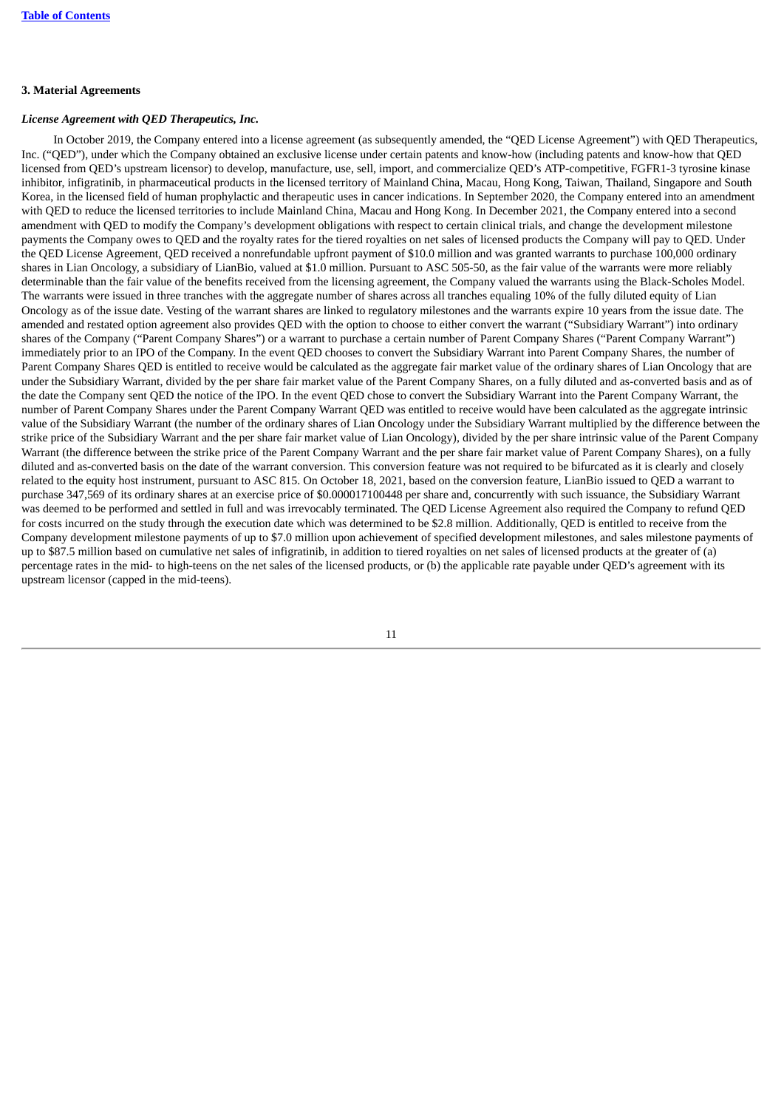## **3. Material Agreements**

## *License Agreement with QED Therapeutics, Inc.*

In October 2019, the Company entered into a license agreement (as subsequently amended, the "QED License Agreement") with QED Therapeutics, Inc. ("QED"), under which the Company obtained an exclusive license under certain patents and know-how (including patents and know-how that QED licensed from QED's upstream licensor) to develop, manufacture, use, sell, import, and commercialize QED's ATP-competitive, FGFR1-3 tyrosine kinase inhibitor, infigratinib, in pharmaceutical products in the licensed territory of Mainland China, Macau, Hong Kong, Taiwan, Thailand, Singapore and South Korea, in the licensed field of human prophylactic and therapeutic uses in cancer indications. In September 2020, the Company entered into an amendment with QED to reduce the licensed territories to include Mainland China, Macau and Hong Kong. In December 2021, the Company entered into a second amendment with QED to modify the Company's development obligations with respect to certain clinical trials, and change the development milestone payments the Company owes to QED and the royalty rates for the tiered royalties on net sales of licensed products the Company will pay to QED. Under the QED License Agreement, QED received a nonrefundable upfront payment of \$10.0 million and was granted warrants to purchase 100,000 ordinary shares in Lian Oncology, a subsidiary of LianBio, valued at \$1.0 million. Pursuant to ASC 505-50, as the fair value of the warrants were more reliably determinable than the fair value of the benefits received from the licensing agreement, the Company valued the warrants using the Black-Scholes Model. The warrants were issued in three tranches with the aggregate number of shares across all tranches equaling 10% of the fully diluted equity of Lian Oncology as of the issue date. Vesting of the warrant shares are linked to regulatory milestones and the warrants expire 10 years from the issue date. The amended and restated option agreement also provides QED with the option to choose to either convert the warrant ("Subsidiary Warrant") into ordinary shares of the Company ("Parent Company Shares") or a warrant to purchase a certain number of Parent Company Shares ("Parent Company Warrant") immediately prior to an IPO of the Company. In the event QED chooses to convert the Subsidiary Warrant into Parent Company Shares, the number of Parent Company Shares QED is entitled to receive would be calculated as the aggregate fair market value of the ordinary shares of Lian Oncology that are under the Subsidiary Warrant, divided by the per share fair market value of the Parent Company Shares, on a fully diluted and as-converted basis and as of the date the Company sent QED the notice of the IPO. In the event QED chose to convert the Subsidiary Warrant into the Parent Company Warrant, the number of Parent Company Shares under the Parent Company Warrant QED was entitled to receive would have been calculated as the aggregate intrinsic value of the Subsidiary Warrant (the number of the ordinary shares of Lian Oncology under the Subsidiary Warrant multiplied by the difference between the strike price of the Subsidiary Warrant and the per share fair market value of Lian Oncology), divided by the per share intrinsic value of the Parent Company Warrant (the difference between the strike price of the Parent Company Warrant and the per share fair market value of Parent Company Shares), on a fully diluted and as-converted basis on the date of the warrant conversion. This conversion feature was not required to be bifurcated as it is clearly and closely related to the equity host instrument, pursuant to ASC 815. On October 18, 2021, based on the conversion feature, LianBio issued to QED a warrant to purchase 347,569 of its ordinary shares at an exercise price of \$0.000017100448 per share and, concurrently with such issuance, the Subsidiary Warrant was deemed to be performed and settled in full and was irrevocably terminated. The QED License Agreement also required the Company to refund QED for costs incurred on the study through the execution date which was determined to be \$2.8 million. Additionally, QED is entitled to receive from the Company development milestone payments of up to \$7.0 million upon achievement of specified development milestones, and sales milestone payments of up to \$87.5 million based on cumulative net sales of infigratinib, in addition to tiered royalties on net sales of licensed products at the greater of (a) percentage rates in the mid- to high-teens on the net sales of the licensed products, or (b) the applicable rate payable under QED's agreement with its upstream licensor (capped in the mid-teens).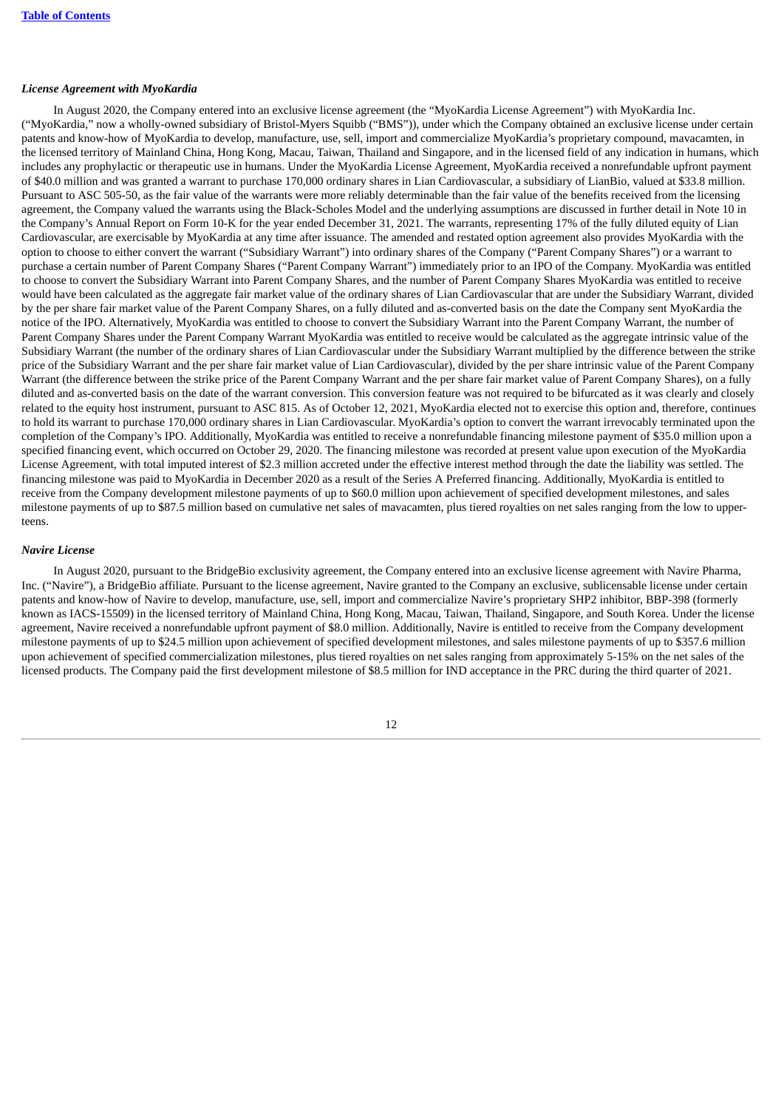#### *License Agreement with MyoKardia*

In August 2020, the Company entered into an exclusive license agreement (the "MyoKardia License Agreement") with MyoKardia Inc. ("MyoKardia," now a wholly-owned subsidiary of Bristol-Myers Squibb ("BMS")), under which the Company obtained an exclusive license under certain patents and know-how of MyoKardia to develop, manufacture, use, sell, import and commercialize MyoKardia's proprietary compound, mavacamten, in the licensed territory of Mainland China, Hong Kong, Macau, Taiwan, Thailand and Singapore, and in the licensed field of any indication in humans, which includes any prophylactic or therapeutic use in humans. Under the MyoKardia License Agreement, MyoKardia received a nonrefundable upfront payment of \$40.0 million and was granted a warrant to purchase 170,000 ordinary shares in Lian Cardiovascular, a subsidiary of LianBio, valued at \$33.8 million. Pursuant to ASC 505-50, as the fair value of the warrants were more reliably determinable than the fair value of the benefits received from the licensing agreement, the Company valued the warrants using the Black-Scholes Model and the underlying assumptions are discussed in further detail in Note 10 in the Company's Annual Report on Form 10-K for the year ended December 31, 2021. The warrants, representing 17% of the fully diluted equity of Lian Cardiovascular, are exercisable by MyoKardia at any time after issuance. The amended and restated option agreement also provides MyoKardia with the option to choose to either convert the warrant ("Subsidiary Warrant") into ordinary shares of the Company ("Parent Company Shares") or a warrant to purchase a certain number of Parent Company Shares ("Parent Company Warrant") immediately prior to an IPO of the Company. MyoKardia was entitled to choose to convert the Subsidiary Warrant into Parent Company Shares, and the number of Parent Company Shares MyoKardia was entitled to receive would have been calculated as the aggregate fair market value of the ordinary shares of Lian Cardiovascular that are under the Subsidiary Warrant, divided by the per share fair market value of the Parent Company Shares, on a fully diluted and as-converted basis on the date the Company sent MyoKardia the notice of the IPO. Alternatively, MyoKardia was entitled to choose to convert the Subsidiary Warrant into the Parent Company Warrant, the number of Parent Company Shares under the Parent Company Warrant MyoKardia was entitled to receive would be calculated as the aggregate intrinsic value of the Subsidiary Warrant (the number of the ordinary shares of Lian Cardiovascular under the Subsidiary Warrant multiplied by the difference between the strike price of the Subsidiary Warrant and the per share fair market value of Lian Cardiovascular), divided by the per share intrinsic value of the Parent Company Warrant (the difference between the strike price of the Parent Company Warrant and the per share fair market value of Parent Company Shares), on a fully diluted and as-converted basis on the date of the warrant conversion. This conversion feature was not required to be bifurcated as it was clearly and closely related to the equity host instrument, pursuant to ASC 815. As of October 12, 2021, MyoKardia elected not to exercise this option and, therefore, continues to hold its warrant to purchase 170,000 ordinary shares in Lian Cardiovascular. MyoKardia's option to convert the warrant irrevocably terminated upon the completion of the Company's IPO. Additionally, MyoKardia was entitled to receive a nonrefundable financing milestone payment of \$35.0 million upon a specified financing event, which occurred on October 29, 2020. The financing milestone was recorded at present value upon execution of the MyoKardia License Agreement, with total imputed interest of \$2.3 million accreted under the effective interest method through the date the liability was settled. The financing milestone was paid to MyoKardia in December 2020 as a result of the Series A Preferred financing. Additionally, MyoKardia is entitled to receive from the Company development milestone payments of up to \$60.0 million upon achievement of specified development milestones, and sales milestone payments of up to \$87.5 million based on cumulative net sales of mavacamten, plus tiered royalties on net sales ranging from the low to upperteens.

#### *Navire License*

In August 2020, pursuant to the BridgeBio exclusivity agreement, the Company entered into an exclusive license agreement with Navire Pharma, Inc. ("Navire"), a BridgeBio affiliate. Pursuant to the license agreement, Navire granted to the Company an exclusive, sublicensable license under certain patents and know-how of Navire to develop, manufacture, use, sell, import and commercialize Navire's proprietary SHP2 inhibitor, BBP-398 (formerly known as IACS-15509) in the licensed territory of Mainland China, Hong Kong, Macau, Taiwan, Thailand, Singapore, and South Korea. Under the license agreement, Navire received a nonrefundable upfront payment of \$8.0 million. Additionally, Navire is entitled to receive from the Company development milestone payments of up to \$24.5 million upon achievement of specified development milestones, and sales milestone payments of up to \$357.6 million upon achievement of specified commercialization milestones, plus tiered royalties on net sales ranging from approximately 5-15% on the net sales of the licensed products. The Company paid the first development milestone of \$8.5 million for IND acceptance in the PRC during the third quarter of 2021.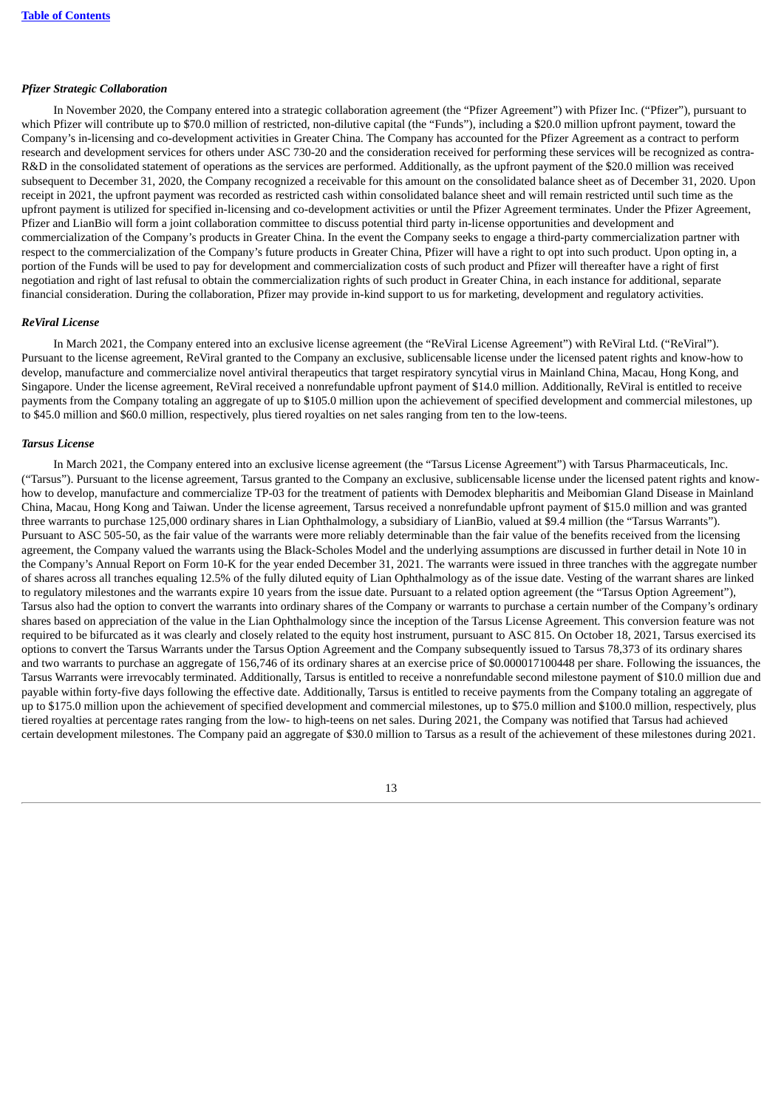#### *Pfizer Strategic Collaboration*

In November 2020, the Company entered into a strategic collaboration agreement (the "Pfizer Agreement") with Pfizer Inc. ("Pfizer"), pursuant to which Pfizer will contribute up to \$70.0 million of restricted, non-dilutive capital (the "Funds"), including a \$20.0 million upfront payment, toward the Company's in-licensing and co-development activities in Greater China. The Company has accounted for the Pfizer Agreement as a contract to perform research and development services for others under ASC 730-20 and the consideration received for performing these services will be recognized as contra-R&D in the consolidated statement of operations as the services are performed. Additionally, as the upfront payment of the \$20.0 million was received subsequent to December 31, 2020, the Company recognized a receivable for this amount on the consolidated balance sheet as of December 31, 2020. Upon receipt in 2021, the upfront payment was recorded as restricted cash within consolidated balance sheet and will remain restricted until such time as the upfront payment is utilized for specified in-licensing and co-development activities or until the Pfizer Agreement terminates. Under the Pfizer Agreement, Pfizer and LianBio will form a joint collaboration committee to discuss potential third party in-license opportunities and development and commercialization of the Company's products in Greater China. In the event the Company seeks to engage a third-party commercialization partner with respect to the commercialization of the Company's future products in Greater China, Pfizer will have a right to opt into such product. Upon opting in, a portion of the Funds will be used to pay for development and commercialization costs of such product and Pfizer will thereafter have a right of first negotiation and right of last refusal to obtain the commercialization rights of such product in Greater China, in each instance for additional, separate financial consideration. During the collaboration, Pfizer may provide in-kind support to us for marketing, development and regulatory activities.

#### *ReViral License*

In March 2021, the Company entered into an exclusive license agreement (the "ReViral License Agreement") with ReViral Ltd. ("ReViral"). Pursuant to the license agreement, ReViral granted to the Company an exclusive, sublicensable license under the licensed patent rights and know-how to develop, manufacture and commercialize novel antiviral therapeutics that target respiratory syncytial virus in Mainland China, Macau, Hong Kong, and Singapore. Under the license agreement, ReViral received a nonrefundable upfront payment of \$14.0 million. Additionally, ReViral is entitled to receive payments from the Company totaling an aggregate of up to \$105.0 million upon the achievement of specified development and commercial milestones, up to \$45.0 million and \$60.0 million, respectively, plus tiered royalties on net sales ranging from ten to the low-teens.

#### *Tarsus License*

In March 2021, the Company entered into an exclusive license agreement (the "Tarsus License Agreement") with Tarsus Pharmaceuticals, Inc. ("Tarsus"). Pursuant to the license agreement, Tarsus granted to the Company an exclusive, sublicensable license under the licensed patent rights and knowhow to develop, manufacture and commercialize TP-03 for the treatment of patients with Demodex blepharitis and Meibomian Gland Disease in Mainland China, Macau, Hong Kong and Taiwan. Under the license agreement, Tarsus received a nonrefundable upfront payment of \$15.0 million and was granted three warrants to purchase 125,000 ordinary shares in Lian Ophthalmology, a subsidiary of LianBio, valued at \$9.4 million (the "Tarsus Warrants"). Pursuant to ASC 505-50, as the fair value of the warrants were more reliably determinable than the fair value of the benefits received from the licensing agreement, the Company valued the warrants using the Black-Scholes Model and the underlying assumptions are discussed in further detail in Note 10 in the Company's Annual Report on Form 10-K for the year ended December 31, 2021. The warrants were issued in three tranches with the aggregate number of shares across all tranches equaling 12.5% of the fully diluted equity of Lian Ophthalmology as of the issue date. Vesting of the warrant shares are linked to regulatory milestones and the warrants expire 10 years from the issue date. Pursuant to a related option agreement (the "Tarsus Option Agreement"), Tarsus also had the option to convert the warrants into ordinary shares of the Company or warrants to purchase a certain number of the Company's ordinary shares based on appreciation of the value in the Lian Ophthalmology since the inception of the Tarsus License Agreement. This conversion feature was not required to be bifurcated as it was clearly and closely related to the equity host instrument, pursuant to ASC 815. On October 18, 2021, Tarsus exercised its options to convert the Tarsus Warrants under the Tarsus Option Agreement and the Company subsequently issued to Tarsus 78,373 of its ordinary shares and two warrants to purchase an aggregate of 156,746 of its ordinary shares at an exercise price of \$0.000017100448 per share. Following the issuances, the Tarsus Warrants were irrevocably terminated. Additionally, Tarsus is entitled to receive a nonrefundable second milestone payment of \$10.0 million due and payable within forty-five days following the effective date. Additionally, Tarsus is entitled to receive payments from the Company totaling an aggregate of up to \$175.0 million upon the achievement of specified development and commercial milestones, up to \$75.0 million and \$100.0 million, respectively, plus tiered royalties at percentage rates ranging from the low- to high-teens on net sales. During 2021, the Company was notified that Tarsus had achieved certain development milestones. The Company paid an aggregate of \$30.0 million to Tarsus as a result of the achievement of these milestones during 2021.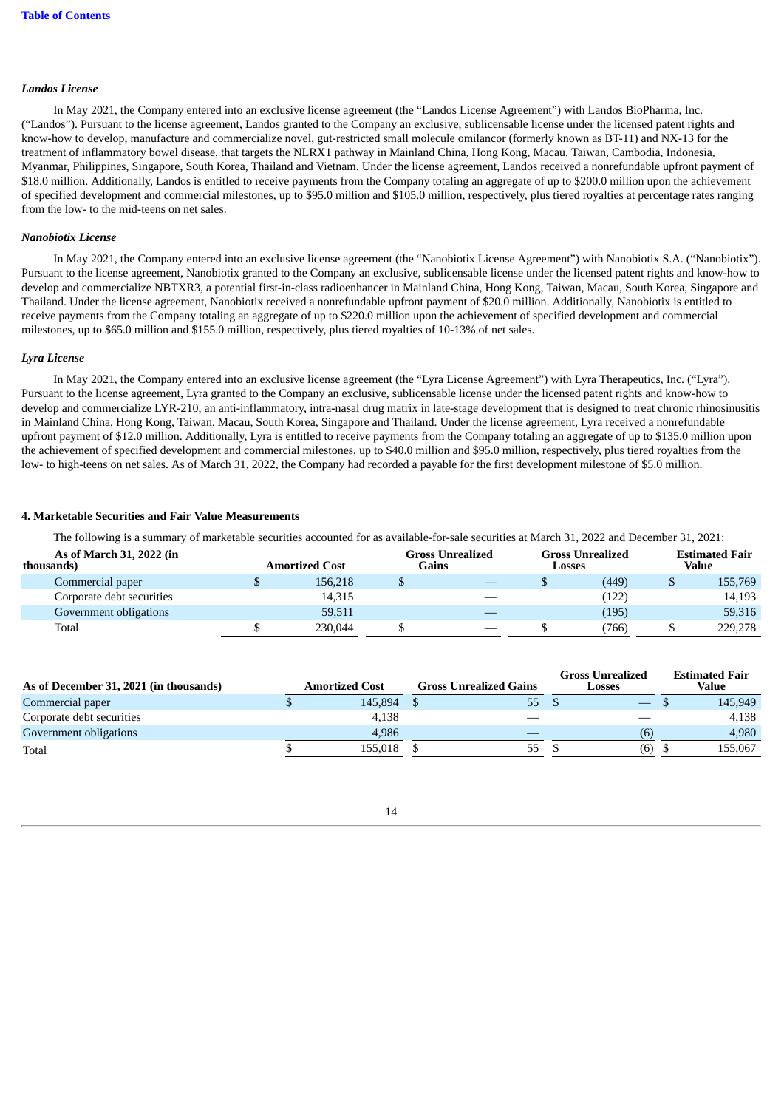#### *Landos License*

In May 2021, the Company entered into an exclusive license agreement (the "Landos License Agreement") with Landos BioPharma, Inc. ("Landos"). Pursuant to the license agreement, Landos granted to the Company an exclusive, sublicensable license under the licensed patent rights and know-how to develop, manufacture and commercialize novel, gut-restricted small molecule omilancor (formerly known as BT-11) and NX-13 for the treatment of inflammatory bowel disease, that targets the NLRX1 pathway in Mainland China, Hong Kong, Macau, Taiwan, Cambodia, Indonesia, Myanmar, Philippines, Singapore, South Korea, Thailand and Vietnam. Under the license agreement, Landos received a nonrefundable upfront payment of \$18.0 million. Additionally, Landos is entitled to receive payments from the Company totaling an aggregate of up to \$200.0 million upon the achievement of specified development and commercial milestones, up to \$95.0 million and \$105.0 million, respectively, plus tiered royalties at percentage rates ranging from the low- to the mid-teens on net sales.

## *Nanobiotix License*

In May 2021, the Company entered into an exclusive license agreement (the "Nanobiotix License Agreement") with Nanobiotix S.A. ("Nanobiotix"). Pursuant to the license agreement, Nanobiotix granted to the Company an exclusive, sublicensable license under the licensed patent rights and know-how to develop and commercialize NBTXR3, a potential first-in-class radioenhancer in Mainland China, Hong Kong, Taiwan, Macau, South Korea, Singapore and Thailand. Under the license agreement, Nanobiotix received a nonrefundable upfront payment of \$20.0 million. Additionally, Nanobiotix is entitled to receive payments from the Company totaling an aggregate of up to \$220.0 million upon the achievement of specified development and commercial milestones, up to \$65.0 million and \$155.0 million, respectively, plus tiered royalties of 10-13% of net sales.

#### *Lyra License*

In May 2021, the Company entered into an exclusive license agreement (the "Lyra License Agreement") with Lyra Therapeutics, Inc. ("Lyra"). Pursuant to the license agreement, Lyra granted to the Company an exclusive, sublicensable license under the licensed patent rights and know-how to develop and commercialize LYR-210, an anti-inflammatory, intra-nasal drug matrix in late-stage development that is designed to treat chronic rhinosinusitis in Mainland China, Hong Kong, Taiwan, Macau, South Korea, Singapore and Thailand. Under the license agreement, Lyra received a nonrefundable upfront payment of \$12.0 million. Additionally, Lyra is entitled to receive payments from the Company totaling an aggregate of up to \$135.0 million upon the achievement of specified development and commercial milestones, up to \$40.0 million and \$95.0 million, respectively, plus tiered royalties from the low- to high-teens on net sales. As of March 31, 2022, the Company had recorded a payable for the first development milestone of \$5.0 million.

## **4. Marketable Securities and Fair Value Measurements**

The following is a summary of marketable securities accounted for as available-for-sale securities at March 31, 2022 and December 31, 2021:

| As of March 31, 2022 (in<br>thousands) | <b>Amortized Cost</b> | Gains | <b>Gross Unrealized</b> | Losses | <b>Gross Unrealized</b> | <b>Estimated Fair</b><br>Value |
|----------------------------------------|-----------------------|-------|-------------------------|--------|-------------------------|--------------------------------|
| Commercial paper                       | 156.218               |       |                         |        | (449)                   | 155,769                        |
| Corporate debt securities              | 14.315                |       |                         |        | (122)                   | 14,193                         |
| Government obligations                 | 59,511                |       |                         |        | (195)                   | 59,316                         |
| Total                                  | 230.044               |       |                         |        | (766)                   | 229,278                        |

| As of December 31, 2021 (in thousands) | <b>Amortized Cost</b> | <b>Gross Unrealized Gains</b> | <b>Gross Unrealized</b><br>Losses | <b>Estimated Fair</b><br>Value |
|----------------------------------------|-----------------------|-------------------------------|-----------------------------------|--------------------------------|
| Commercial paper                       | 145,894               | 55                            | $\overline{\phantom{a}}$          | 145.949                        |
| Corporate debt securities              | 4.138                 |                               |                                   | 4,138                          |
| Government obligations                 | 4.986                 |                               | (6)                               | 4.980                          |
| Total                                  | 155.018               | 55                            | (6)                               | 155,067                        |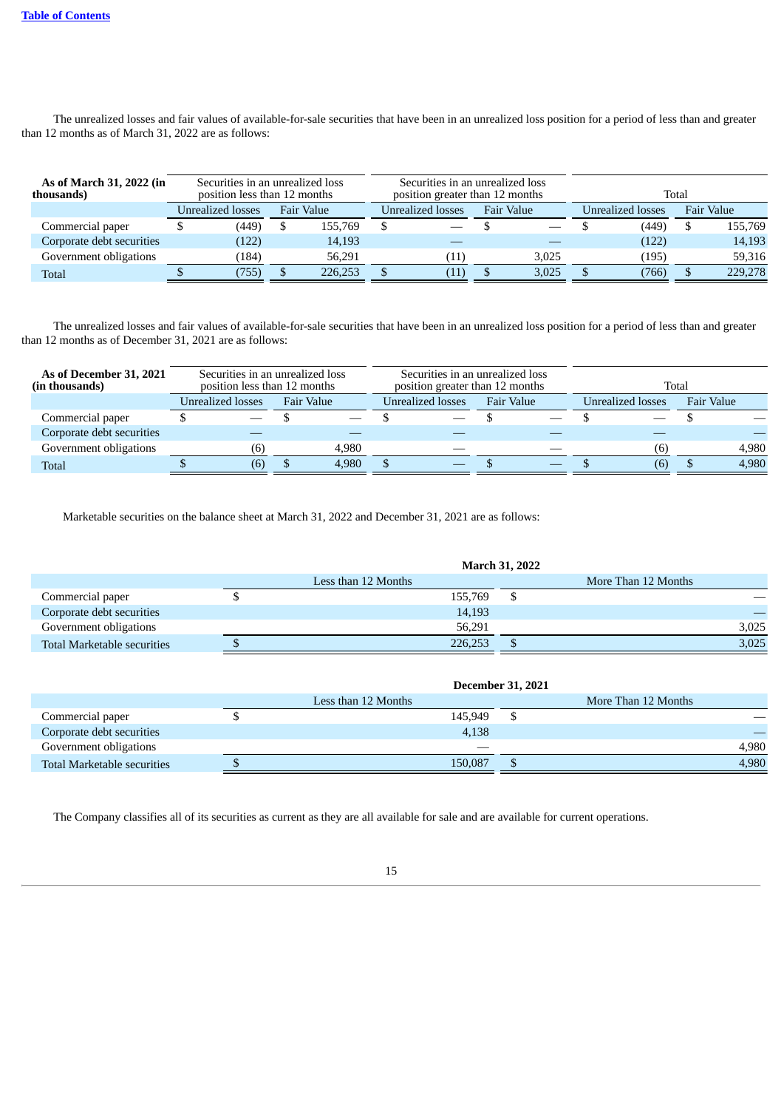The unrealized losses and fair values of available-for-sale securities that have been in an unrealized loss position for a period of less than and greater than 12 months as of March 31, 2022 are as follows:

| As of March 31, 2022 (in<br>thousands) | Securities in an unrealized loss<br>position less than 12 months |            | Securities in an unrealized loss<br>position greater than 12 months |            | Total |                   |  |                   |  |
|----------------------------------------|------------------------------------------------------------------|------------|---------------------------------------------------------------------|------------|-------|-------------------|--|-------------------|--|
|                                        | Unrealized losses                                                | Fair Value | Unrealized losses                                                   | Fair Value |       | Unrealized losses |  | <b>Fair Value</b> |  |
| Commercial paper                       | (449)                                                            | 155,769    |                                                                     |            |       | (449)             |  | 155,769           |  |
| Corporate debt securities              | (122)                                                            | 14,193     |                                                                     |            |       | (122)             |  | 14,193            |  |
| Government obligations                 | (184)                                                            | 56.291     | (11)                                                                | 3.025      |       | (195)             |  | 59,316            |  |
| Total                                  | (755)                                                            | 226.253    | 41)                                                                 | 3.025      |       | (766)             |  | 229,278           |  |

The unrealized losses and fair values of available-for-sale securities that have been in an unrealized loss position for a period of less than and greater than 12 months as of December 31, 2021 are as follows:

| As of December 31, 2021<br>(in thousands) | Securities in an unrealized loss<br>position less than 12 months |                   |       | Securities in an unrealized loss<br>position greater than 12 months |                   | Total |                   |            |       |  |
|-------------------------------------------|------------------------------------------------------------------|-------------------|-------|---------------------------------------------------------------------|-------------------|-------|-------------------|------------|-------|--|
|                                           | Unrealized losses                                                | <b>Fair Value</b> |       | Unrealized losses                                                   | <b>Fair Value</b> |       | Unrealized losses | Fair Value |       |  |
| Commercial paper                          |                                                                  |                   |       |                                                                     |                   |       |                   |            |       |  |
| Corporate debt securities                 |                                                                  |                   |       |                                                                     |                   |       |                   |            |       |  |
| Government obligations                    |                                                                  |                   | 4.980 |                                                                     |                   |       | 61                |            | 4,980 |  |
| <b>Total</b>                              | (6)                                                              |                   | 4.980 |                                                                     |                   |       | (6)               |            | 4,980 |  |

Marketable securities on the balance sheet at March 31, 2022 and December 31, 2021 are as follows:

|                             | <b>March 31, 2022</b> |                     |  |                     |  |  |  |  |
|-----------------------------|-----------------------|---------------------|--|---------------------|--|--|--|--|
|                             |                       | Less than 12 Months |  | More Than 12 Months |  |  |  |  |
| Commercial paper            |                       | 155,769             |  |                     |  |  |  |  |
| Corporate debt securities   |                       | 14,193              |  |                     |  |  |  |  |
| Government obligations      |                       | 56,291              |  | 3,025               |  |  |  |  |
| Total Marketable securities |                       | 226,253             |  | 3,025               |  |  |  |  |

|                             | <b>December 31, 2021</b> |                     |
|-----------------------------|--------------------------|---------------------|
|                             | Less than 12 Months      | More Than 12 Months |
| Commercial paper            | 145,949                  |                     |
| Corporate debt securities   | 4,138                    |                     |
| Government obligations      |                          | 4,980               |
| Total Marketable securities | 150,087                  | 4,980               |

The Company classifies all of its securities as current as they are all available for sale and are available for current operations.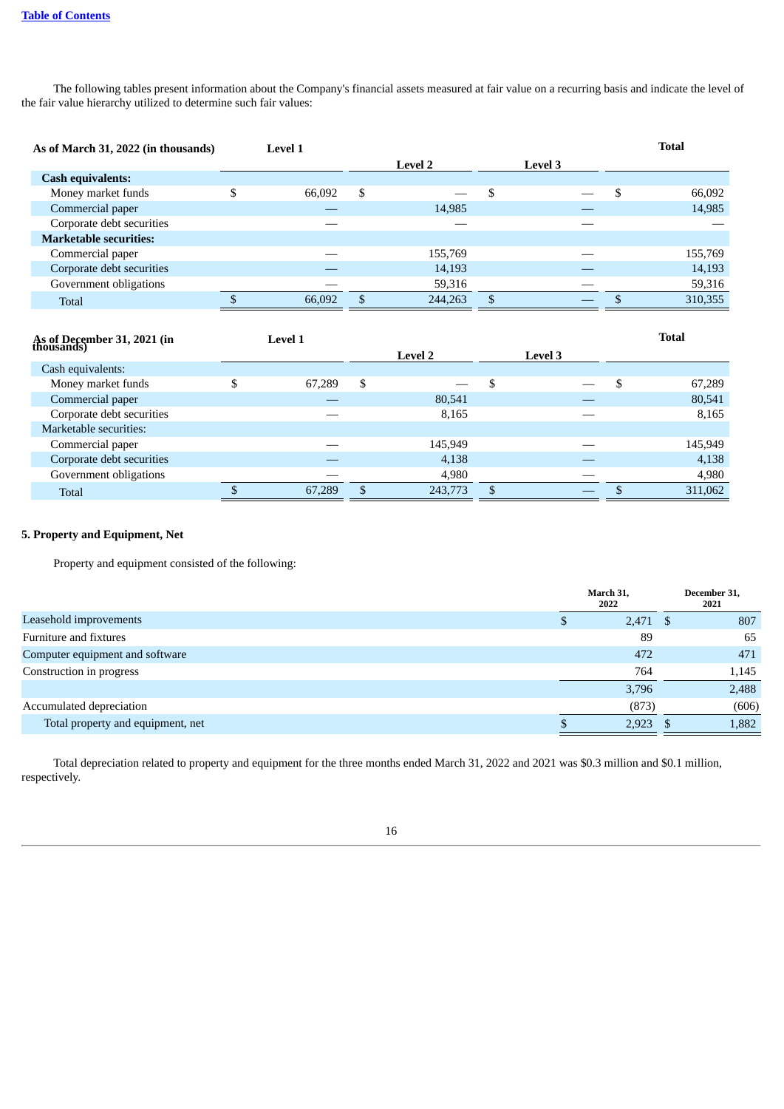The following tables present information about the Company's financial assets measured at fair value on a recurring basis and indicate the level of the fair value hierarchy utilized to determine such fair values:

| As of March 31, 2022 (in thousands) | <b>Level 1</b> |                |     |                | <b>Total</b> |
|-------------------------------------|----------------|----------------|-----|----------------|--------------|
|                                     |                | <b>Level 2</b> |     | <b>Level</b> 3 |              |
| <b>Cash equivalents:</b>            |                |                |     |                |              |
| Money market funds                  | \$<br>66,092   | \$             | \$. |                | 66,092       |
| Commercial paper                    |                | 14,985         |     |                | 14,985       |
| Corporate debt securities           |                |                |     |                |              |
| <b>Marketable securities:</b>       |                |                |     |                |              |
| Commercial paper                    |                | 155,769        |     |                | 155,769      |
| Corporate debt securities           |                | 14,193         |     |                | 14,193       |
| Government obligations              |                | 59,316         |     |                | 59,316       |
| <b>Total</b>                        | 66,092         | 244,263        |     |                | 310,355      |

| As of December 31, 2021 (in<br>thousands) | <b>Level 1</b> |   |                |                | <b>Total</b> |
|-------------------------------------------|----------------|---|----------------|----------------|--------------|
|                                           |                |   | <b>Level 2</b> | <b>Level 3</b> |              |
| Cash equivalents:                         |                |   |                |                |              |
| Money market funds                        | \$<br>67,289   | S |                |                | 67,289       |
| Commercial paper                          |                |   | 80,541         |                | 80,541       |
| Corporate debt securities                 |                |   | 8,165          |                | 8,165        |
| Marketable securities:                    |                |   |                |                |              |
| Commercial paper                          |                |   | 145,949        |                | 145,949      |
| Corporate debt securities                 |                |   | 4,138          |                | 4,138        |
| Government obligations                    |                |   | 4,980          |                | 4,980        |
| Total                                     | 67,289         |   | 243,773        |                | 311,062      |

# **5. Property and Equipment, Net**

Property and equipment consisted of the following:

|                                   | March 31,<br>2022 | December 31,<br>2021 |
|-----------------------------------|-------------------|----------------------|
| Leasehold improvements            | $2,471$ \$        | 807                  |
| Furniture and fixtures            | 89                | 65                   |
| Computer equipment and software   | 472               | 471                  |
| Construction in progress          | 764               | 1,145                |
|                                   | 3,796             | 2,488                |
| Accumulated depreciation          | (873)             | (606)                |
| Total property and equipment, net | 2,923             | 1,882                |

Total depreciation related to property and equipment for the three months ended March 31, 2022 and 2021 was \$0.3 million and \$0.1 million, respectively.

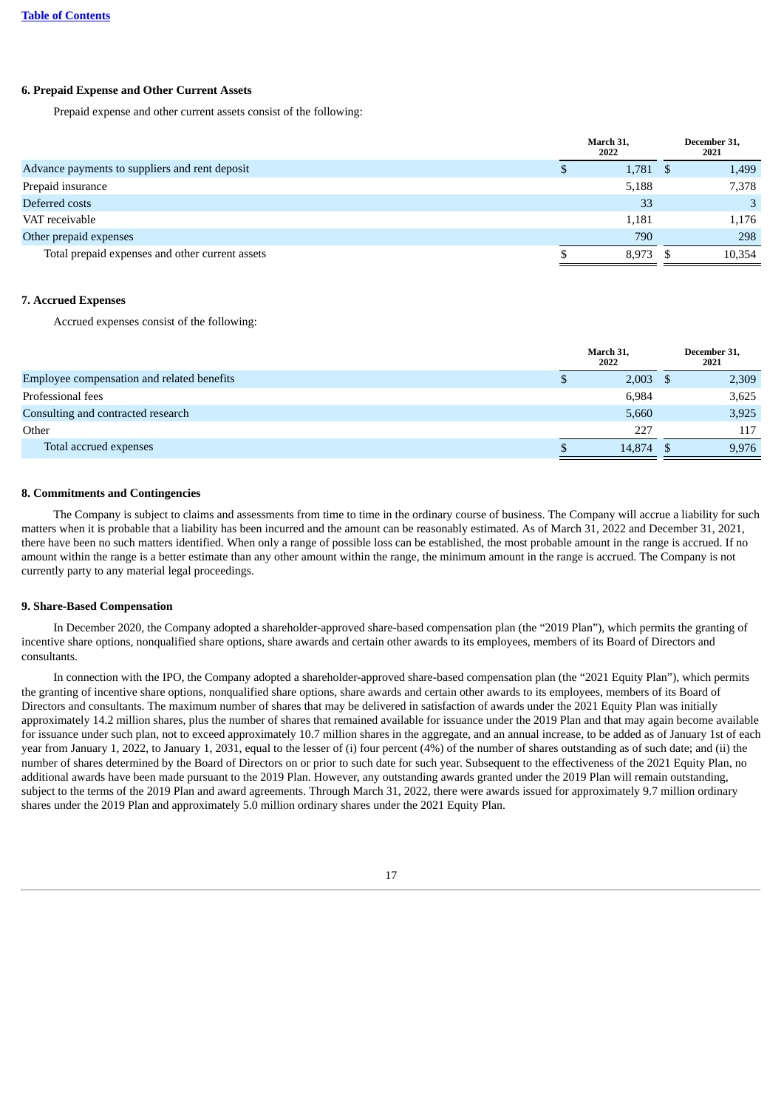#### **6. Prepaid Expense and Other Current Assets**

Prepaid expense and other current assets consist of the following:

|                                                 | March 31.<br>2022 |     | December 31,<br>2021 |
|-------------------------------------------------|-------------------|-----|----------------------|
| Advance payments to suppliers and rent deposit  | 1,781             | - S | 1,499                |
| Prepaid insurance                               | 5,188             |     | 7,378                |
| Deferred costs                                  | 33                |     | 3                    |
| VAT receivable                                  | 1,181             |     | 1,176                |
| Other prepaid expenses                          | 790               |     | 298                  |
| Total prepaid expenses and other current assets | 8,973             |     | 10,354               |

# **7. Accrued Expenses**

Accrued expenses consist of the following:

|                                            | March 31,<br>2022 | December 31,<br>2021 |
|--------------------------------------------|-------------------|----------------------|
| Employee compensation and related benefits | $2,003$ \$        | 2,309                |
| Professional fees                          | 6,984             | 3,625                |
| Consulting and contracted research         | 5,660             | 3,925                |
| Other                                      | 227               | 117                  |
| Total accrued expenses                     | 14.874            | 9,976                |

#### **8. Commitments and Contingencies**

The Company is subject to claims and assessments from time to time in the ordinary course of business. The Company will accrue a liability for such matters when it is probable that a liability has been incurred and the amount can be reasonably estimated. As of March 31, 2022 and December 31, 2021, there have been no such matters identified. When only a range of possible loss can be established, the most probable amount in the range is accrued. If no amount within the range is a better estimate than any other amount within the range, the minimum amount in the range is accrued. The Company is not currently party to any material legal proceedings.

## **9. Share-Based Compensation**

In December 2020, the Company adopted a shareholder-approved share-based compensation plan (the "2019 Plan"), which permits the granting of incentive share options, nonqualified share options, share awards and certain other awards to its employees, members of its Board of Directors and consultants.

In connection with the IPO, the Company adopted a shareholder-approved share-based compensation plan (the "2021 Equity Plan"), which permits the granting of incentive share options, nonqualified share options, share awards and certain other awards to its employees, members of its Board of Directors and consultants. The maximum number of shares that may be delivered in satisfaction of awards under the 2021 Equity Plan was initially approximately 14.2 million shares, plus the number of shares that remained available for issuance under the 2019 Plan and that may again become available for issuance under such plan, not to exceed approximately 10.7 million shares in the aggregate, and an annual increase, to be added as of January 1st of each year from January 1, 2022, to January 1, 2031, equal to the lesser of (i) four percent (4%) of the number of shares outstanding as of such date; and (ii) the number of shares determined by the Board of Directors on or prior to such date for such year. Subsequent to the effectiveness of the 2021 Equity Plan, no additional awards have been made pursuant to the 2019 Plan. However, any outstanding awards granted under the 2019 Plan will remain outstanding, subject to the terms of the 2019 Plan and award agreements. Through March 31, 2022, there were awards issued for approximately 9.7 million ordinary shares under the 2019 Plan and approximately 5.0 million ordinary shares under the 2021 Equity Plan.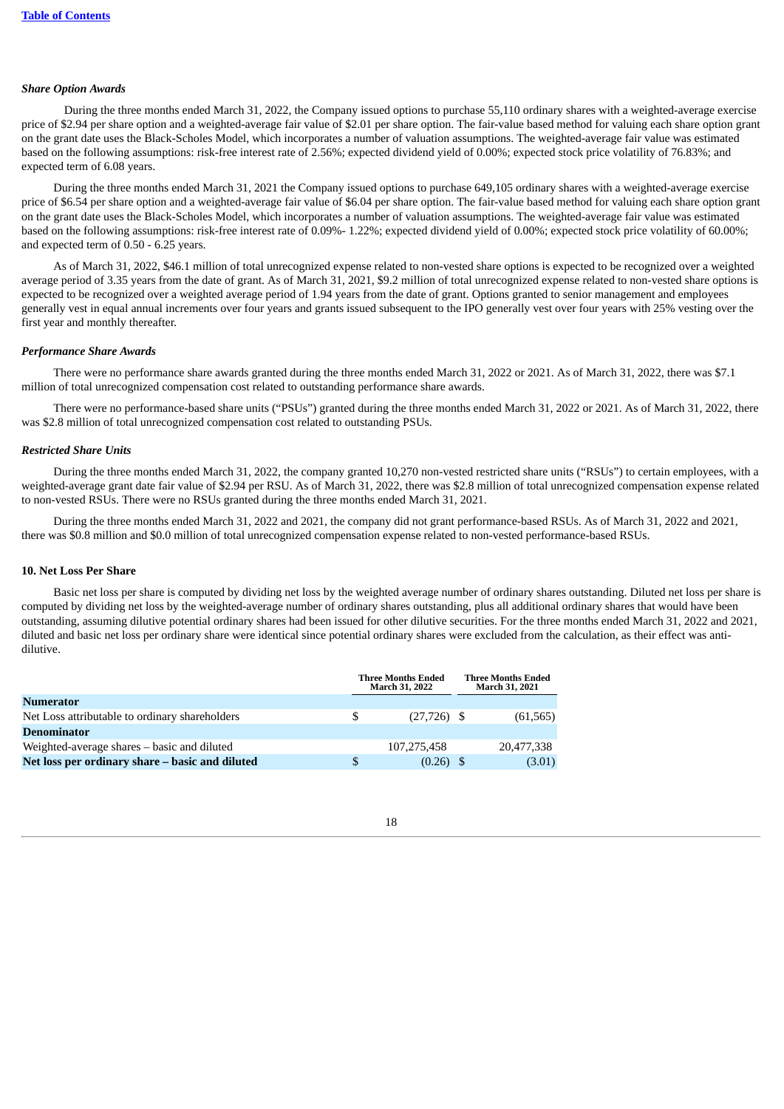#### *Share Option Awards*

During the three months ended March 31, 2022, the Company issued options to purchase 55,110 ordinary shares with a weighted-average exercise price of \$2.94 per share option and a weighted-average fair value of \$2.01 per share option. The fair-value based method for valuing each share option grant on the grant date uses the Black-Scholes Model, which incorporates a number of valuation assumptions. The weighted-average fair value was estimated based on the following assumptions: risk-free interest rate of 2.56%; expected dividend yield of 0.00%; expected stock price volatility of 76.83%; and expected term of 6.08 years.

During the three months ended March 31, 2021 the Company issued options to purchase 649,105 ordinary shares with a weighted-average exercise price of \$6.54 per share option and a weighted-average fair value of \$6.04 per share option. The fair-value based method for valuing each share option grant on the grant date uses the Black-Scholes Model, which incorporates a number of valuation assumptions. The weighted-average fair value was estimated based on the following assumptions: risk-free interest rate of 0.09%- 1.22%; expected dividend yield of 0.00%; expected stock price volatility of 60.00%; and expected term of 0.50 - 6.25 years.

As of March 31, 2022, \$46.1 million of total unrecognized expense related to non-vested share options is expected to be recognized over a weighted average period of 3.35 years from the date of grant. As of March 31, 2021, \$9.2 million of total unrecognized expense related to non-vested share options is expected to be recognized over a weighted average period of 1.94 years from the date of grant. Options granted to senior management and employees generally vest in equal annual increments over four years and grants issued subsequent to the IPO generally vest over four years with 25% vesting over the first year and monthly thereafter.

#### *Performance Share Awards*

There were no performance share awards granted during the three months ended March 31, 2022 or 2021. As of March 31, 2022, there was \$7.1 million of total unrecognized compensation cost related to outstanding performance share awards.

There were no performance-based share units ("PSUs") granted during the three months ended March 31, 2022 or 2021. As of March 31, 2022, there was \$2.8 million of total unrecognized compensation cost related to outstanding PSUs.

#### *Restricted Share Units*

During the three months ended March 31, 2022, the company granted 10,270 non-vested restricted share units ("RSUs") to certain employees, with a weighted-average grant date fair value of \$2.94 per RSU. As of March 31, 2022, there was \$2.8 million of total unrecognized compensation expense related to non-vested RSUs. There were no RSUs granted during the three months ended March 31, 2021.

During the three months ended March 31, 2022 and 2021, the company did not grant performance-based RSUs. As of March 31, 2022 and 2021, there was \$0.8 million and \$0.0 million of total unrecognized compensation expense related to non-vested performance-based RSUs.

#### **10. Net Loss Per Share**

Basic net loss per share is computed by dividing net loss by the weighted average number of ordinary shares outstanding. Diluted net loss per share is computed by dividing net loss by the weighted-average number of ordinary shares outstanding, plus all additional ordinary shares that would have been outstanding, assuming dilutive potential ordinary shares had been issued for other dilutive securities. For the three months ended March 31, 2022 and 2021, diluted and basic net loss per ordinary share were identical since potential ordinary shares were excluded from the calculation, as their effect was antidilutive.

|         | <b>Three Months Ended</b><br><b>March 31, 2021</b>                |                              |  |
|---------|-------------------------------------------------------------------|------------------------------|--|
|         |                                                                   |                              |  |
|         |                                                                   | (61, 565)                    |  |
|         |                                                                   |                              |  |
|         |                                                                   | 20,477,338                   |  |
|         |                                                                   | (3.01)                       |  |
| S<br>\$ | <b>Three Months Ended</b><br><b>March 31, 2022</b><br>107,275,458 | $(27,726)$ \$<br>$(0.26)$ \$ |  |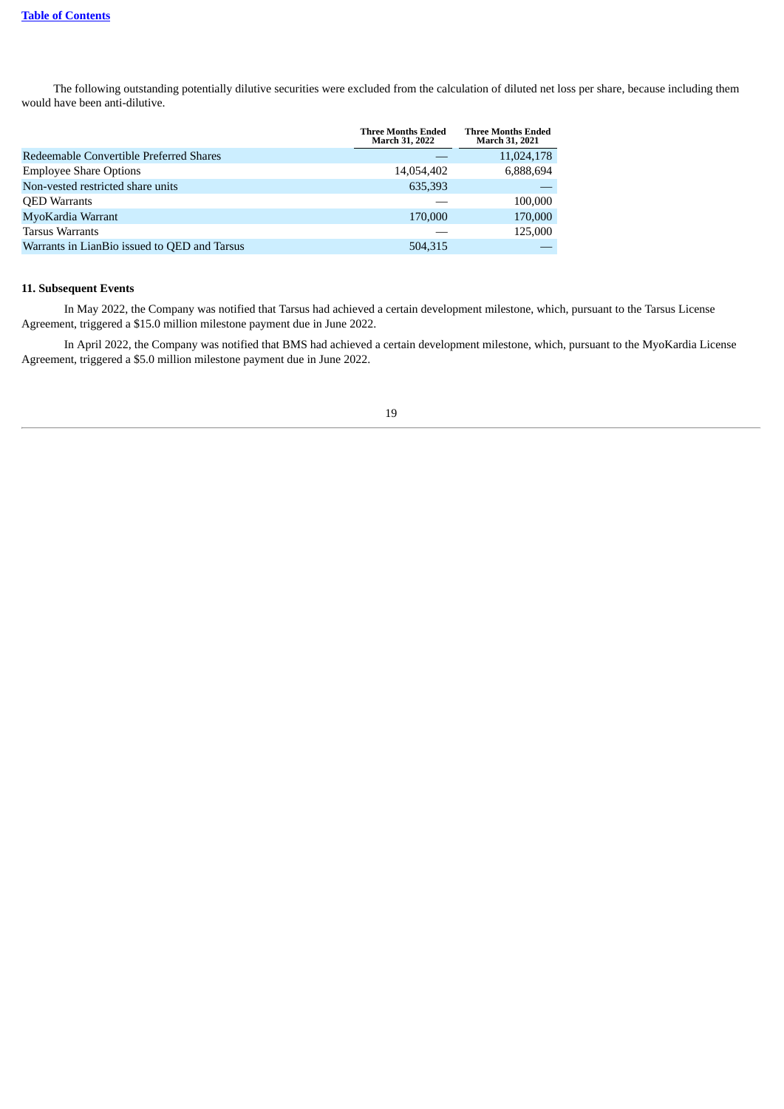The following outstanding potentially dilutive securities were excluded from the calculation of diluted net loss per share, because including them would have been anti-dilutive.

|                                              | Three Months Ended<br><b>March 31, 2022</b> | Three Months Ended<br><b>March 31, 2021</b> |
|----------------------------------------------|---------------------------------------------|---------------------------------------------|
| Redeemable Convertible Preferred Shares      |                                             | 11,024,178                                  |
| <b>Employee Share Options</b>                | 14,054,402                                  | 6,888,694                                   |
| Non-vested restricted share units            | 635,393                                     |                                             |
| <b>QED Warrants</b>                          |                                             | 100,000                                     |
| MyoKardia Warrant                            | 170,000                                     | 170,000                                     |
| <b>Tarsus Warrants</b>                       |                                             | 125,000                                     |
| Warrants in LianBio issued to QED and Tarsus | 504,315                                     |                                             |

#### **11. Subsequent Events**

In May 2022, the Company was notified that Tarsus had achieved a certain development milestone, which, pursuant to the Tarsus License Agreement, triggered a \$15.0 million milestone payment due in June 2022.

<span id="page-19-0"></span>In April 2022, the Company was notified that BMS had achieved a certain development milestone, which, pursuant to the MyoKardia License Agreement, triggered a \$5.0 million milestone payment due in June 2022.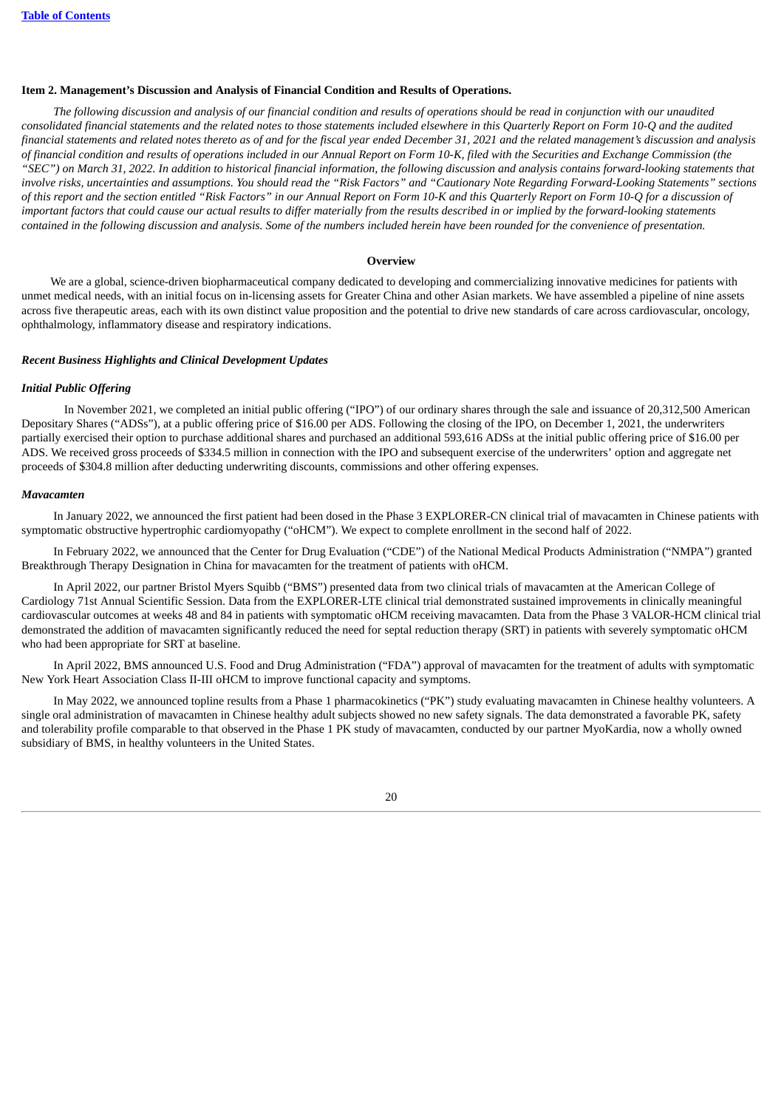#### **Item 2. Management's Discussion and Analysis of Financial Condition and Results of Operations.**

The following discussion and analysis of our financial condition and results of operations should be read in conjunction with our unaudited consolidated financial statements and the related notes to those statements included elsewhere in this Quarterly Report on Form 10-Q and the audited financial statements and related notes thereto as of and for the fiscal year ended December 31, 2021 and the related management's discussion and analysis of financial condition and results of operations included in our Annual Report on Form 10-K, filed with the Securities and Exchange Commission (the "SEC") on March 31, 2022. In addition to historical financial information, the following discussion and analysis contains forward-looking statements that involve risks, uncertainties and assumptions. You should read the "Risk Factors" and "Cautionary Note Regarding Forward-Looking Statements" sections of this report and the section entitled "Risk Factors" in our Annual Report on Form 10-K and this Ouarterly Report on Form 10-O for a discussion of important factors that could cause our actual results to differ materially from the results described in or implied by the forward-looking statements contained in the following discussion and analysis. Some of the numbers included herein have been rounded for the convenience of presentation.

#### **Overview**

We are a global, science-driven biopharmaceutical company dedicated to developing and commercializing innovative medicines for patients with unmet medical needs, with an initial focus on in-licensing assets for Greater China and other Asian markets. We have assembled a pipeline of nine assets across five therapeutic areas, each with its own distinct value proposition and the potential to drive new standards of care across cardiovascular, oncology, ophthalmology, inflammatory disease and respiratory indications.

#### *Recent Business Highlights and Clinical Development Updates*

#### *Initial Public Offering*

In November 2021, we completed an initial public offering ("IPO") of our ordinary shares through the sale and issuance of 20,312,500 American Depositary Shares ("ADSs"), at a public offering price of \$16.00 per ADS. Following the closing of the IPO, on December 1, 2021, the underwriters partially exercised their option to purchase additional shares and purchased an additional 593,616 ADSs at the initial public offering price of \$16.00 per ADS. We received gross proceeds of \$334.5 million in connection with the IPO and subsequent exercise of the underwriters' option and aggregate net proceeds of \$304.8 million after deducting underwriting discounts, commissions and other offering expenses.

#### *Mavacamten*

In January 2022, we announced the first patient had been dosed in the Phase 3 EXPLORER-CN clinical trial of mavacamten in Chinese patients with symptomatic obstructive hypertrophic cardiomyopathy ("oHCM"). We expect to complete enrollment in the second half of 2022.

In February 2022, we announced that the Center for Drug Evaluation ("CDE") of the National Medical Products Administration ("NMPA") granted Breakthrough Therapy Designation in China for mavacamten for the treatment of patients with oHCM.

In April 2022, our partner Bristol Myers Squibb ("BMS") presented data from two clinical trials of mavacamten at the American College of Cardiology 71st Annual Scientific Session. Data from the EXPLORER-LTE clinical trial demonstrated sustained improvements in clinically meaningful cardiovascular outcomes at weeks 48 and 84 in patients with symptomatic oHCM receiving mavacamten. Data from the Phase 3 VALOR-HCM clinical trial demonstrated the addition of mavacamten significantly reduced the need for septal reduction therapy (SRT) in patients with severely symptomatic oHCM who had been appropriate for SRT at baseline.

In April 2022, BMS announced U.S. Food and Drug Administration ("FDA") approval of mavacamten for the treatment of adults with symptomatic New York Heart Association Class II-III oHCM to improve functional capacity and symptoms.

In May 2022, we announced topline results from a Phase 1 pharmacokinetics ("PK") study evaluating mavacamten in Chinese healthy volunteers. A single oral administration of mavacamten in Chinese healthy adult subjects showed no new safety signals. The data demonstrated a favorable PK, safety and tolerability profile comparable to that observed in the Phase 1 PK study of mavacamten, conducted by our partner MyoKardia, now a wholly owned subsidiary of BMS, in healthy volunteers in the United States.

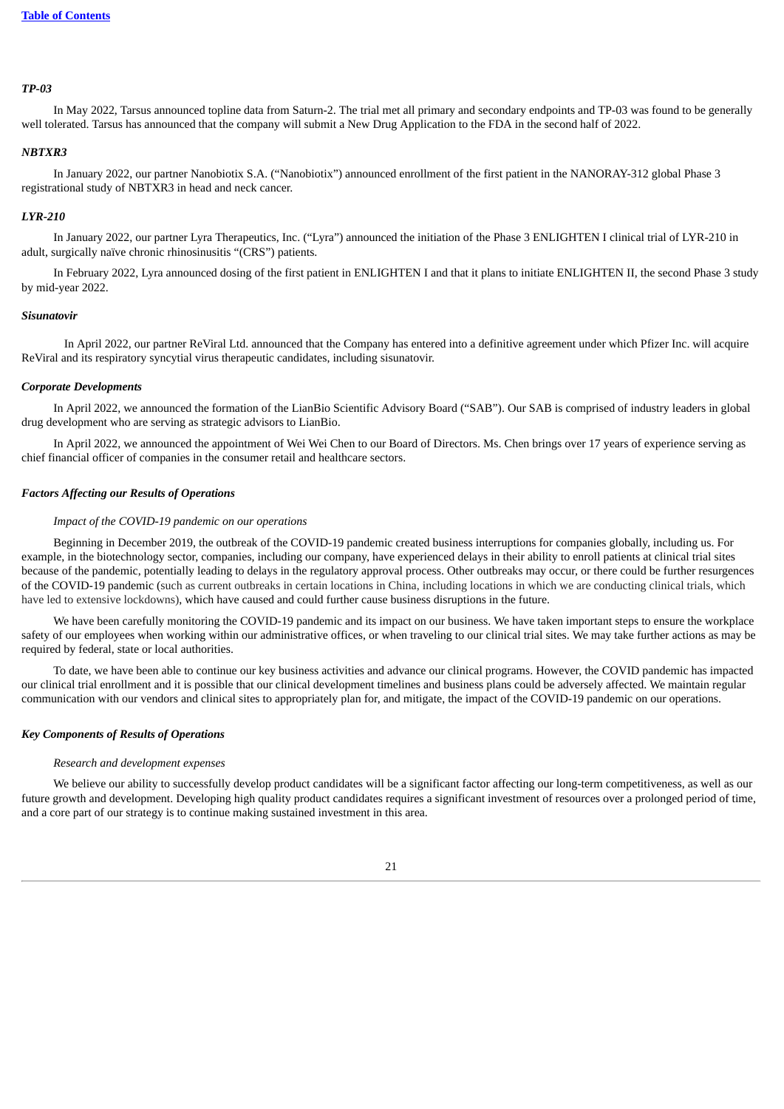#### *TP-03*

In May 2022, Tarsus announced topline data from Saturn-2. The trial met all primary and secondary endpoints and TP-03 was found to be generally well tolerated. Tarsus has announced that the company will submit a New Drug Application to the FDA in the second half of 2022.

#### *NBTXR3*

In January 2022, our partner Nanobiotix S.A. ("Nanobiotix") announced enrollment of the first patient in the NANORAY-312 global Phase 3 registrational study of NBTXR3 in head and neck cancer.

#### *LYR-210*

In January 2022, our partner Lyra Therapeutics, Inc. ("Lyra") announced the initiation of the Phase 3 ENLIGHTEN I clinical trial of LYR-210 in adult, surgically naïve chronic rhinosinusitis "(CRS") patients.

In February 2022, Lyra announced dosing of the first patient in ENLIGHTEN I and that it plans to initiate ENLIGHTEN II, the second Phase 3 study by mid-year 2022.

#### *Sisunatovir*

In April 2022, our partner ReViral Ltd. announced that the Company has entered into a definitive agreement under which Pfizer Inc. will acquire ReViral and its respiratory syncytial virus therapeutic candidates, including sisunatovir.

#### *Corporate Developments*

In April 2022, we announced the formation of the LianBio Scientific Advisory Board ("SAB"). Our SAB is comprised of industry leaders in global drug development who are serving as strategic advisors to LianBio.

In April 2022, we announced the appointment of Wei Wei Chen to our Board of Directors. Ms. Chen brings over 17 years of experience serving as chief financial officer of companies in the consumer retail and healthcare sectors.

## *Factors Affecting our Results of Operations*

#### *Impact of the COVID-19 pandemic on our operations*

Beginning in December 2019, the outbreak of the COVID-19 pandemic created business interruptions for companies globally, including us. For example, in the biotechnology sector, companies, including our company, have experienced delays in their ability to enroll patients at clinical trial sites because of the pandemic, potentially leading to delays in the regulatory approval process. Other outbreaks may occur, or there could be further resurgences of the COVID-19 pandemic (such as current outbreaks in certain locations in China, including locations in which we are conducting clinical trials, which have led to extensive lockdowns), which have caused and could further cause business disruptions in the future.

We have been carefully monitoring the COVID-19 pandemic and its impact on our business. We have taken important steps to ensure the workplace safety of our employees when working within our administrative offices, or when traveling to our clinical trial sites. We may take further actions as may be required by federal, state or local authorities.

To date, we have been able to continue our key business activities and advance our clinical programs. However, the COVID pandemic has impacted our clinical trial enrollment and it is possible that our clinical development timelines and business plans could be adversely affected. We maintain regular communication with our vendors and clinical sites to appropriately plan for, and mitigate, the impact of the COVID-19 pandemic on our operations.

#### *Key Components of Results of Operations*

# *Research and development expenses*

We believe our ability to successfully develop product candidates will be a significant factor affecting our long-term competitiveness, as well as our future growth and development. Developing high quality product candidates requires a significant investment of resources over a prolonged period of time, and a core part of our strategy is to continue making sustained investment in this area.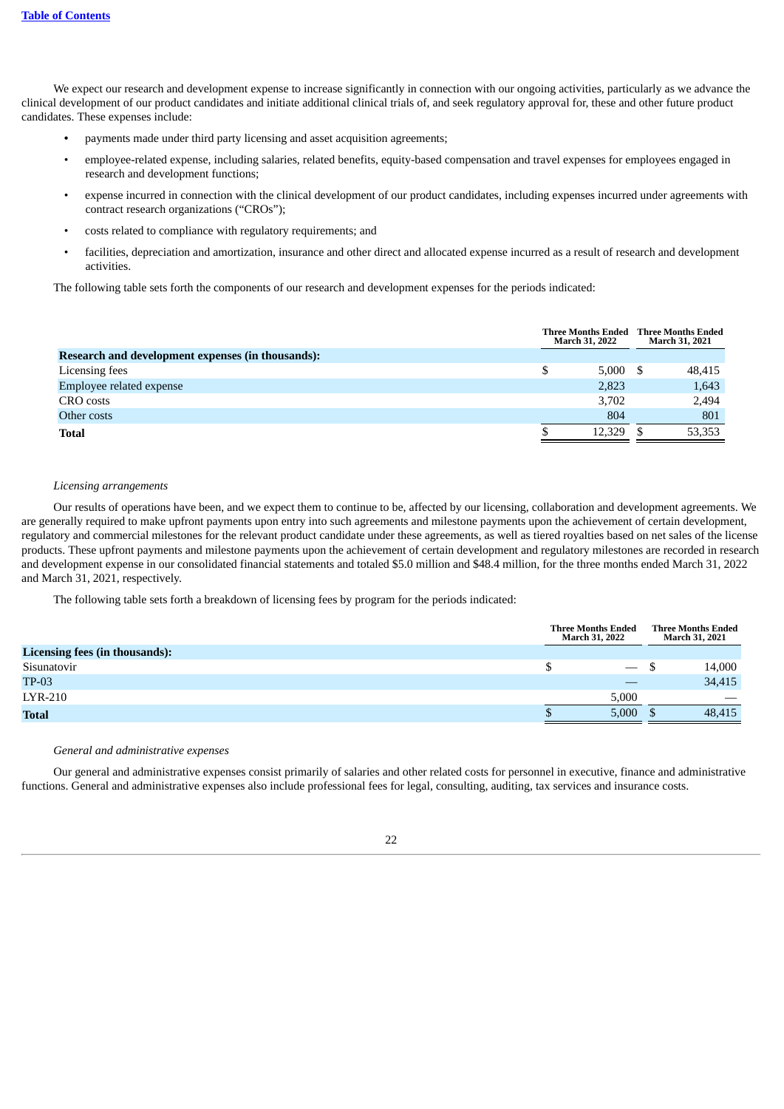We expect our research and development expense to increase significantly in connection with our ongoing activities, particularly as we advance the clinical development of our product candidates and initiate additional clinical trials of, and seek regulatory approval for, these and other future product candidates. These expenses include:

- payments made under third party licensing and asset acquisition agreements;
- employee-related expense, including salaries, related benefits, equity-based compensation and travel expenses for employees engaged in research and development functions;
- expense incurred in connection with the clinical development of our product candidates, including expenses incurred under agreements with contract research organizations ("CROs");
- costs related to compliance with regulatory requirements; and
- facilities, depreciation and amortization, insurance and other direct and allocated expense incurred as a result of research and development activities.

The following table sets forth the components of our research and development expenses for the periods indicated:

|                                                   |    | Three Months Ended<br>March 31, 2022 |  |        |  | <b>Three Months Ended</b><br>March 31, 2021 |
|---------------------------------------------------|----|--------------------------------------|--|--------|--|---------------------------------------------|
| Research and development expenses (in thousands): |    |                                      |  |        |  |                                             |
| Licensing fees                                    | \$ | 5,000                                |  | 48,415 |  |                                             |
| Employee related expense                          |    | 2,823                                |  | 1,643  |  |                                             |
| <b>CRO</b> costs                                  |    | 3.702                                |  | 2,494  |  |                                             |
| Other costs                                       |    | 804                                  |  | 801    |  |                                             |
| Total                                             |    | 12,329                               |  | 53,353 |  |                                             |

#### *Licensing arrangements*

Our results of operations have been, and we expect them to continue to be, affected by our licensing, collaboration and development agreements. We are generally required to make upfront payments upon entry into such agreements and milestone payments upon the achievement of certain development, regulatory and commercial milestones for the relevant product candidate under these agreements, as well as tiered royalties based on net sales of the license products. These upfront payments and milestone payments upon the achievement of certain development and regulatory milestones are recorded in research and development expense in our consolidated financial statements and totaled \$5.0 million and \$48.4 million, for the three months ended March 31, 2022 and March 31, 2021, respectively.

The following table sets forth a breakdown of licensing fees by program for the periods indicated:

|                                | <b>Three Months Ended</b><br><b>March 31, 2022</b> |  | <b>Three Months Ended</b><br>March 31, 2021 |
|--------------------------------|----------------------------------------------------|--|---------------------------------------------|
| Licensing fees (in thousands): |                                                    |  |                                             |
| Sisunatovir                    | $\hspace{0.05cm}$                                  |  | 14,000                                      |
| $TP-03$                        |                                                    |  | 34,415                                      |
| $LYR-210$                      | 5,000                                              |  | $\overline{\phantom{a}}$                    |
| <b>Total</b>                   | 5,000                                              |  | 48,415                                      |

#### *General and administrative expenses*

Our general and administrative expenses consist primarily of salaries and other related costs for personnel in executive, finance and administrative functions. General and administrative expenses also include professional fees for legal, consulting, auditing, tax services and insurance costs.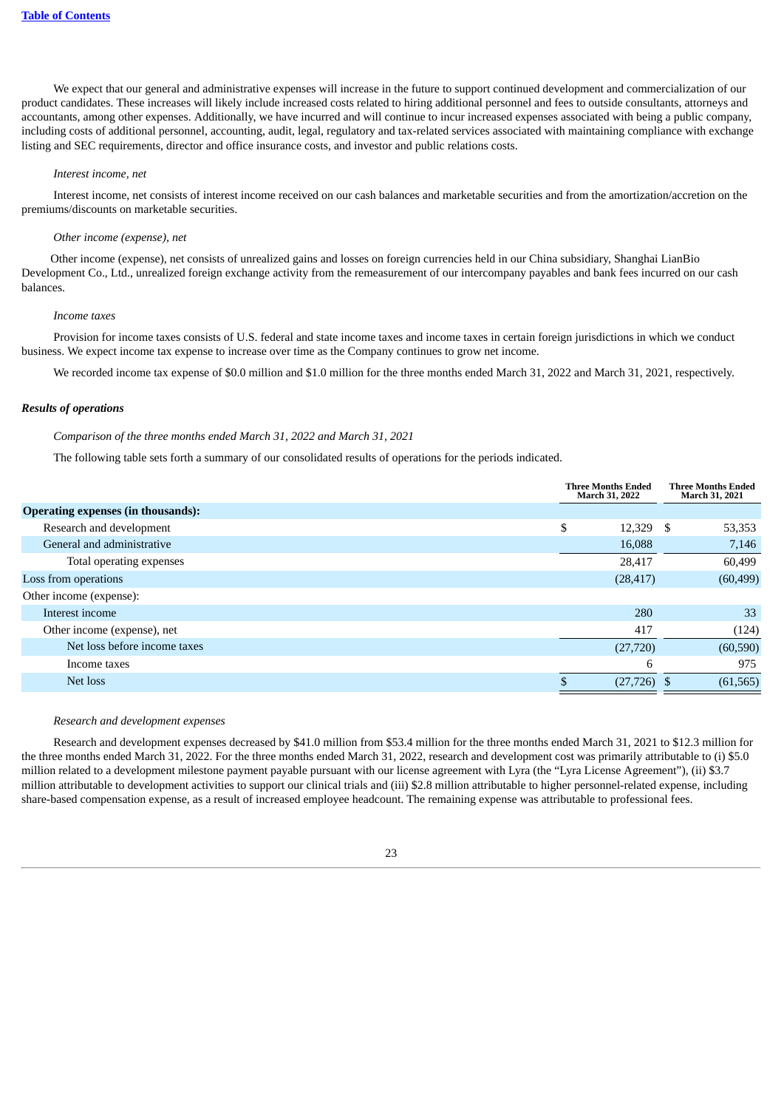We expect that our general and administrative expenses will increase in the future to support continued development and commercialization of our product candidates. These increases will likely include increased costs related to hiring additional personnel and fees to outside consultants, attorneys and accountants, among other expenses. Additionally, we have incurred and will continue to incur increased expenses associated with being a public company, including costs of additional personnel, accounting, audit, legal, regulatory and tax-related services associated with maintaining compliance with exchange listing and SEC requirements, director and office insurance costs, and investor and public relations costs.

#### *Interest income, net*

Interest income, net consists of interest income received on our cash balances and marketable securities and from the amortization/accretion on the premiums/discounts on marketable securities.

#### *Other income (expense), net*

Other income (expense), net consists of unrealized gains and losses on foreign currencies held in our China subsidiary, Shanghai LianBio Development Co., Ltd., unrealized foreign exchange activity from the remeasurement of our intercompany payables and bank fees incurred on our cash balances.

#### *Income taxes*

Provision for income taxes consists of U.S. federal and state income taxes and income taxes in certain foreign jurisdictions in which we conduct business. We expect income tax expense to increase over time as the Company continues to grow net income.

We recorded income tax expense of \$0.0 million and \$1.0 million for the three months ended March 31, 2022 and March 31, 2021, respectively.

#### *Results of operations*

#### *Comparison of the three months ended March 31, 2022 and March 31, 2021*

The following table sets forth a summary of our consolidated results of operations for the periods indicated.

|                                           | <b>Three Months Ended</b><br><b>March 31, 2022</b> | <b>Three Months Ended</b><br>March 31, 2021 |
|-------------------------------------------|----------------------------------------------------|---------------------------------------------|
| <b>Operating expenses (in thousands):</b> |                                                    |                                             |
| Research and development                  | \$<br>12,329                                       | 53,353<br>-S                                |
| General and administrative                | 16,088                                             | 7,146                                       |
| Total operating expenses                  | 28,417                                             | 60.499                                      |
| Loss from operations                      | (28, 417)                                          | (60, 499)                                   |
| Other income (expense):                   |                                                    |                                             |
| Interest income                           | 280                                                | 33                                          |
| Other income (expense), net               | 417                                                | (124)                                       |
| Net loss before income taxes              | (27, 720)                                          | (60, 590)                                   |
| Income taxes                              | 6                                                  | 975                                         |
| Net loss                                  | $(27,726)$ \$                                      | (61, 565)                                   |

#### *Research and development expenses*

Research and development expenses decreased by \$41.0 million from \$53.4 million for the three months ended March 31, 2021 to \$12.3 million for the three months ended March 31, 2022. For the three months ended March 31, 2022, research and development cost was primarily attributable to (i) \$5.0 million related to a development milestone payment payable pursuant with our license agreement with Lyra (the "Lyra License Agreement"), (ii) \$3.7 million attributable to development activities to support our clinical trials and (iii) \$2.8 million attributable to higher personnel-related expense, including share-based compensation expense, as a result of increased employee headcount. The remaining expense was attributable to professional fees.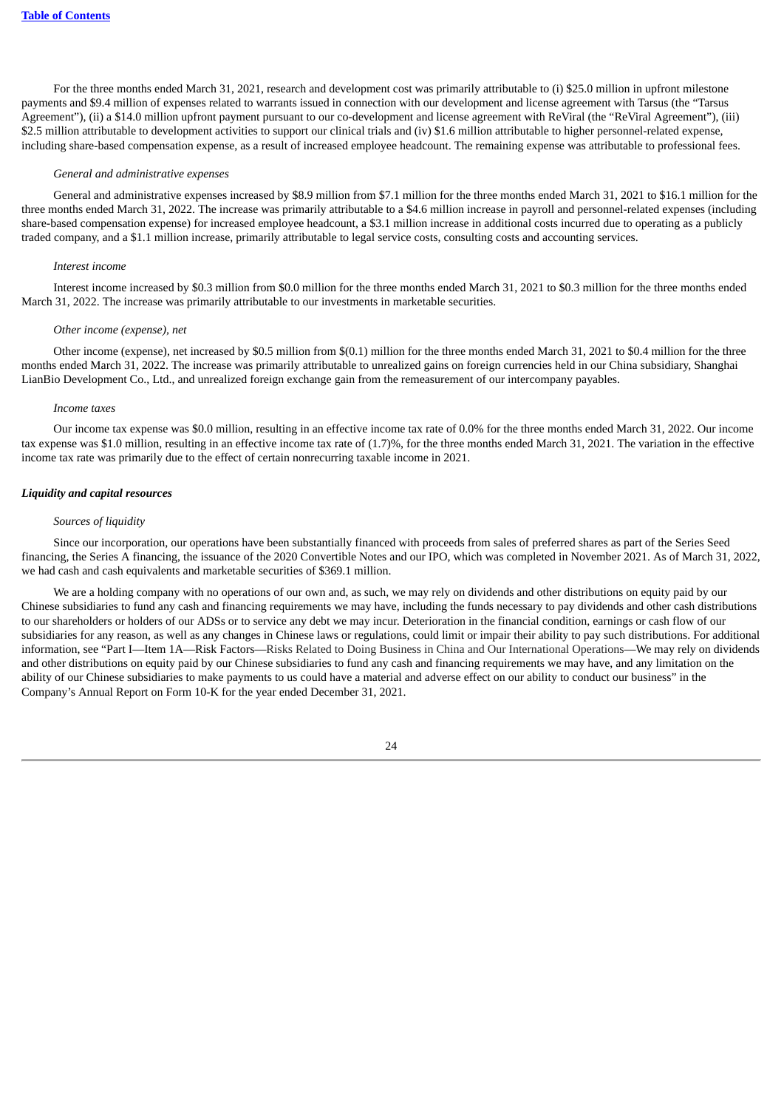For the three months ended March 31, 2021, research and development cost was primarily attributable to (i) \$25.0 million in upfront milestone payments and \$9.4 million of expenses related to warrants issued in connection with our development and license agreement with Tarsus (the "Tarsus Agreement"), (ii) a \$14.0 million upfront payment pursuant to our co-development and license agreement with ReViral (the "ReViral Agreement"), (iii) \$2.5 million attributable to development activities to support our clinical trials and (iv) \$1.6 million attributable to higher personnel-related expense, including share-based compensation expense, as a result of increased employee headcount. The remaining expense was attributable to professional fees.

#### *General and administrative expenses*

General and administrative expenses increased by \$8.9 million from \$7.1 million for the three months ended March 31, 2021 to \$16.1 million for the three months ended March 31, 2022. The increase was primarily attributable to a \$4.6 million increase in payroll and personnel-related expenses (including share-based compensation expense) for increased employee headcount, a \$3.1 million increase in additional costs incurred due to operating as a publicly traded company, and a \$1.1 million increase, primarily attributable to legal service costs, consulting costs and accounting services.

#### *Interest income*

Interest income increased by \$0.3 million from \$0.0 million for the three months ended March 31, 2021 to \$0.3 million for the three months ended March 31, 2022. The increase was primarily attributable to our investments in marketable securities.

#### *Other income (expense), net*

Other income (expense), net increased by \$0.5 million from \$(0.1) million for the three months ended March 31, 2021 to \$0.4 million for the three months ended March 31, 2022. The increase was primarily attributable to unrealized gains on foreign currencies held in our China subsidiary, Shanghai LianBio Development Co., Ltd., and unrealized foreign exchange gain from the remeasurement of our intercompany payables.

#### *Income taxes*

Our income tax expense was \$0.0 million, resulting in an effective income tax rate of 0.0% for the three months ended March 31, 2022. Our income tax expense was \$1.0 million, resulting in an effective income tax rate of (1.7)%, for the three months ended March 31, 2021. The variation in the effective income tax rate was primarily due to the effect of certain nonrecurring taxable income in 2021.

# *Liquidity and capital resources*

#### *Sources of liquidity*

Since our incorporation, our operations have been substantially financed with proceeds from sales of preferred shares as part of the Series Seed financing, the Series A financing, the issuance of the 2020 Convertible Notes and our IPO, which was completed in November 2021. As of March 31, 2022, we had cash and cash equivalents and marketable securities of \$369.1 million.

We are a holding company with no operations of our own and, as such, we may rely on dividends and other distributions on equity paid by our Chinese subsidiaries to fund any cash and financing requirements we may have, including the funds necessary to pay dividends and other cash distributions to our shareholders or holders of our ADSs or to service any debt we may incur. Deterioration in the financial condition, earnings or cash flow of our subsidiaries for any reason, as well as any changes in Chinese laws or regulations, could limit or impair their ability to pay such distributions. For additional information, see "Part I—Item 1A—Risk Factors—Risks Related to Doing Business in China and Our International Operations—We may rely on dividends and other distributions on equity paid by our Chinese subsidiaries to fund any cash and financing requirements we may have, and any limitation on the ability of our Chinese subsidiaries to make payments to us could have a material and adverse effect on our ability to conduct our business" in the Company's Annual Report on Form 10-K for the year ended December 31, 2021.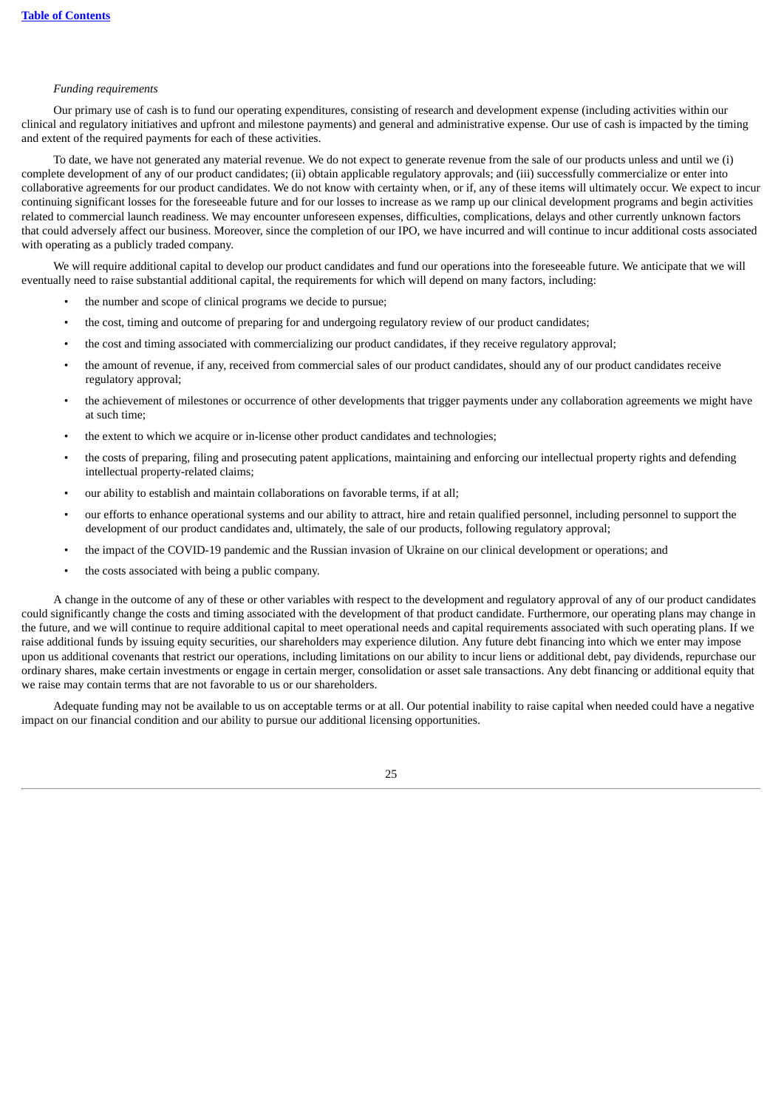#### *Funding requirements*

Our primary use of cash is to fund our operating expenditures, consisting of research and development expense (including activities within our clinical and regulatory initiatives and upfront and milestone payments) and general and administrative expense. Our use of cash is impacted by the timing and extent of the required payments for each of these activities.

To date, we have not generated any material revenue. We do not expect to generate revenue from the sale of our products unless and until we (i) complete development of any of our product candidates; (ii) obtain applicable regulatory approvals; and (iii) successfully commercialize or enter into collaborative agreements for our product candidates. We do not know with certainty when, or if, any of these items will ultimately occur. We expect to incur continuing significant losses for the foreseeable future and for our losses to increase as we ramp up our clinical development programs and begin activities related to commercial launch readiness. We may encounter unforeseen expenses, difficulties, complications, delays and other currently unknown factors that could adversely affect our business. Moreover, since the completion of our IPO, we have incurred and will continue to incur additional costs associated with operating as a publicly traded company.

We will require additional capital to develop our product candidates and fund our operations into the foreseeable future. We anticipate that we will eventually need to raise substantial additional capital, the requirements for which will depend on many factors, including:

- the number and scope of clinical programs we decide to pursue;
- the cost, timing and outcome of preparing for and undergoing regulatory review of our product candidates;
- the cost and timing associated with commercializing our product candidates, if they receive regulatory approval;
- the amount of revenue, if any, received from commercial sales of our product candidates, should any of our product candidates receive regulatory approval;
- the achievement of milestones or occurrence of other developments that trigger payments under any collaboration agreements we might have at such time;
- the extent to which we acquire or in-license other product candidates and technologies;
- the costs of preparing, filing and prosecuting patent applications, maintaining and enforcing our intellectual property rights and defending intellectual property-related claims;
- our ability to establish and maintain collaborations on favorable terms, if at all;
- our efforts to enhance operational systems and our ability to attract, hire and retain qualified personnel, including personnel to support the development of our product candidates and, ultimately, the sale of our products, following regulatory approval;
- the impact of the COVID-19 pandemic and the Russian invasion of Ukraine on our clinical development or operations; and
- the costs associated with being a public company.

A change in the outcome of any of these or other variables with respect to the development and regulatory approval of any of our product candidates could significantly change the costs and timing associated with the development of that product candidate. Furthermore, our operating plans may change in the future, and we will continue to require additional capital to meet operational needs and capital requirements associated with such operating plans. If we raise additional funds by issuing equity securities, our shareholders may experience dilution. Any future debt financing into which we enter may impose upon us additional covenants that restrict our operations, including limitations on our ability to incur liens or additional debt, pay dividends, repurchase our ordinary shares, make certain investments or engage in certain merger, consolidation or asset sale transactions. Any debt financing or additional equity that we raise may contain terms that are not favorable to us or our shareholders.

Adequate funding may not be available to us on acceptable terms or at all. Our potential inability to raise capital when needed could have a negative impact on our financial condition and our ability to pursue our additional licensing opportunities.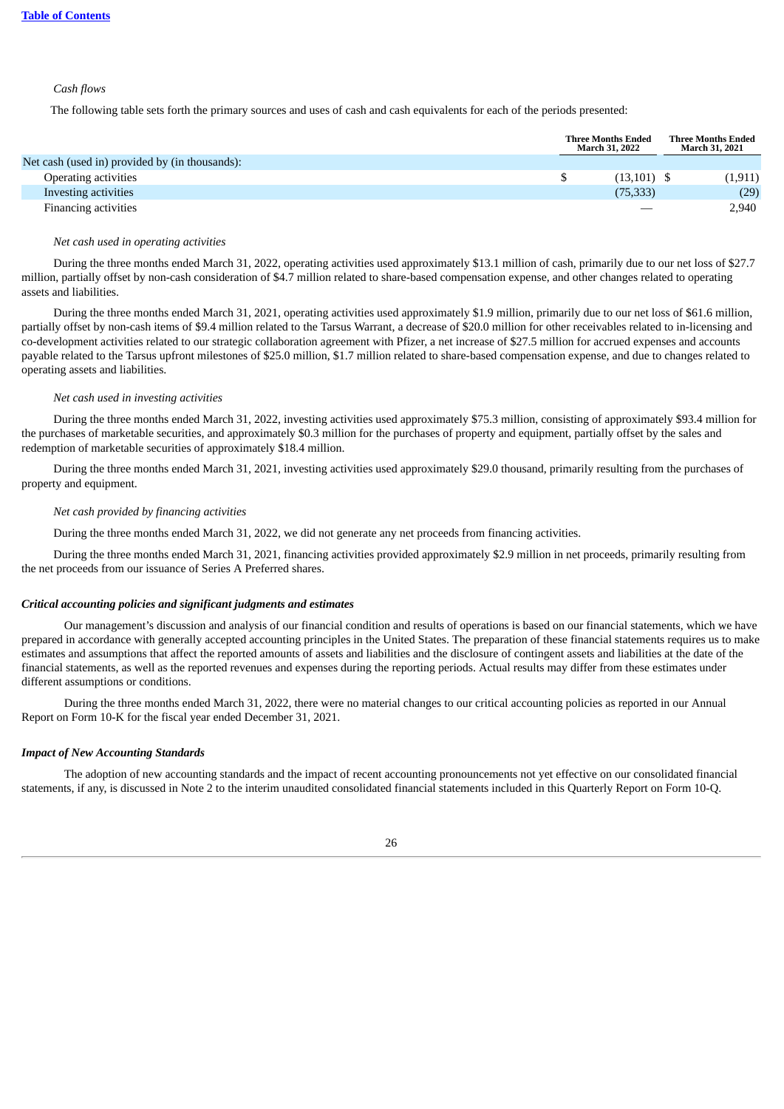# *Cash flows*

The following table sets forth the primary sources and uses of cash and cash equivalents for each of the periods presented:

|                                                | <b>Three Months Ended</b><br><b>March 31, 2022</b> |  | <b>Three Months Ended</b><br><b>March 31, 2021</b> |  |
|------------------------------------------------|----------------------------------------------------|--|----------------------------------------------------|--|
| Net cash (used in) provided by (in thousands): |                                                    |  |                                                    |  |
| <b>Operating activities</b>                    | (13, 101)                                          |  | (1, 911)                                           |  |
| Investing activities                           | (75, 333)                                          |  | (29)                                               |  |
| Financing activities                           |                                                    |  | 2,940                                              |  |

#### *Net cash used in operating activities*

During the three months ended March 31, 2022, operating activities used approximately \$13.1 million of cash, primarily due to our net loss of \$27.7 million, partially offset by non-cash consideration of \$4.7 million related to share-based compensation expense, and other changes related to operating assets and liabilities.

During the three months ended March 31, 2021, operating activities used approximately \$1.9 million, primarily due to our net loss of \$61.6 million, partially offset by non-cash items of \$9.4 million related to the Tarsus Warrant, a decrease of \$20.0 million for other receivables related to in-licensing and co-development activities related to our strategic collaboration agreement with Pfizer, a net increase of \$27.5 million for accrued expenses and accounts payable related to the Tarsus upfront milestones of \$25.0 million, \$1.7 million related to share-based compensation expense, and due to changes related to operating assets and liabilities.

#### *Net cash used in investing activities*

During the three months ended March 31, 2022, investing activities used approximately \$75.3 million, consisting of approximately \$93.4 million for the purchases of marketable securities, and approximately \$0.3 million for the purchases of property and equipment, partially offset by the sales and redemption of marketable securities of approximately \$18.4 million.

During the three months ended March 31, 2021, investing activities used approximately \$29.0 thousand, primarily resulting from the purchases of property and equipment.

## *Net cash provided by financing activities*

During the three months ended March 31, 2022, we did not generate any net proceeds from financing activities.

During the three months ended March 31, 2021, financing activities provided approximately \$2.9 million in net proceeds, primarily resulting from the net proceeds from our issuance of Series A Preferred shares.

#### *Critical accounting policies and significant judgments and estimates*

Our management's discussion and analysis of our financial condition and results of operations is based on our financial statements, which we have prepared in accordance with generally accepted accounting principles in the United States. The preparation of these financial statements requires us to make estimates and assumptions that affect the reported amounts of assets and liabilities and the disclosure of contingent assets and liabilities at the date of the financial statements, as well as the reported revenues and expenses during the reporting periods. Actual results may differ from these estimates under different assumptions or conditions.

During the three months ended March 31, 2022, there were no material changes to our critical accounting policies as reported in our Annual Report on Form 10-K for the fiscal year ended December 31, 2021.

#### *Impact of New Accounting Standards*

<span id="page-26-0"></span>The adoption of new accounting standards and the impact of recent accounting pronouncements not yet effective on our consolidated financial statements, if any, is discussed in Note 2 to the interim unaudited consolidated financial statements included in this Quarterly Report on Form 10-Q.

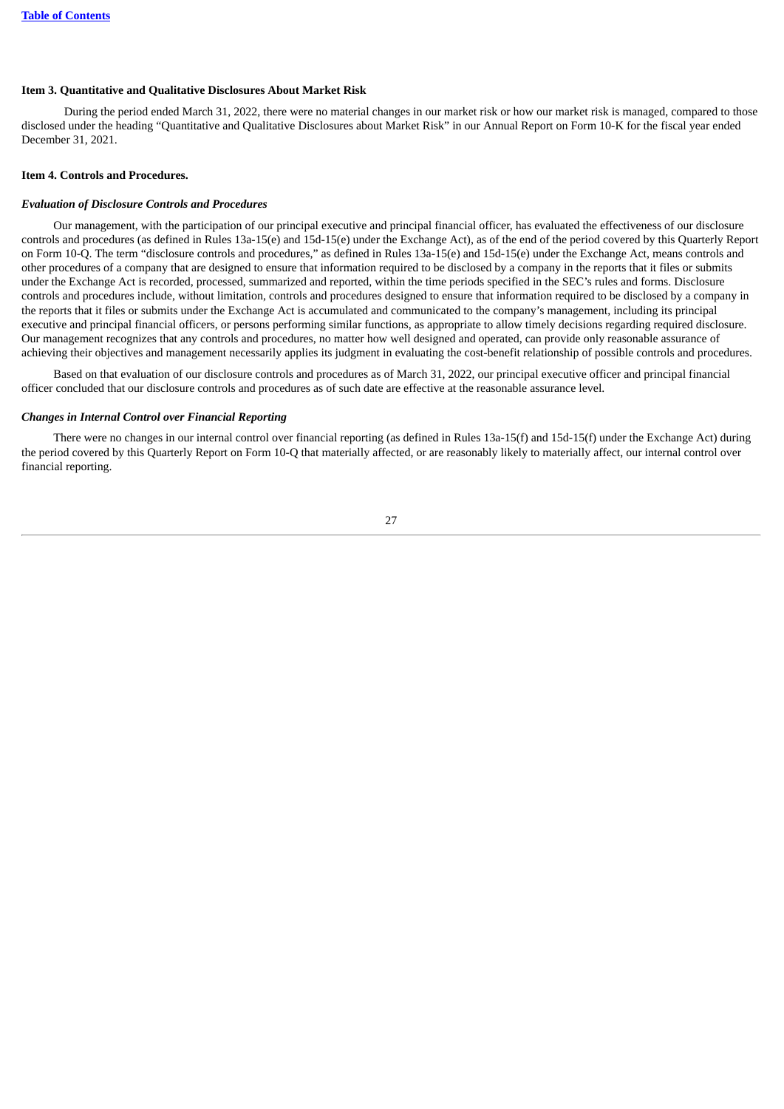## **Item 3. Quantitative and Qualitative Disclosures About Market Risk**

During the period ended March 31, 2022, there were no material changes in our market risk or how our market risk is managed, compared to those disclosed under the heading "Quantitative and Qualitative Disclosures about Market Risk" in our Annual Report on Form 10-K for the fiscal year ended December 31, 2021.

#### <span id="page-27-0"></span>**Item 4. Controls and Procedures.**

#### *Evaluation of Disclosure Controls and Procedures*

Our management, with the participation of our principal executive and principal financial officer, has evaluated the effectiveness of our disclosure controls and procedures (as defined in Rules 13a-15(e) and 15d-15(e) under the Exchange Act), as of the end of the period covered by this Quarterly Report on Form 10-Q. The term "disclosure controls and procedures," as defined in Rules 13a-15(e) and 15d-15(e) under the Exchange Act, means controls and other procedures of a company that are designed to ensure that information required to be disclosed by a company in the reports that it files or submits under the Exchange Act is recorded, processed, summarized and reported, within the time periods specified in the SEC's rules and forms. Disclosure controls and procedures include, without limitation, controls and procedures designed to ensure that information required to be disclosed by a company in the reports that it files or submits under the Exchange Act is accumulated and communicated to the company's management, including its principal executive and principal financial officers, or persons performing similar functions, as appropriate to allow timely decisions regarding required disclosure. Our management recognizes that any controls and procedures, no matter how well designed and operated, can provide only reasonable assurance of achieving their objectives and management necessarily applies its judgment in evaluating the cost-benefit relationship of possible controls and procedures.

Based on that evaluation of our disclosure controls and procedures as of March 31, 2022, our principal executive officer and principal financial officer concluded that our disclosure controls and procedures as of such date are effective at the reasonable assurance level.

#### *Changes in Internal Control over Financial Reporting*

<span id="page-27-1"></span>There were no changes in our internal control over financial reporting (as defined in Rules 13a-15(f) and 15d-15(f) under the Exchange Act) during the period covered by this Quarterly Report on Form 10-Q that materially affected, or are reasonably likely to materially affect, our internal control over financial reporting.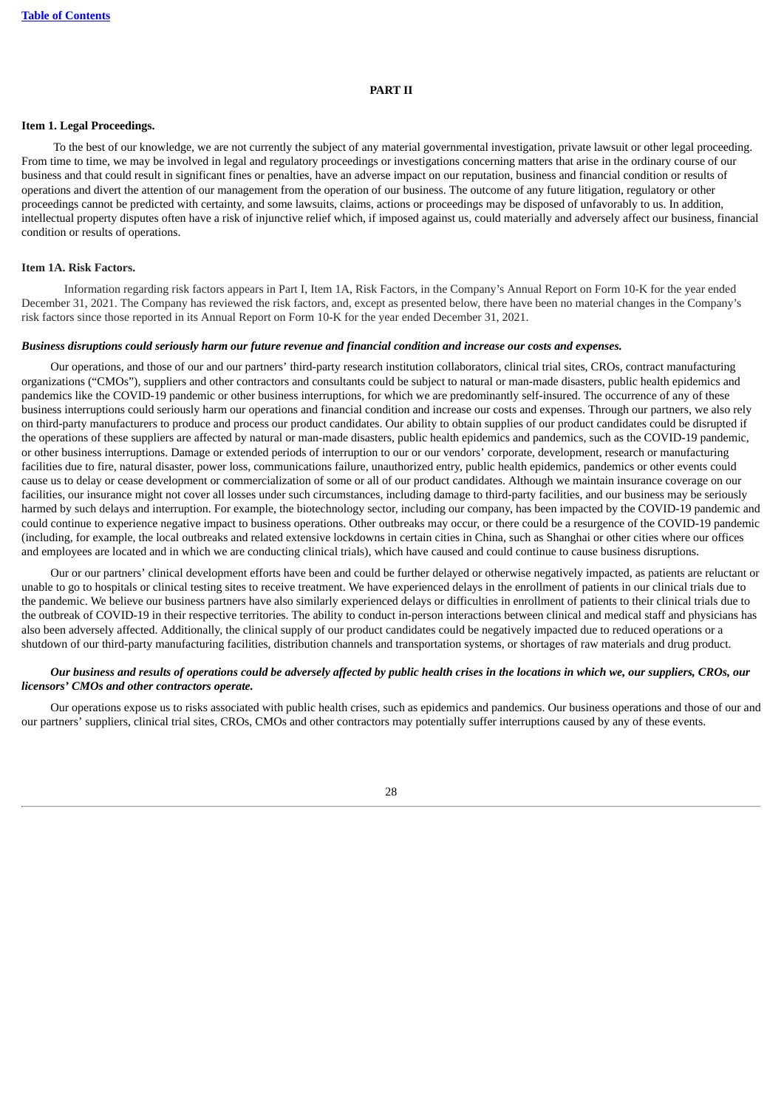#### **PART II**

# <span id="page-28-0"></span>**Item 1. Legal Proceedings.**

To the best of our knowledge, we are not currently the subject of any material governmental investigation, private lawsuit or other legal proceeding. From time to time, we may be involved in legal and regulatory proceedings or investigations concerning matters that arise in the ordinary course of our business and that could result in significant fines or penalties, have an adverse impact on our reputation, business and financial condition or results of operations and divert the attention of our management from the operation of our business. The outcome of any future litigation, regulatory or other proceedings cannot be predicted with certainty, and some lawsuits, claims, actions or proceedings may be disposed of unfavorably to us. In addition, intellectual property disputes often have a risk of injunctive relief which, if imposed against us, could materially and adversely affect our business, financial condition or results of operations.

# <span id="page-28-1"></span>**Item 1A. Risk Factors.**

Information regarding risk factors appears in Part I, Item 1A, Risk Factors, in the Company's Annual Report on Form 10-K for the year ended December 31, 2021. The Company has reviewed the risk factors, and, except as presented below, there have been no material changes in the Company's risk factors since those reported in its Annual Report on Form 10-K for the year ended December 31, 2021.

# Business disruptions could seriously harm our future revenue and financial condition and increase our costs and expenses.

Our operations, and those of our and our partners' third-party research institution collaborators, clinical trial sites, CROs, contract manufacturing organizations ("CMOs"), suppliers and other contractors and consultants could be subject to natural or man-made disasters, public health epidemics and pandemics like the COVID-19 pandemic or other business interruptions, for which we are predominantly self-insured. The occurrence of any of these business interruptions could seriously harm our operations and financial condition and increase our costs and expenses. Through our partners, we also rely on third-party manufacturers to produce and process our product candidates. Our ability to obtain supplies of our product candidates could be disrupted if the operations of these suppliers are affected by natural or man-made disasters, public health epidemics and pandemics, such as the COVID-19 pandemic, or other business interruptions. Damage or extended periods of interruption to our or our vendors' corporate, development, research or manufacturing facilities due to fire, natural disaster, power loss, communications failure, unauthorized entry, public health epidemics, pandemics or other events could cause us to delay or cease development or commercialization of some or all of our product candidates. Although we maintain insurance coverage on our facilities, our insurance might not cover all losses under such circumstances, including damage to third-party facilities, and our business may be seriously harmed by such delays and interruption. For example, the biotechnology sector, including our company, has been impacted by the COVID-19 pandemic and could continue to experience negative impact to business operations. Other outbreaks may occur, or there could be a resurgence of the COVID-19 pandemic (including, for example, the local outbreaks and related extensive lockdowns in certain cities in China, such as Shanghai or other cities where our offices and employees are located and in which we are conducting clinical trials), which have caused and could continue to cause business disruptions.

Our or our partners' clinical development efforts have been and could be further delayed or otherwise negatively impacted, as patients are reluctant or unable to go to hospitals or clinical testing sites to receive treatment. We have experienced delays in the enrollment of patients in our clinical trials due to the pandemic. We believe our business partners have also similarly experienced delays or difficulties in enrollment of patients to their clinical trials due to the outbreak of COVID-19 in their respective territories. The ability to conduct in-person interactions between clinical and medical staff and physicians has also been adversely affected. Additionally, the clinical supply of our product candidates could be negatively impacted due to reduced operations or a shutdown of our third-party manufacturing facilities, distribution channels and transportation systems, or shortages of raw materials and drug product.

# Our business and results of operations could be adversely affected by public health crises in the locations in which we, our suppliers, CROs, our *licensors' CMOs and other contractors operate.*

Our operations expose us to risks associated with public health crises, such as epidemics and pandemics. Our business operations and those of our and our partners' suppliers, clinical trial sites, CROs, CMOs and other contractors may potentially suffer interruptions caused by any of these events.

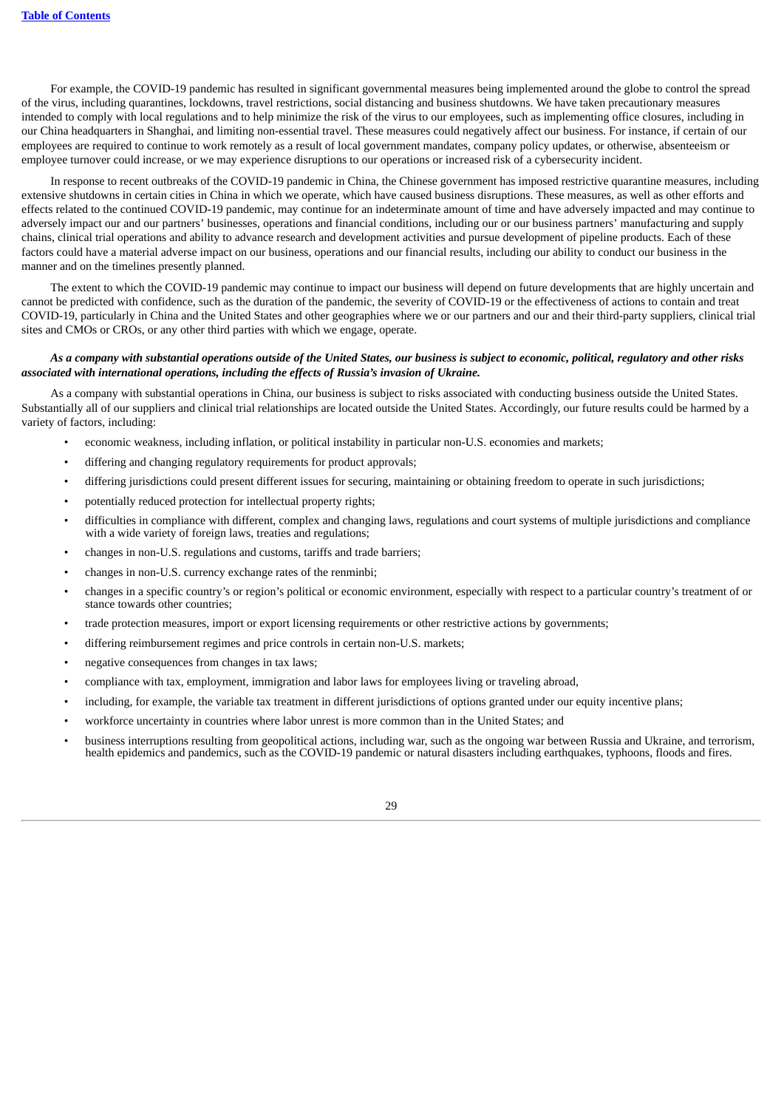For example, the COVID-19 pandemic has resulted in significant governmental measures being implemented around the globe to control the spread of the virus, including quarantines, lockdowns, travel restrictions, social distancing and business shutdowns. We have taken precautionary measures intended to comply with local regulations and to help minimize the risk of the virus to our employees, such as implementing office closures, including in our China headquarters in Shanghai, and limiting non-essential travel. These measures could negatively affect our business. For instance, if certain of our employees are required to continue to work remotely as a result of local government mandates, company policy updates, or otherwise, absenteeism or employee turnover could increase, or we may experience disruptions to our operations or increased risk of a cybersecurity incident.

In response to recent outbreaks of the COVID-19 pandemic in China, the Chinese government has imposed restrictive quarantine measures, including extensive shutdowns in certain cities in China in which we operate, which have caused business disruptions. These measures, as well as other efforts and effects related to the continued COVID-19 pandemic, may continue for an indeterminate amount of time and have adversely impacted and may continue to adversely impact our and our partners' businesses, operations and financial conditions, including our or our business partners' manufacturing and supply chains, clinical trial operations and ability to advance research and development activities and pursue development of pipeline products. Each of these factors could have a material adverse impact on our business, operations and our financial results, including our ability to conduct our business in the manner and on the timelines presently planned.

The extent to which the COVID-19 pandemic may continue to impact our business will depend on future developments that are highly uncertain and cannot be predicted with confidence, such as the duration of the pandemic, the severity of COVID-19 or the effectiveness of actions to contain and treat COVID-19, particularly in China and the United States and other geographies where we or our partners and our and their third-party suppliers, clinical trial sites and CMOs or CROs, or any other third parties with which we engage, operate.

## As a company with substantial operations outside of the United States, our business is subject to economic, political, requlatory and other risks *associated with international operations, including the effects of Russia's invasion of Ukraine.*

As a company with substantial operations in China, our business is subject to risks associated with conducting business outside the United States. Substantially all of our suppliers and clinical trial relationships are located outside the United States. Accordingly, our future results could be harmed by a variety of factors, including:

- economic weakness, including inflation, or political instability in particular non-U.S. economies and markets;
- differing and changing regulatory requirements for product approvals;
- differing jurisdictions could present different issues for securing, maintaining or obtaining freedom to operate in such jurisdictions;
- potentially reduced protection for intellectual property rights;
- difficulties in compliance with different, complex and changing laws, regulations and court systems of multiple jurisdictions and compliance with a wide variety of foreign laws, treaties and regulations;
- changes in non-U.S. regulations and customs, tariffs and trade barriers;
- changes in non-U.S. currency exchange rates of the renminbi;
- changes in a specific country's or region's political or economic environment, especially with respect to a particular country's treatment of or stance towards other countries;
- trade protection measures, import or export licensing requirements or other restrictive actions by governments;
- differing reimbursement regimes and price controls in certain non-U.S. markets;
- negative consequences from changes in tax laws;
- compliance with tax, employment, immigration and labor laws for employees living or traveling abroad,
- including, for example, the variable tax treatment in different jurisdictions of options granted under our equity incentive plans;
- workforce uncertainty in countries where labor unrest is more common than in the United States; and
- business interruptions resulting from geopolitical actions, including war, such as the ongoing war between Russia and Ukraine, and terrorism, health epidemics and pandemics, such as the COVID-19 pandemic or natural disasters including earthquakes, typhoons, floods and fires.

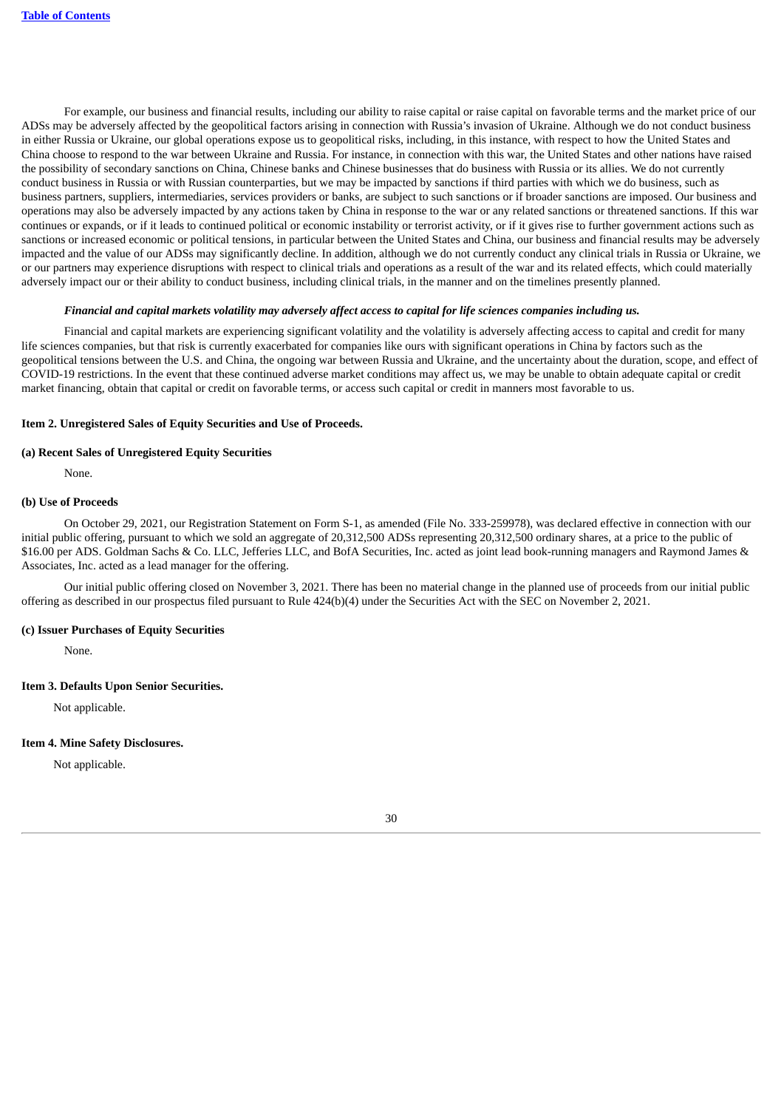For example, our business and financial results, including our ability to raise capital or raise capital on favorable terms and the market price of our ADSs may be adversely affected by the geopolitical factors arising in connection with Russia's invasion of Ukraine. Although we do not conduct business in either Russia or Ukraine, our global operations expose us to geopolitical risks, including, in this instance, with respect to how the United States and China choose to respond to the war between Ukraine and Russia. For instance, in connection with this war, the United States and other nations have raised the possibility of secondary sanctions on China, Chinese banks and Chinese businesses that do business with Russia or its allies. We do not currently conduct business in Russia or with Russian counterparties, but we may be impacted by sanctions if third parties with which we do business, such as business partners, suppliers, intermediaries, services providers or banks, are subject to such sanctions or if broader sanctions are imposed. Our business and operations may also be adversely impacted by any actions taken by China in response to the war or any related sanctions or threatened sanctions. If this war continues or expands, or if it leads to continued political or economic instability or terrorist activity, or if it gives rise to further government actions such as sanctions or increased economic or political tensions, in particular between the United States and China, our business and financial results may be adversely impacted and the value of our ADSs may significantly decline. In addition, although we do not currently conduct any clinical trials in Russia or Ukraine, we or our partners may experience disruptions with respect to clinical trials and operations as a result of the war and its related effects, which could materially adversely impact our or their ability to conduct business, including clinical trials, in the manner and on the timelines presently planned.

# Financial and capital markets volatility may adversely affect access to capital for life sciences companies including us.

Financial and capital markets are experiencing significant volatility and the volatility is adversely affecting access to capital and credit for many life sciences companies, but that risk is currently exacerbated for companies like ours with significant operations in China by factors such as the geopolitical tensions between the U.S. and China, the ongoing war between Russia and Ukraine, and the uncertainty about the duration, scope, and effect of COVID-19 restrictions. In the event that these continued adverse market conditions may affect us, we may be unable to obtain adequate capital or credit market financing, obtain that capital or credit on favorable terms, or access such capital or credit in manners most favorable to us.

#### <span id="page-30-2"></span>**Item 2. Unregistered Sales of Equity Securities and Use of Proceeds.**

## **(a) Recent Sales of Unregistered Equity Securities**

None.

#### **(b) Use of Proceeds**

On October 29, 2021, our Registration Statement on Form S-1, as amended (File No. 333-259978), was declared effective in connection with our initial public offering, pursuant to which we sold an aggregate of 20,312,500 ADSs representing 20,312,500 ordinary shares, at a price to the public of \$16.00 per ADS. Goldman Sachs & Co. LLC, Jefferies LLC, and BofA Securities, Inc. acted as joint lead book-running managers and Raymond James & Associates, Inc. acted as a lead manager for the offering.

Our initial public offering closed on November 3, 2021. There has been no material change in the planned use of proceeds from our initial public offering as described in our prospectus filed pursuant to Rule 424(b)(4) under the Securities Act with the SEC on November 2, 2021.

# **(c) Issuer Purchases of Equity Securities**

None.

#### <span id="page-30-0"></span>**Item 3. Defaults Upon Senior Securities.**

Not applicable.

# <span id="page-30-1"></span>**Item 4. Mine Safety Disclosures.**

<span id="page-30-3"></span>Not applicable.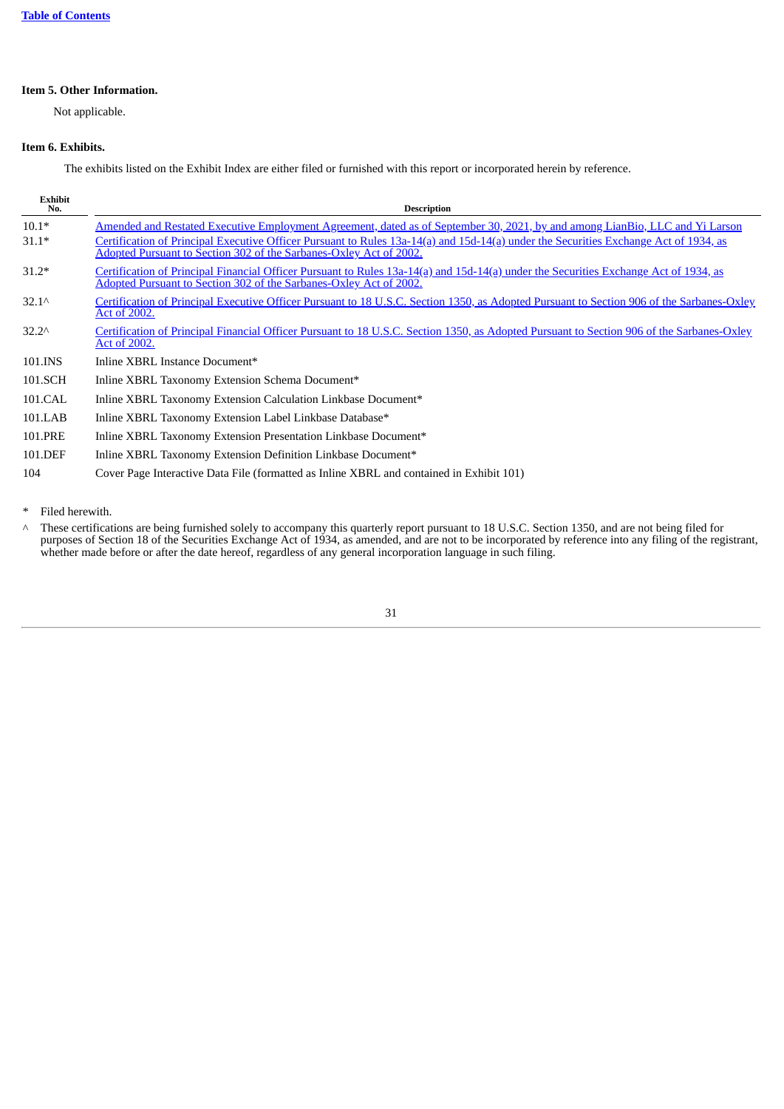# **Item 5. Other Information.**

Not applicable.

# <span id="page-31-0"></span>**Item 6. Exhibits.**

The exhibits listed on the Exhibit Index are either filed or furnished with this report or incorporated herein by reference.

| Exhibit<br>No. | <b>Description</b>                                                                                                                                                                                         |
|----------------|------------------------------------------------------------------------------------------------------------------------------------------------------------------------------------------------------------|
| $10.1*$        | Amended and Restated Executive Employment Agreement, dated as of September 30, 2021, by and among LianBio, LLC and Yi Larson                                                                               |
| $31.1*$        | Certification of Principal Executive Officer Pursuant to Rules 13a-14(a) and 15d-14(a) under the Securities Exchange Act of 1934, as<br>Adopted Pursuant to Section 302 of the Sarbanes-Oxley Act of 2002. |
| $31.2*$        | Certification of Principal Financial Officer Pursuant to Rules 13a-14(a) and 15d-14(a) under the Securities Exchange Act of 1934, as<br>Adopted Pursuant to Section 302 of the Sarbanes-Oxley Act of 2002. |
| $32.1^{\circ}$ | Certification of Principal Executive Officer Pursuant to 18 U.S.C. Section 1350, as Adopted Pursuant to Section 906 of the Sarbanes-Oxley<br>Act of 2002.                                                  |
| $32.2^$        | Certification of Principal Financial Officer Pursuant to 18 U.S.C. Section 1350, as Adopted Pursuant to Section 906 of the Sarbanes-Oxley<br>Act of 2002.                                                  |
| 101.INS        | Inline XBRL Instance Document*                                                                                                                                                                             |
| 101.SCH        | Inline XBRL Taxonomy Extension Schema Document*                                                                                                                                                            |
| 101.CAL        | Inline XBRL Taxonomy Extension Calculation Linkbase Document*                                                                                                                                              |
| 101.LAB        | Inline XBRL Taxonomy Extension Label Linkbase Database*                                                                                                                                                    |
| 101.PRE        | Inline XBRL Taxonomy Extension Presentation Linkbase Document*                                                                                                                                             |
| 101.DEF        | Inline XBRL Taxonomy Extension Definition Linkbase Document*                                                                                                                                               |
| 104            | Cover Page Interactive Data File (formatted as Inline XBRL and contained in Exhibit 101)                                                                                                                   |

\* Filed herewith.

<span id="page-31-1"></span> $\land$  These certifications are being furnished solely to accompany this quarterly report pursuant to 18 U.S.C. Section 1350, and are not being filed for purposes of Section 18 of the Securities Exchange Act of 1934, as amended, and are not to be incorporated by reference into any filing of the registrant, whether made before or after the date hereof, regardless of any general incorporation language in such filing.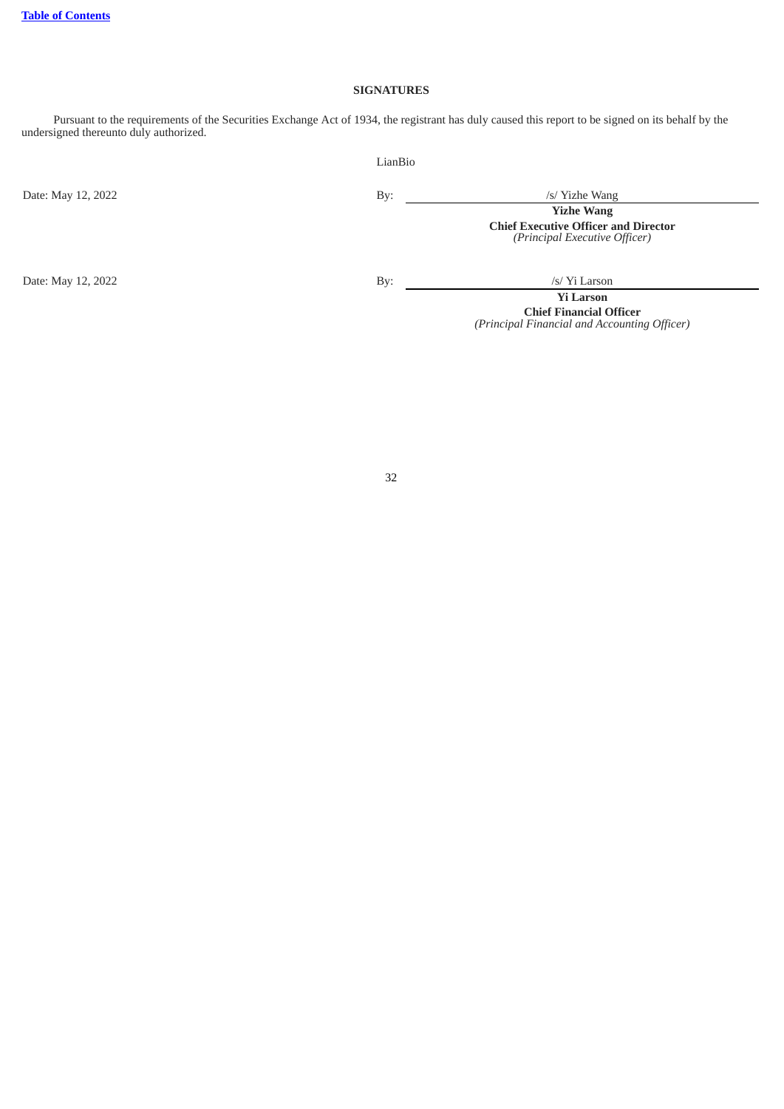# **SIGNATURES**

Pursuant to the requirements of the Securities Exchange Act of 1934, the registrant has duly caused this report to be signed on its behalf by the undersigned thereunto duly authorized.

LianBio

Date: May 12, 2022 By: /s/ Yizhe Wang

**Yizhe Wang Chief Executive Officer and Director** *(Principal Executive Officer)*

Date: May 12, 2022 By: /s/ Yi Larson

**Yi Larson Chief Financial Officer** *(Principal Financial and Accounting Officer)*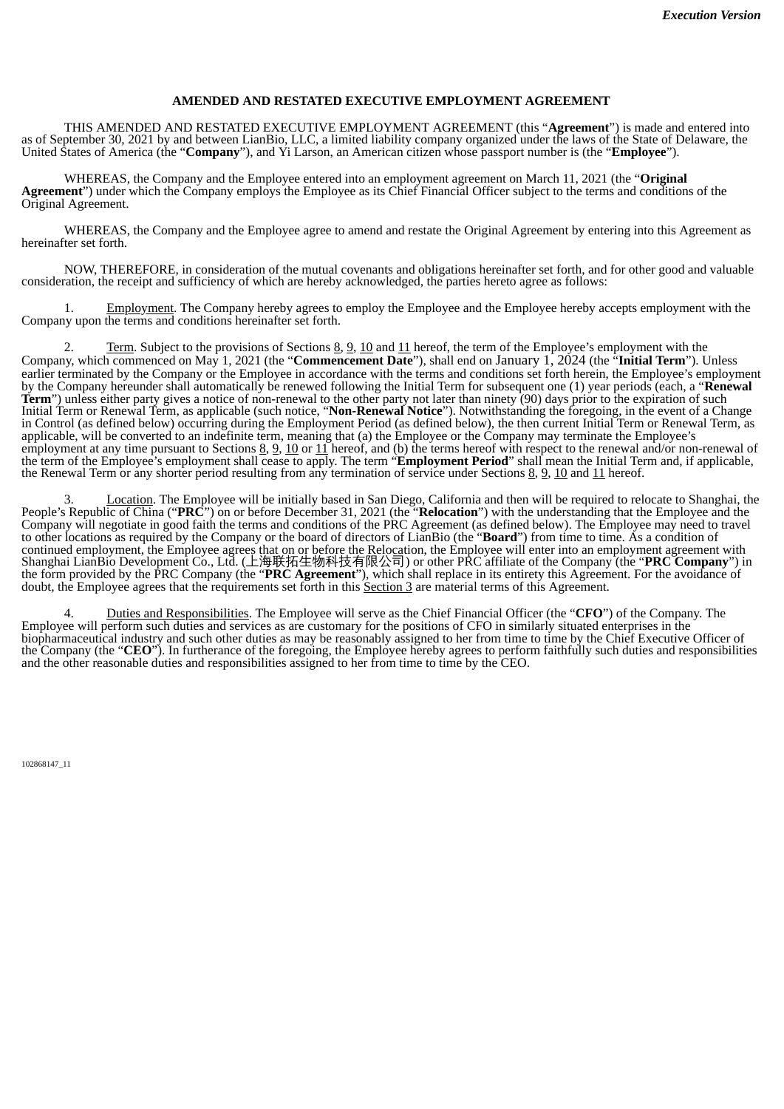# **AMENDED AND RESTATED EXECUTIVE EMPLOYMENT AGREEMENT**

<span id="page-33-0"></span>THIS AMENDED AND RESTATED EXECUTIVE EMPLOYMENT AGREEMENT (this "**Agreement**") is made and entered into as of September 30, 2021 by and between LianBio, LLC, a limited liability company organized under the laws of the State of Delaware, the United States of America (the "**Company**"), and Yi Larson, an American citizen whose passport number is (the "**Employee**").

WHEREAS, the Company and the Employee entered into an employment agreement on March 11, 2021 (the "**Original Agreement**") under which the Company employs the Employee as its Chief Financial Officer subject to the terms and conditions of the Original Agreement.

WHEREAS, the Company and the Employee agree to amend and restate the Original Agreement by entering into this Agreement as hereinafter set forth.

NOW, THEREFORE, in consideration of the mutual covenants and obligations hereinafter set forth, and for other good and valuable consideration, the receipt and sufficiency of which are hereby acknowledged, the parties hereto agree as follows:

1. Employment. The Company hereby agrees to employ the Employee and the Employee hereby accepts employment with the Company upon the terms and conditions hereinafter set forth.

2. Term. Subject to the provisions of Sections 8, 9, 10 and 11 hereof, the term of the Employee's employment with the Company, which commenced on May 1, 2021 (the "**Commencement Date**"), shall end on January 1, 2024 (the "**Initial Term**"). Unless earlier terminated by the Company or the Employee in accordance with the terms and conditions set forth herein, the Employee's employment by the Company hereunder shall automatically be renewed following the Initial Term for subsequent one (1) year periods (each, a "**Renewal Term**") unless either party gives a notice of non-renewal to the other party not later than ninety (90) days prior to the expiration of such Initial Term or Renewal Term, as applicable (such notice, "**Non-Renewal Notice**"). Notwithstanding the foregoing, in the event of a Change in Control (as defined below) occurring during the Employment Period (as defined below), the then current Initial Term or Renewal Term, as applicable, will be converted to an indefinite term, meaning that (a) the Employee or the Company may terminate the Employee's employment at any time pursuant to Sections 8, 9, 10 or 11 hereof, and (b) the terms hereof with respect to the renewal and/or non-renewal of the term of the Employee's employment shall cease to apply. The term "**Employment Period**" shall mean the Initial Term and, if applicable, the Renewal Term or any shorter period resulting from any termination of service under Sections 8, 9, 10 and 11 hereof.

3. Location. The Employee will be initially based in San Diego, California and then will be required to relocate to Shanghai, the People's Republic of China ("**PRC**") on or before December 31, 2021 (the "**Relocation**") with the understanding that the Employee and the Company will negotiate in good faith the terms and conditions of the PRC Agreement (as defined below). The Employee may need to travel to other locations as required by the Company or the board of directors of LianBio (the "**Board**") from time to time. As a condition of continued employment, the Employee agrees that on or before the Relocation, the Employee will enter into an employment agreement with Shanghai LianBio Development Co., Ltd. (上海联拓生物科技有限公司) or other PRC affiliate of the Company (the "**PRC Company**") in the form provided by the PRC Company (the "**PRC Agreement**"), which shall replace in its entirety this Agreement. For the avoidance of doubt, the Employee agrees that the requirements set forth in this Section 3 are material terms of this Agreement.

4. Duties and Responsibilities. The Employee will serve as the Chief Financial Officer (the "**CFO**") of the Company. The Employee will perform such duties and services as are customary for the positions of CFO in similarly situated enterprises in the biopharmaceutical industry and such other duties as may be reasonably assigned to her from time to time by the Chief Executive Officer of the Company (the "**CEO**"). In furtherance of the foregoing, the Employee hereby agrees to perform faithfully such duties and responsibilities and the other reasonable duties and responsibilities assigned to her from time to time by the CEO.

102868147\_11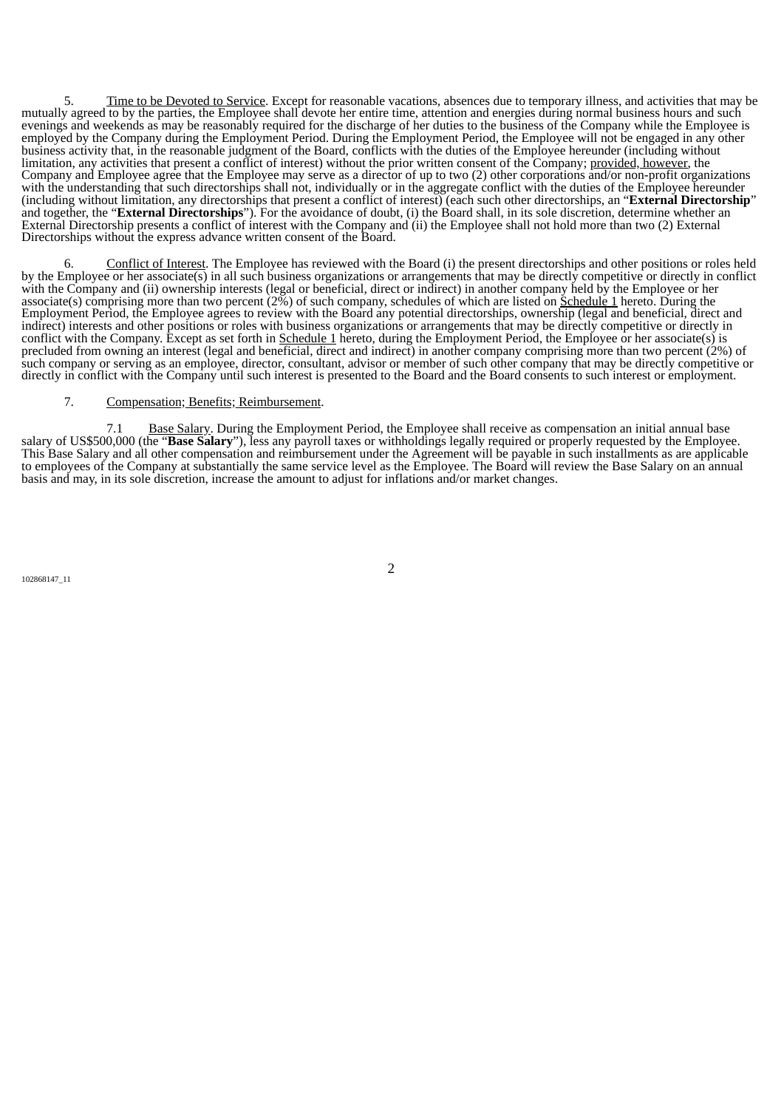5. Time to be Devoted to Service. Except for reasonable vacations, absences due to temporary illness, and activities that may be mutually agreed to by the parties, the Employee shall devote her entire time, attention and energies during normal business hours and such mutually agreed to by the parties, the Employee shall devote her entire time, atten evenings and weekends as may be reasonably required for the discharge of her duties to the business of the Company while the Employee is employed by the Company during the Employment Period. During the Employment Period, the Employee will not be engaged in any other business activity that, in the reasonable judgment of the Board, conflicts with the duties of the Employee hereunder (including without limitation, any activities that present a conflict of interest) without the prior written consent of the Company; provided, however, the Company and Employee agree that the Employee may serve as a director of up to two (2) other corporations and/or non-profit organizations with the understanding that such directorships shall not, individually or in the aggregate conflict with the duties of the Employee hereunder (including without limitation, any directorships that present a conflict of interest) (each such other directorships, an "**External Directorship**" and together, the "**External Directorships**"). For the avoidance of doubt, (i) the Board shall, in its sole discretion, determine whether an External Directorship presents a conflict of interest with the Company and (ii) the Employee shall not hold more than two (2) External Directorships without the express advance written consent of the Board.

Conflict of Interest. The Employee has reviewed with the Board (i) the present directorships and other positions or roles held by the Employee or her associate(s) in all such business organizations or arrangements that may be directly competitive or directly in conflict with the Company and (ii) ownership interests (legal or beneficial, direct or indirect) in another company held by the Employee or her associate(s) comprising more than two percent (2%) of such company, schedules of which are listed on Schedule 1 hereto. During the Employment Period, the Employee agrees to review with the Board any potential directorships, ownership (legal and beneficial, direct and indirect) interests and other positions or roles with business organizations or arrangements that may be directly competitive or directly in conflict with the Company. Except as set forth in Schedule 1 hereto, during the Employment Period, the Employee or her associate(s) is precluded from owning an interest (legal and beneficial, direct and indirect) in another company comprising more than two percent (2%) of such company or serving as an employee, director, consultant, advisor or member of such other company that may be directly competitive or directly in conflict with the Company until such interest is presented to the Board and the Board consents to such interest or employment.

## 7. Compensation; Benefits; Reimbursement.

7.1 Base Salary. During the Employment Period, the Employee shall receive as compensation an initial annual base salary of US\$500,000 (the "**Base Salary**"), less any payroll taxes or withholdings legally required or properly requested by the Employee. This Base Salary and all other compensation and reimbursement under the Agreement will be payable in such installments as are applicable to employees of the Company at substantially the same service level as the Employee. The Board will review the Base Salary on an annual basis and may, in its sole discretion, increase the amount to adjust for inflations and/or market changes.

102868147\_11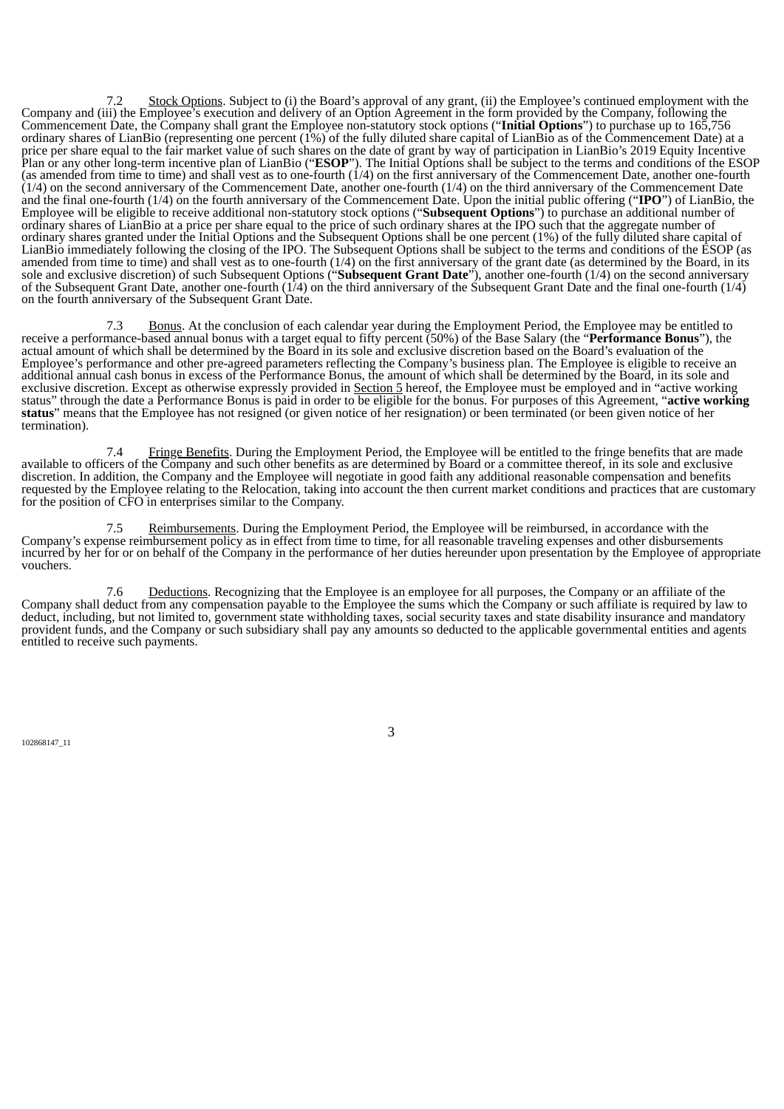7.2 Stock Options. Subject to (i) the Board's approval of any grant, (ii) the Employee's continued employment with the Company and (iii) the Employee's execution and delivery of an Option Agreement in the form provided by the Company, following the Commencement Date, the Company shall grant the Employee non-statutory stock options ("**Initial Options**") to purchase up to 165,756 ordinary shares of LianBio (representing one percent (1%) of the fully diluted share capital of LianBio as of the Commencement Date) at a price per share equal to the fair market value of such shares on the date of grant by way of participation in LianBio's 2019 Equity Incentive Plan or any other long-term incentive plan of LianBio ("**ESOP**"). The Initial Options shall be subject to the terms and conditions of the ESOP (as amended from time to time) and shall vest as to one-fourth (1/4) on the first anniversary of the Commencement Date, another one-fourth  $(1/4)$  on the second anniversary of the Commencement Date, another one-fourth ( $1/4$ ) on the third anniversary of the Commencement Date and the final one-fourth (1/4) on the fourth anniversary of the Commencement Date. Upon the initial public offering ("**IPO**") of LianBio, the Employee will be eligible to receive additional non-statutory stock options ("**Subsequent Options**") to purchase an additional number of ordinary shares of LianBio at a price per share equal to the price of such ordinary shares at the IPO such that the aggregate number of ordinary shares granted under the Initial Options and the Subsequent Options shall be one percent (1%) of the fully diluted share capital of LianBio immediately following the closing of the IPO. The Subsequent Options shall be subject to the terms and conditions of the ESOP (as amended from time to time) and shall vest as to one-fourth (1/4) on the first anniversary of the grant date (as determined by the Board, in its sole and exclusive discretion) of such Subsequent Options ("**Subsequent Grant Date**"), another one-fourth (1/4) on the second anniversary of the Subsequent Grant Date, another one-fourth (1/4) on the third anniversary of the Subsequent Grant Date and the final one-fourth (1/4) on the fourth anniversary of the Subsequent Grant Date.

7.3 Bonus. At the conclusion of each calendar year during the Employment Period, the Employee may be entitled to receive a performance-based annual bonus with a target equal to fifty percent (50%) of the Base Salary (the "**Performance Bonus**"), the actual amount of which shall be determined by the Board in its sole and exclusive discretion based on the Board's evaluation of the Employee's performance and other pre-agreed parameters reflecting the Company's business plan. The Employee is eligible to receive an additional annual cash bonus in excess of the Performance Bonus, the amount of which shall be determined by the Board, in its sole and exclusive discretion. Except as otherwise expressly provided in Section 5 hereof, the Employee must be employed and in "active working status" through the date a Performance Bonus is paid in order to be eligible for the bonus. For purposes of this Agreement, "**active working status**" means that the Employee has not resigned (or given notice of her resignation) or been terminated (or been given notice of her termination).

7.4 Fringe Benefits. During the Employment Period, the Employee will be entitled to the fringe benefits that are made available to officers of the Company and such other benefits as are determined by Board or a committee thereof, in its sole and exclusive discretion. In addition, the Company and the Employee will negotiate in good faith any additional reasonable compensation and benefits requested by the Employee relating to the Relocation, taking into account the then current market conditions and practices that are customary for the position of CFO in enterprises similar to the Company.

7.5 Reimbursements. During the Employment Period, the Employee will be reimbursed, in accordance with the Company's expense reimbursement policy as in effect from time to time, for all reasonable traveling expenses and other disbursements incurred by her for or on behalf of the Company in the performance of her duties hereunder upon presentation by the Employee of appropriate vouchers.

7.6 Deductions. Recognizing that the Employee is an employee for all purposes, the Company or an affiliate of the Company shall deduct from any compensation payable to the Employee the sums which the Company or such affiliate is required by law to deduct, including, but not limited to, government state withholding taxes, social security taxes and state disability insurance and mandatory provident funds, and the Company or such subsidiary shall pay any amounts so deducted to the applicable governmental entities and agents entitled to receive such payments.

102868147\_11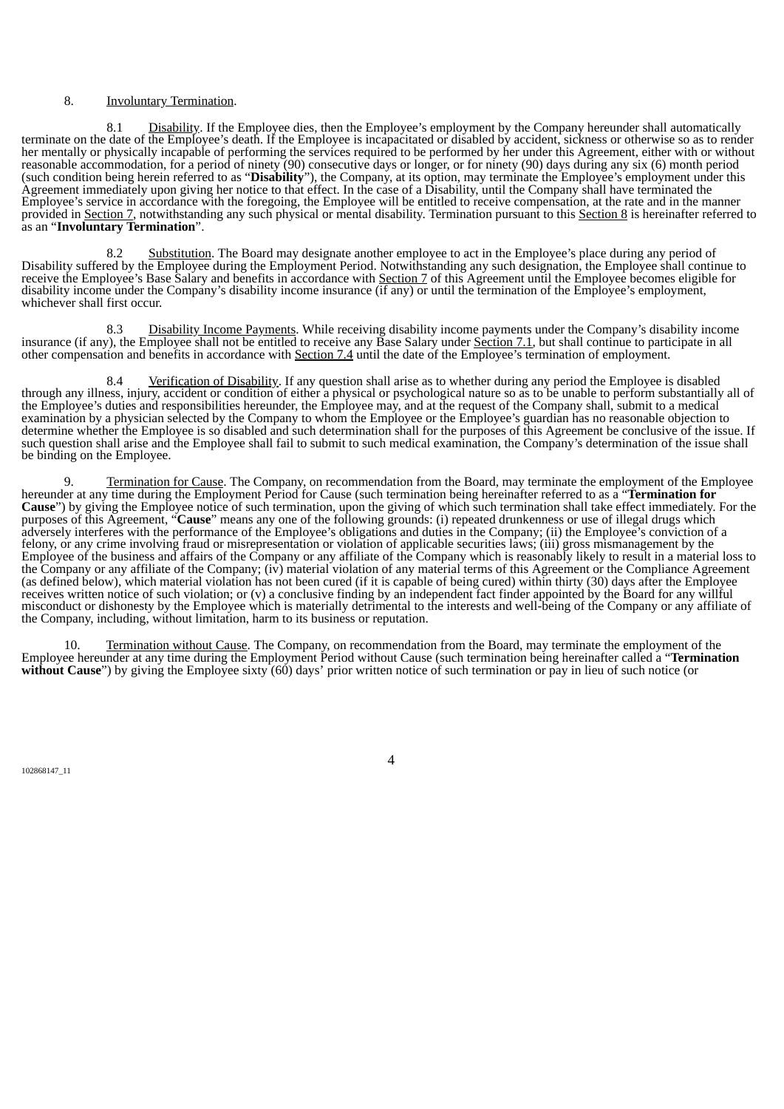# 8. Involuntary Termination.

8.1 Disability. If the Employee dies, then the Employee's employment by the Company hereunder shall automatically terminate on the date of the Employee's death. If the Employee is incapacitated or disabled by accident, sickness or otherwise so as to render her mentally or physically incapable of performing the services required to be performed by her under this Agreement, either with or without reasonable accommodation, for a period of ninety (90) consecutive days or longer, or for ninety (90) days during any six (6) month period (such condition being herein referred to as "**Disability**"), the Company, at its option, may terminate the Employee's employment under this Agreement immediately upon giving her notice to that effect. In the case of a Disability, until the Company shall have terminated the Employee's service in accordance with the foregoing, the Employee will be entitled to receive compensation, at the rate and in the manner provided in Section 7, notwithstanding any such physical or mental disability. Termination pursuant to this Section 8 is hereinafter referred to as an "**Involuntary Termination**".

8.2 Substitution. The Board may designate another employee to act in the Employee's place during any period of Disability suffered by the Employee during the Employment Period. Notwithstanding any such designation, the Employee shall continue to receive the Employee's Base Salary and benefits in accordance with Section 7 of this Agreement until the Employee becomes eligible for disability income under the Company's disability income insurance (if any) or until the termination of the Employee's employment, whichever shall first occur.

8.3 Disability Income Payments. While receiving disability income payments under the Company's disability income insurance (if any), the Employee shall not be entitled to receive any Base Salary under Section 7.1, but shall continue to participate in all other compensation and benefits in accordance with Section 7.4 until the date of the Employee's termination of employment.

Verification of Disability. If any question shall arise as to whether during any period the Employee is disabled through any illness, injury, accident or condition of either a physical or psychological nature so as to be unable to perform substantially all of the Employee's duties and responsibilities hereunder, the Employee may, and at the request of the Company shall, submit to a medical examination by a physician selected by the Company to whom the Employee or the Employee's guardian has no reasonable objection to determine whether the Employee is so disabled and such determination shall for the purposes of this Agreement be conclusive of the issue. If such question shall arise and the Employee shall fail to submit to such medical examination, the Company's determination of the issue shall be binding on the Employee.

9. Termination for Cause. The Company, on recommendation from the Board, may terminate the employment of the Employee hereunder at any time during the Employment Period for Cause (such termination being hereinafter referred to as a "**Termination for Cause**") by giving the Employee notice of such termination, upon the giving of which such termination shall take effect immediately. For the purposes of this Agreement, "**Cause**" means any one of the following grounds: (i) repeated drunkenness or use of illegal drugs which adversely interferes with the performance of the Employee's obligations and duties in the Company; (ii) the Employee's conviction of a felony, or any crime involving fraud or misrepresentation or violation of applicable securities laws; (iii) gross mismanagement by the Employee of the business and affairs of the Company or any affiliate of the Company which is reasonably likely to result in a material loss to the Company or any affiliate of the Company; (iv) material violation of any material terms of this Agreement or the Compliance Agreement (as defined below), which material violation has not been cured (if it is capable of being cured) within thirty (30) days after the Employee receives written notice of such violation; or (v) a conclusive finding by an independent fact finder appointed by the Board for any willful misconduct or dishonesty by the Employee which is materially detrimental to the interests and well-being of the Company or any affiliate of the Company, including, without limitation, harm to its business or reputation.

10. Termination without Cause. The Company, on recommendation from the Board, may terminate the employment of the Employee hereunder at any time during the Employment Period without Cause (such termination being hereinafter called a "**Termination without Cause**") by giving the Employee sixty (60) days' prior written notice of such termination or pay in lieu of such notice (or

102868147\_11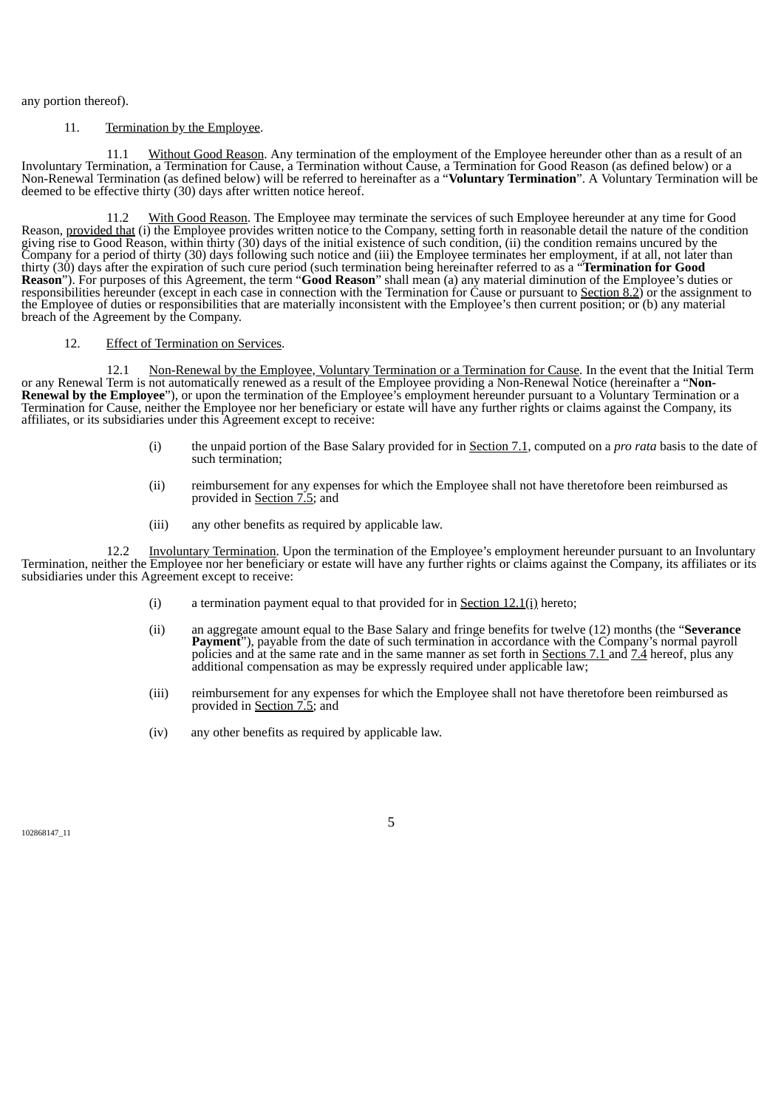any portion thereof).

# 11. Termination by the Employee.

11.1 Without Good Reason. Any termination of the employment of the Employee hereunder other than as a result of an Involuntary Termination, a Termination for Cause, a Termination without Cause, a Termination for Good Reason (as defined below) or a Non-Renewal Termination (as defined below) will be referred to hereinafter as a "**Voluntary Termination**". A Voluntary Termination will be deemed to be effective thirty (30) days after written notice hereof.

11.2 With Good Reason. The Employee may terminate the services of such Employee hereunder at any time for Good Reason, <u>provided that</u> (i) the Employee provides written notice to the Company, setting forth in reasonable detail the nature of the condition giving rise to Good Reason, within thirty (30) days of the initial existence of such condition, (ii) the condition remains uncured by the Company for a period of thirty (30) days following such notice and (iii) the Employee terminates her employment, if at all, not later than thirty (30) days after the expiration of such cure period (such termination being hereinafter referred to as a "**Termination for Good Reason**"). For purposes of this Agreement, the term "**Good Reason**" shall mean (a) any material diminution of the Employee's duties or responsibilities hereunder (except in each case in connection with the Termination for Cause or pursuant to Section 8.2) or the assignment to the Employee of duties or responsibilities that are materially inconsistent with the Employee's then current position; or (b) any material breach of the Agreement by the Company.

## 12. Effect of Termination on Services.

12.1 Non-Renewal by the Employee, Voluntary Termination or a Termination for Cause. In the event that the Initial Term or any Renewal Term is not automatically renewed as a result of the Employee providing a Non-Renewal Notice (hereinafter a "**Non-Renewal by the Employee**"), or upon the termination of the Employee's employment hereunder pursuant to a Voluntary Termination or a Termination for Cause, neither the Employee nor her beneficiary or estate will have any further rights or claims against the Company, its affiliates, or its subsidiaries under this Agreement except to receive:

- (i) the unpaid portion of the Base Salary provided for in Section 7.1, computed on a *pro rata* basis to the date of such termination:
- (ii) reimbursement for any expenses for which the Employee shall not have theretofore been reimbursed as provided in Section 7.5; and
- (iii) any other benefits as required by applicable law.

12.2 Involuntary Termination. Upon the termination of the Employee's employment hereunder pursuant to an Involuntary Termination, neither the Employee nor her beneficiary or estate will have any further rights or claims against the Company, its affiliates or its subsidiaries under this Agreement except to receive:

- (i) a termination payment equal to that provided for in Section 12.1(i) hereto;
- (ii) an aggregate amount equal to the Base Salary and fringe benefits for twelve (12) months (the "**Severance Payment**"), payable from the date of such termination in accordance with the Company's normal payroll policies and at the same rate and in the same manner as set forth in Sections 7.1 and 7.4 hereof, plus any additional compensation as may be expressly required under applicable law;
- (iii) reimbursement for any expenses for which the Employee shall not have theretofore been reimbursed as provided in Section 7.5; and
- (iv) any other benefits as required by applicable law.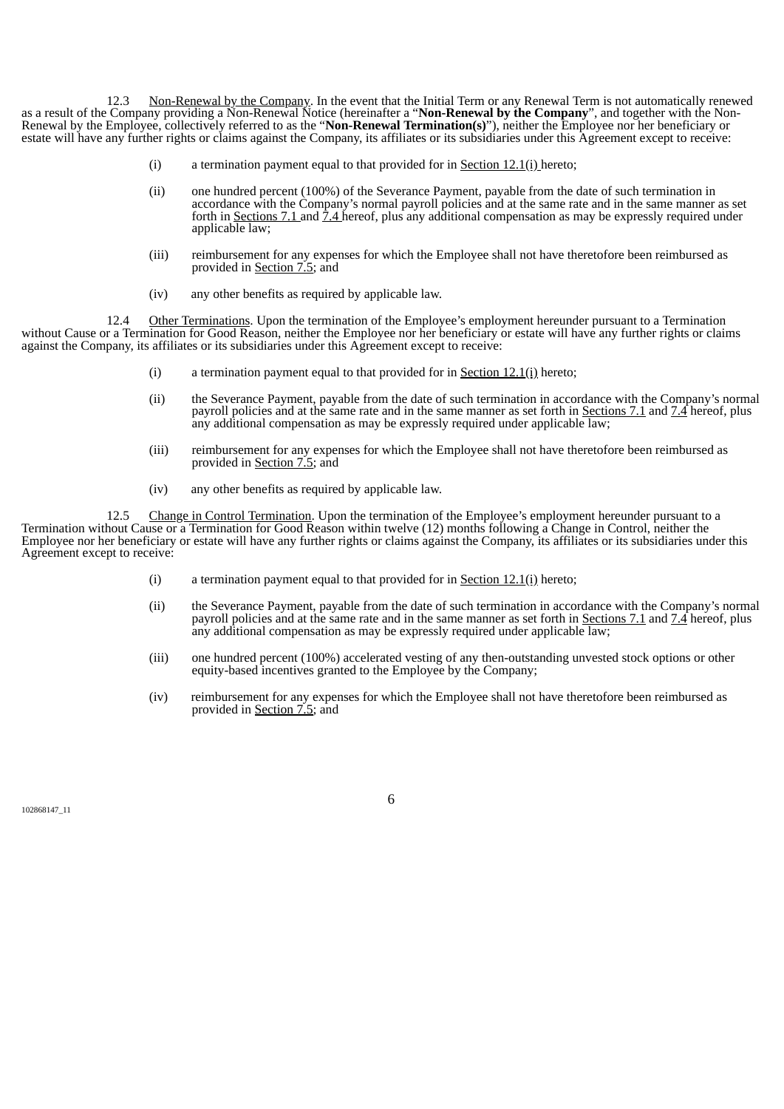12.3 Non-Renewal by the Company. In the event that the Initial Term or any Renewal Term is not automatically renewed as a result of the Company providing a Non-Renewal Notice (hereinafter a "**Non-Renewal by the Company**", and together with the Non-Renewal by the Employee, collectively referred to as the "**Non-Renewal Termination(s)**"), neither the Employee nor her beneficiary or estate will have any further rights or claims against the Company, its affiliates or its subsidiaries under this Agreement except to receive:

- (i) a termination payment equal to that provided for in Section  $12.1(i)$  hereto;
- (ii) one hundred percent (100%) of the Severance Payment, payable from the date of such termination in accordance with the Company's normal payroll policies and at the same rate and in the same manner as set forth in <u>Sections 7.1</u> and  $\frac{7.4}{2}$  hereof, plus any additional compensation as may be expressly required under applicable law;
- (iii) reimbursement for any expenses for which the Employee shall not have theretofore been reimbursed as provided in Section 7.5; and
- (iv) any other benefits as required by applicable law.

12.4 Other Terminations. Upon the termination of the Employee's employment hereunder pursuant to a Termination without Cause or a Termination for Good Reason, neither the Employee nor her beneficiary or estate will have any further rights or claims against the Company, its affiliates or its subsidiaries under this Agreement except to receive:

- (i) a termination payment equal to that provided for in Section 12.1(i) hereto;
- (ii) the Severance Payment, payable from the date of such termination in accordance with the Company's normal payroll policies and at the same rate and in the same manner as set forth in Sections 7.1 and 7.4 hereof, plus any additional compensation as may be expressly required under applicable law;
- (iii) reimbursement for any expenses for which the Employee shall not have theretofore been reimbursed as provided in Section 7.5; and
- (iv) any other benefits as required by applicable law.

12.5 Change in Control Termination. Upon the termination of the Employee's employment hereunder pursuant to a Termination without Cause or a Termination for Good Reason within twelve (12) months following a Change in Control, neither the Employee nor her beneficiary or estate will have any further rights or claims against the Company, its affiliates or its subsidiaries under this Agreement except to receive:

- (i) a termination payment equal to that provided for in Section  $12.1(i)$  hereto;
- (ii) the Severance Payment, payable from the date of such termination in accordance with the Company's normal payroll policies and at the same rate and in the same manner as set forth in Sections 7.1 and 7.4 hereof, plus any additional compensation as may be expressly required under applicable law;
- (iii) one hundred percent (100%) accelerated vesting of any then-outstanding unvested stock options or other equity-based incentives granted to the Employee by the Company;
- (iv) reimbursement for any expenses for which the Employee shall not have theretofore been reimbursed as provided in Section 7.5; and

102868147\_11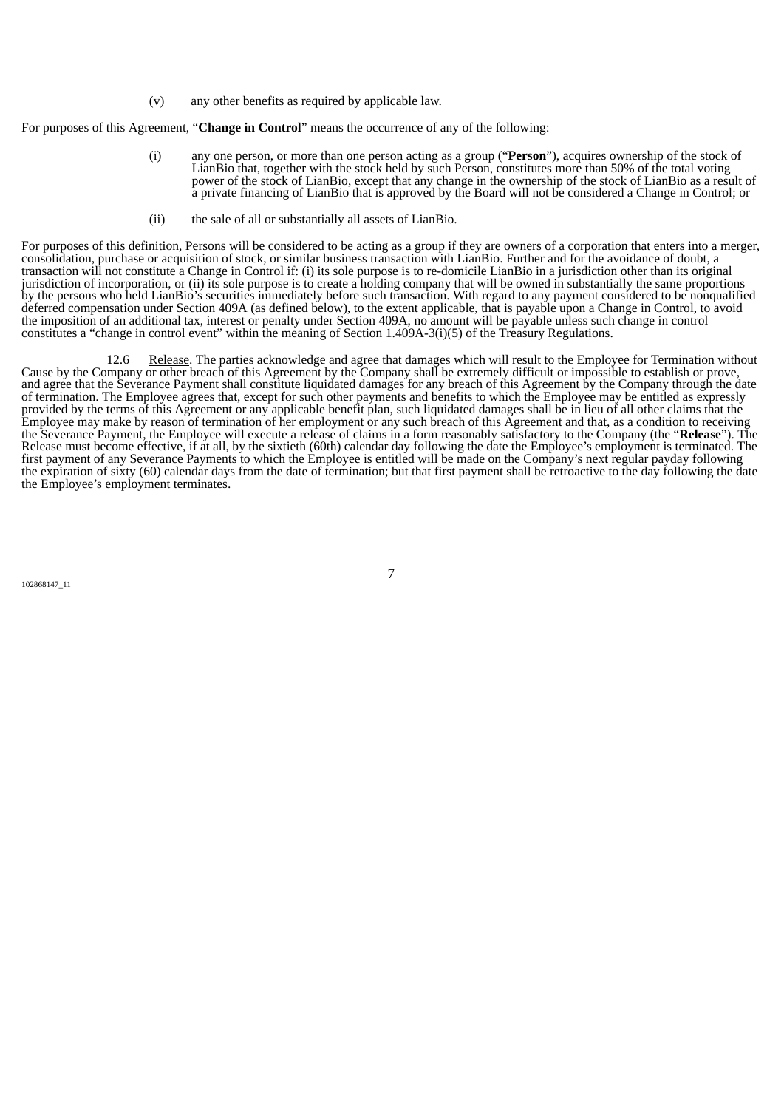(v) any other benefits as required by applicable law.

For purposes of this Agreement, "**Change in Control**" means the occurrence of any of the following:

- (i) any one person, or more than one person acting as a group ("**Person**"), acquires ownership of the stock of LianBio that, together with the stock held by such Person, constitutes more than 50% of the total voting power of the stock of LianBio, except that any change in the ownership of the stock of LianBio as a result of a private financing of LianBio that is approved by the Board will not be considered a Change in Control; or
- (ii) the sale of all or substantially all assets of LianBio.

For purposes of this definition, Persons will be considered to be acting as a group if they are owners of a corporation that enters into a merger, consolidation, purchase or acquisition of stock, or similar business transaction with LianBio. Further and for the avoidance of doubt, a transaction will not constitute a Change in Control if: (i) its sole purpose is to re-domicile LianBio in a jurisdiction other than its original jurisdiction of incorporation, or (ii) its sole purpose is to create a holding company that will be owned in substantially the same proportions by the persons who held LianBio's securities immediately before such transaction. With regard to any payment considered to be nonqualified deferred compensation under Section 409A (as defined below), to the extent applicable, that is payable upon a Change in Control, to avoid the imposition of an additional tax, interest or penalty under Section 409A, no amount will be payable unless such change in control constitutes a "change in control event" within the meaning of Section 1.409A-3(i)(5) of the Treasury Regulations.

12.6 Release. The parties acknowledge and agree that damages which will result to the Employee for Termination without Cause by the Company or other breach of this Agreement by the Company shall be extremely difficult or impossible to establish or prove, and agree that the Severance Payment shall constitute liquidated damages for any breach of this Agreement by the Company through the date of termination. The Employee agrees that, except for such other payments and benefits to which the Employee may be entitled as expressly provided by the terms of this Agreement or any applicable benefit plan, such liquidated damages shall be in lieu of all other claims that the Employee may make by reason of termination of her employment or any such breach of this Agreement and that, as a condition to receiving the Severance Payment, the Employee will execute a release of claims in a form reasonably satisfactory to the Company (the "**Release**"). The Release must become effective, if at all, by the sixtieth (60th) calendar day following the date the Employee's employment is terminated. The first payment of any Severance Payments to which the Employee is entitled will be made on the Company's next regular payday following the expiration of sixty (60) calendar days from the date of termination; but that first payment shall be retroactive to the day following the date the Employee's employment terminates.

102868147\_11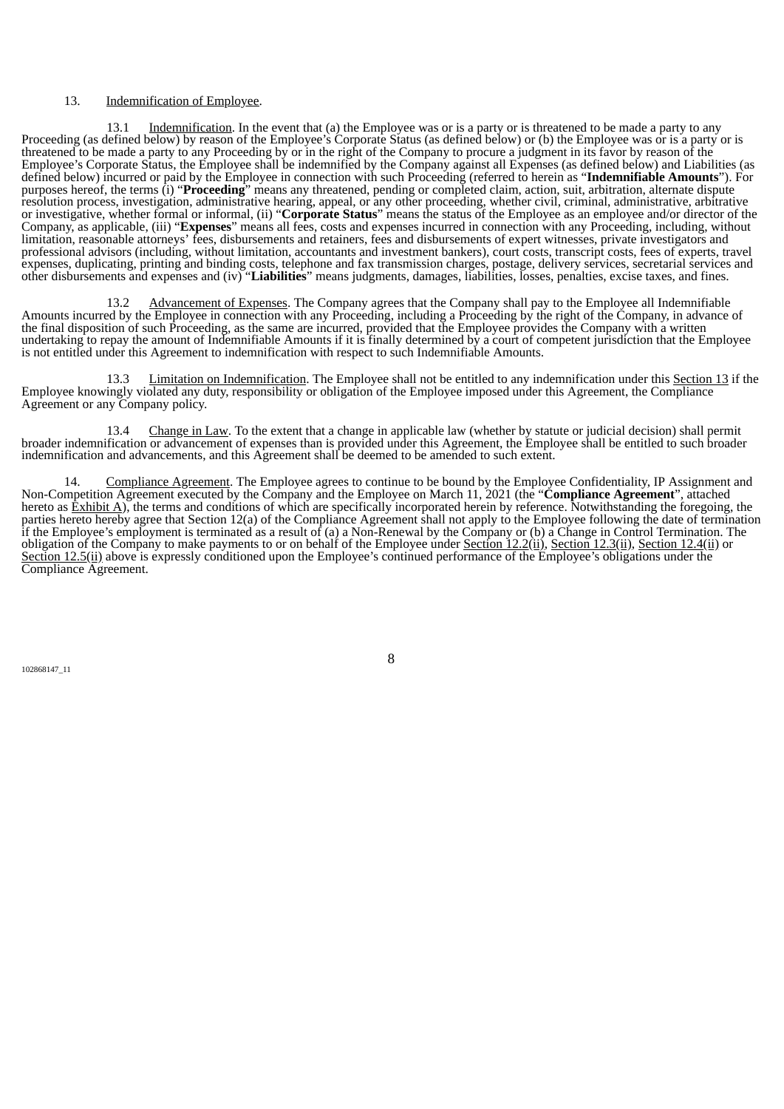# 13. Indemnification of Employee.

13.1 Indemnification. In the event that (a) the Employee was or is a party or is threatened to be made a party to any Proceeding (as defined below) by reason of the Employee's Corporate Status (as defined below) or (b) the Employee was or is a party or is threatened to be made a party to any Proceeding by or in the right of the Company to procure a judgment in its favor by reason of the Employee's Corporate Status, the Employee shall be indemnified by the Company against all Expenses (as defined below) and Liabilities (as defined below) incurred or paid by the Employee in connection with such Proceeding (referred to herein as "**Indemnifiable Amounts**"). For purposes hereof, the terms (i) "**Proceeding**" means any threatened, pending or completed claim, action, suit, arbitration, alternate dispute resolution process, investigation, administrative hearing, appeal, or any other proceeding, whether civil, criminal, administrative, arbitrative or investigative, whether formal or informal, (ii) "**Corporate Status**" means the status of the Employee as an employee and/or director of the Company, as applicable, (iii) "**Expenses**" means all fees, costs and expenses incurred in connection with any Proceeding, including, without limitation, reasonable attorneys' fees, disbursements and retainers, fees and disbursements of expert witnesses, private investigators and professional advisors (including, without limitation, accountants and investment bankers), court costs, transcript costs, fees of experts, travel expenses, duplicating, printing and binding costs, telephone and fax transmission charges, postage, delivery services, secretarial services and other disbursements and expenses and (iv) "**Liabilities**" means judgments, damages, liabilities, losses, penalties, excise taxes, and fines.

13.2 Advancement of Expenses. The Company agrees that the Company shall pay to the Employee all Indemnifiable Amounts incurred by the Employee in connection with any Proceeding, including a Proceeding by the right of the Company, in advance of the final disposition of such Proceeding, as the same are incurred, provided that the Employee provides the Company with a written undertaking to repay the amount of Indemnifiable Amounts if it is finally determined by a court of competent jurisdiction that the Employee is not entitled under this Agreement to indemnification with respect to such Indemnifiable Amounts.

13.3 Limitation on Indemnification. The Employee shall not be entitled to any indemnification under this Section 13 if the Employee knowingly violated any duty, responsibility or obligation of the Employee imposed under this Agreement, the Compliance Agreement or any Company policy.

13.4 Change in Law. To the extent that a change in applicable law (whether by statute or judicial decision) shall permit broader indemnification or advancement of expenses than is provided under this Agreement, the Employee shall be entitled to such broader indemnification and advancements, and this Agreement shall be deemed to be amended to such extent.

14. Compliance Agreement. The Employee agrees to continue to be bound by the Employee Confidentiality, IP Assignment and Non-Competition Agreement executed by the Company and the Employee on March 11, 2021 (the "**Compliance Agreement**", attached hereto as <u>Éxhibit A</u>), the terms and conditions of which are specifically incorporated herein by reference. Notwithstanding the foregoing, the parties hereto hereby agree that Section 12(a) of the Compliance Agreement shall not apply to the Employee following the date of termination if the Employee's employment is terminated as a result of (a) a Non-Renewal by the Company or (b) a Change in Control Termination. The obligation of the Company to make payments to or on behalf of the Employee under Section 12.2(ii), Section 12.3(ii), Section 12.4(ii) or Section 12.5(ii) above is expressly conditioned upon the Employee's continued performance of the Employee's obligations under the Compliance Agreement.

102868147\_11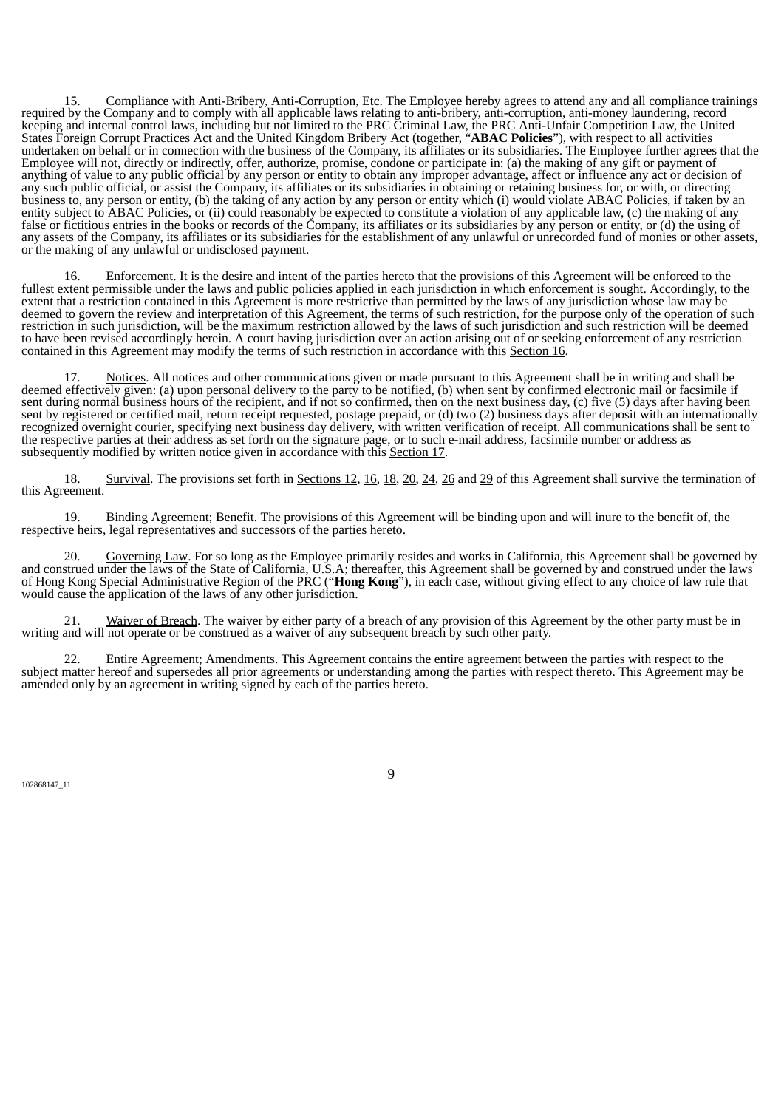15. Compliance with Anti-Bribery, Anti-Corruption, Etc. The Employee hereby agrees to attend any and all compliance trainings required by the Company and to comply with all applicable laws relating to anti-bribery, anti-corruption, anti-money laundering, record keeping and internal control laws, including but not limited to the PRC Criminal Law, the PRC Anti-Unfair Competition Law, the United States Foreign Corrupt Practices Act and the United Kingdom Bribery Act (together, "**ABAC Policies**"), with respect to all activities undertaken on behalf or in connection with the business of the Company, its affiliates or its subsidiaries. The Employee further agrees that the Employee will not, directly or indirectly, offer, authorize, promise, condone or participate in: (a) the making of any gift or payment of anything of value to any public official by any person or entity to obtain any improper advantage, affect or influence any act or decision of any such public official, or assist the Company, its affiliates or its subsidiaries in obtaining or retaining business for, or with, or directing business to, any person or entity, (b) the taking of any action by any person or entity which (i) would violate ABAC Policies, if taken by an entity subject to ABAC Policies, or (ii) could reasonably be expected to constitute a violation of any applicable law, (c) the making of any false or fictitious entries in the books or records of the Company, its affiliates or its subsidiaries by any person or entity, or (d) the using of any assets of the Company, its affiliates or its subsidiaries for the establishment of any unlawful or unrecorded fund of monies or other assets, or the making of any unlawful or undisclosed payment.

16. Enforcement. It is the desire and intent of the parties hereto that the provisions of this Agreement will be enforced to the fullest extent permissible under the laws and public policies applied in each jurisdiction in which enforcement is sought. Accordingly, to the extent that a restriction contained in this Agreement is more restrictive than permitted by the laws of any jurisdiction whose law may be deemed to govern the review and interpretation of this Agreement, the terms of such restriction, for the purpose only of the operation of such restriction in such jurisdiction, will be the maximum restriction allowed by the laws of such jurisdiction and such restriction will be deemed to have been revised accordingly herein. A court having jurisdiction over an action arising out of or seeking enforcement of any restriction contained in this Agreement may modify the terms of such restriction in accordance with this Section 16.

17. Notices. All notices and other communications given or made pursuant to this Agreement shall be in writing and shall be deemed effectively given: (a) upon personal delivery to the party to be notified, (b) when sent by confirmed electronic mail or facsimile if sent during normal business hours of the recipient, and if not so confirmed, then on the next business day, (c) five (5) days after having been sent by registered or certified mail, return receipt requested, postage prepaid, or (d) two (2) business days after deposit with an internationally recognized overnight courier, specifying next business day delivery, with written verification of receipt. All communications shall be sent to the respective parties at their address as set forth on the signature page, or to such e-mail address, facsimile number or address as subsequently modified by written notice given in accordance with this Section 17.

18. Survival. The provisions set forth in Sections 12, 16, 18, 20, 24, 26 and 29 of this Agreement shall survive the termination of this Agreement.

19. Binding Agreement; Benefit. The provisions of this Agreement will be binding upon and will inure to the benefit of, the respective heirs, legal representatives and successors of the parties hereto.

Governing Law. For so long as the Employee primarily resides and works in California, this Agreement shall be governed by and construed under the laws of the State of California, U.S.A; thereafter, this Agreement shall be governed by and construed under the laws of Hong Kong Special Administrative Region of the PRC ("**Hong Kong**"), in each case, without giving effect to any choice of law rule that would cause the application of the laws of any other jurisdiction.

21. Waiver of Breach. The waiver by either party of a breach of any provision of this Agreement by the other party must be in writing and will not operate or be construed as a waiver of any subsequent breach by such other party.

22. Entire Agreement; Amendments. This Agreement contains the entire agreement between the parties with respect to the subject matter hereof and supersedes all prior agreements or understanding among the parties with respect thereto. This Agreement may be amended only by an agreement in writing signed by each of the parties hereto.

102868147\_11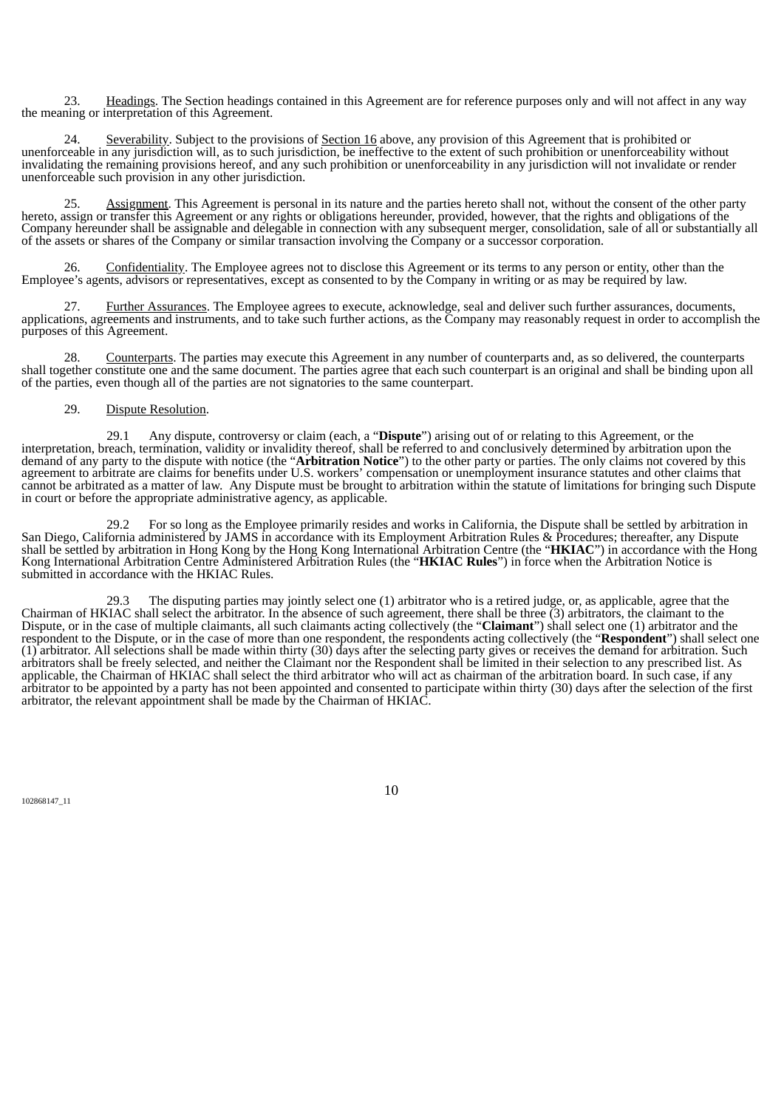23. Headings. The Section headings contained in this Agreement are for reference purposes only and will not affect in any way the meaning or interpretation of this Agreement.

Severability. Subject to the provisions of Section 16 above, any provision of this Agreement that is prohibited or unenforceable in any jurisdiction will, as to such jurisdiction, be ineffective to the extent of such prohibition or unenforceability without invalidating the remaining provisions hereof, and any such prohibition or unenforceability in any jurisdiction will not invalidate or render unenforceable such provision in any other jurisdiction.

Assignment. This Agreement is personal in its nature and the parties hereto shall not, without the consent of the other party hereto, assign or transfer this Agreement or any rights or obligations hereunder, provided, however, that the rights and obligations of the Company hereunder shall be assignable and delegable in connection with any subsequent merger, consolidation, sale of all or substantially all of the assets or shares of the Company or similar transaction involving the Company or a successor corporation.

26. Confidentiality. The Employee agrees not to disclose this Agreement or its terms to any person or entity, other than the Employee's agents, advisors or representatives, except as consented to by the Company in writing or as may be required by law.

27. Further Assurances. The Employee agrees to execute, acknowledge, seal and deliver such further assurances, documents, applications, agreements and instruments, and to take such further actions, as the Company may reasonably request in order to accomplish the purposes of this Agreement.

28. Counterparts. The parties may execute this Agreement in any number of counterparts and, as so delivered, the counterparts shall together constitute one and the same document. The parties agree that each such counterpart is an original and shall be binding upon all of the parties, even though all of the parties are not signatories to the same counterpart.

# 29. Dispute Resolution.

29.1 Any dispute, controversy or claim (each, a "**Dispute**") arising out of or relating to this Agreement, or the interpretation, breach, termination, validity or invalidity thereof, shall be referred to and conclusively determined by arbitration upon the demand of any party to the dispute with notice (the "**Arbitration Notice**") to the other party or parties. The only claims not covered by this agreement to arbitrate are claims for benefits under U.S. workers' compensation or unemployment insurance statutes and other claims that cannot be arbitrated as a matter of law. Any Dispute must be brought to arbitration within the statute of limitations for bringing such Dispute in court or before the appropriate administrative agency, as applicable.

29.2 For so long as the Employee primarily resides and works in California, the Dispute shall be settled by arbitration in San Diego, California administered by JAMS in accordance with its Employment Arbitration Rules & Procedures; thereafter, any Dispute shall be settled by arbitration in Hong Kong by the Hong Kong International Arbitration Centre (the "**HKIAC**") in accordance with the Hong Kong International Arbitration Centre Administered Arbitration Rules (the "**HKIAC Rules**") in force when the Arbitration Notice is submitted in accordance with the HKIAC Rules.

29.3 The disputing parties may jointly select one (1) arbitrator who is a retired judge, or, as applicable, agree that the Chairman of HKIAC shall select the arbitrator. In the absence of such agreement, there shall be three (3) arbitrators, the claimant to the Dispute, or in the case of multiple claimants, all such claimants acting collectively (the "**Claimant**") shall select one (1) arbitrator and the respondent to the Dispute, or in the case of more than one respondent, the respondents acting collectively (the "**Respondent**") shall select one (1) arbitrator. All selections shall be made within thirty (30) days after the selecting party gives or receives the demand for arbitration. Such arbitrators shall be freely selected, and neither the Claimant nor the Respondent shall be limited in their selection to any prescribed list. As applicable, the Chairman of HKIAC shall select the third arbitrator who will act as chairman of the arbitration board. In such case, if any arbitrator to be appointed by a party has not been appointed and consented to participate within thirty (30) days after the selection of the first arbitrator, the relevant appointment shall be made by the Chairman of HKIAC.

102868147\_11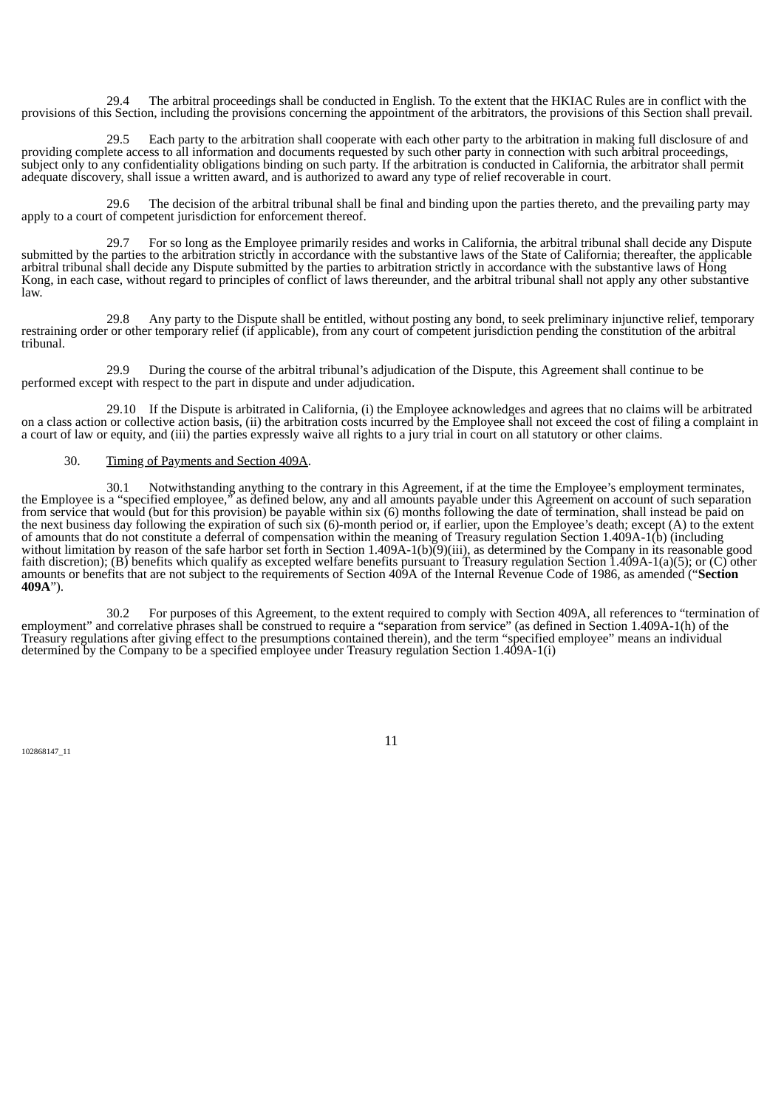29.4 The arbitral proceedings shall be conducted in English. To the extent that the HKIAC Rules are in conflict with the provisions of this Section, including the provisions concerning the appointment of the arbitrators, the provisions of this Section shall prevail.

29.5 Each party to the arbitration shall cooperate with each other party to the arbitration in making full disclosure of and providing complete access to all information and documents requested by such other party in connection with such arbitral proceedings, subject only to any confidentiality obligations binding on such party. If the arbitration is conducted in California, the arbitrator shall permit adequate discovery, shall issue a written award, and is authorized to award any type of relief recoverable in court.

29.6 The decision of the arbitral tribunal shall be final and binding upon the parties thereto, and the prevailing party may apply to a court of competent jurisdiction for enforcement thereof.

29.7 For so long as the Employee primarily resides and works in California, the arbitral tribunal shall decide any Dispute submitted by the parties to the arbitration strictly in accordance with the substantive laws of the State of California; thereafter, the applicable arbitral tribunal shall decide any Dispute submitted by the parties to arbitration strictly in accordance with the substantive laws of Hong Kong, in each case, without regard to principles of conflict of laws thereunder, and the arbitral tribunal shall not apply any other substantive law.

29.8 Any party to the Dispute shall be entitled, without posting any bond, to seek preliminary injunctive relief, temporary restraining order or other temporary relief (if applicable), from any court of competent jurisdiction pending the constitution of the arbitral tribunal.

29.9 During the course of the arbitral tribunal's adjudication of the Dispute, this Agreement shall continue to be performed except with respect to the part in dispute and under adjudication.

29.10 If the Dispute is arbitrated in California, (i) the Employee acknowledges and agrees that no claims will be arbitrated on a class action or collective action basis, (ii) the arbitration costs incurred by the Employee shall not exceed the cost of filing a complaint in a court of law or equity, and (iii) the parties expressly waive all rights to a jury trial in court on all statutory or other claims.

## 30. Timing of Payments and Section 409A.

30.1 Notwithstanding anything to the contrary in this Agreement, if at the time the Employee's employment terminates, the Employee is a "specified employee," as defined below, any and all amounts payable under this Agreement on account of such separation from service that would (but for this provision) be payable within six (6) months following the date of termination, shall instead be paid on the next business day following the expiration of such six (6)-month period or, if earlier, upon the Employee's death; except (A) to the extent of amounts that do not constitute a deferral of compensation within the meaning of Treasury regulation Section 1.409A-1(b) (including without limitation by reason of the safe harbor set forth in Section 1.409A-1(b)(9)(iii), as determined by the Company in its reasonable good faith discretion); (B) benefits which qualify as excepted welfare benefits pursuant to Treasury regulation Section 1.409A-1(a)(5); or (C) other amounts or benefits that are not subject to the requirements of Section 409A of the Internal Revenue Code of 1986, as amended ("**Section 409A**").

30.2 For purposes of this Agreement, to the extent required to comply with Section 409A, all references to "termination of employment" and correlative phrases shall be construed to require a "separation from service" (as defined in Section 1.409A-1(h) of the Treasury regulations after giving effect to the presumptions contained therein), and the term "specified employee" means an individual determined by the Company to be a specified employee under Treasury regulation Section 1.409A-1(i)

102868147\_11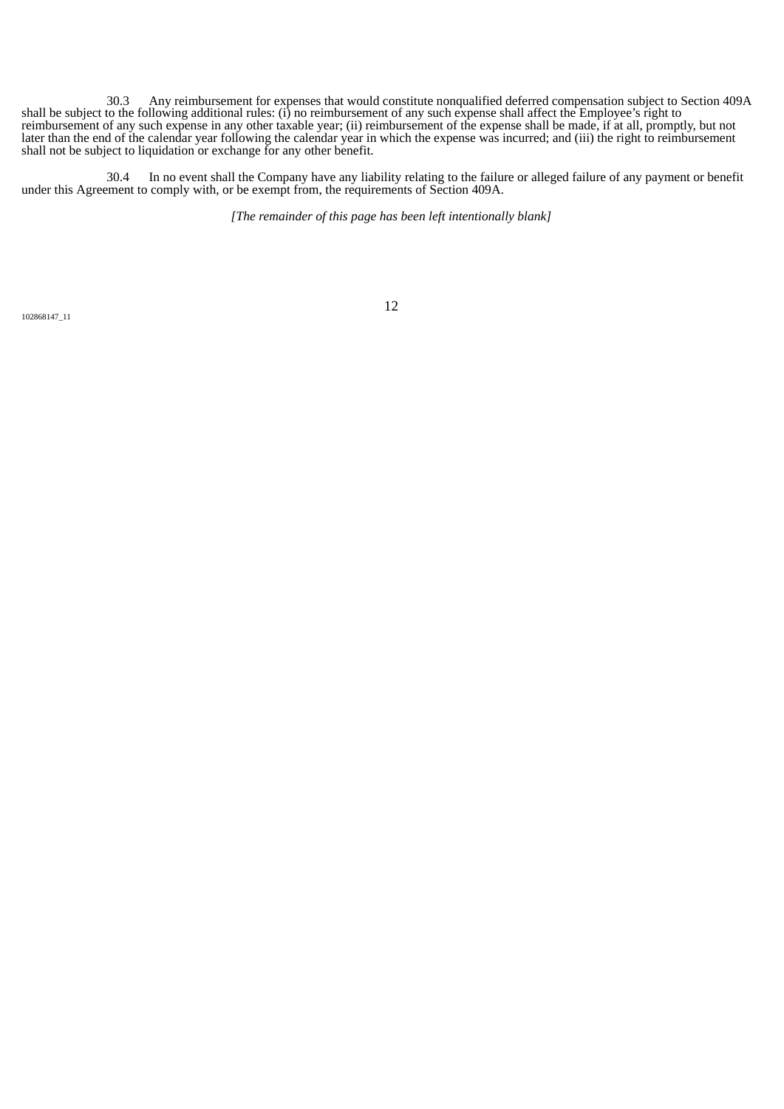30.3 Any reimbursement for expenses that would constitute nonqualified deferred compensation subject to Section 409A shall be subject to the following additional rules: (i) no reimbursement of any such expense shall affect the Employee's right to reimbursement of any such expense in any other taxable year; (ii) reimbursement of the expense shall be made, if at all, promptly, but not later than the end of the calendar year following the calendar year in which the expense was incurred; and (iii) the right to reimbursement shall not be subject to liquidation or exchange for any other benefit.

30.4 In no event shall the Company have any liability relating to the failure or alleged failure of any payment or benefit under this Agreement to comply with, or be exempt from, the requirements of Section 409A.

*[The remainder of this page has been left intentionally blank]*

102868147\_11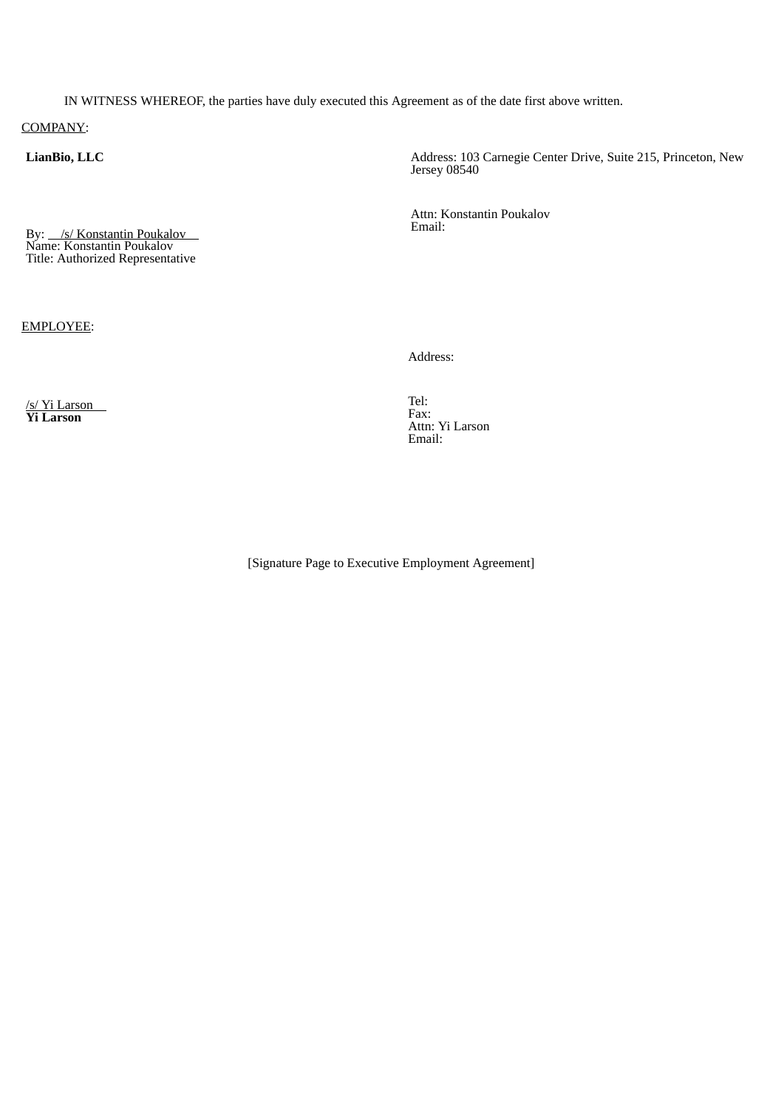IN WITNESS WHEREOF, the parties have duly executed this Agreement as of the date first above written.

COMPANY:

**LianBio, LLC**

By: /s/ Konstantin Poukalov Name: Konstantin Poukalov Title: Authorized Representative

EMPLOYEE:

Address: 103 Carnegie Center Drive, Suite 215, Princeton, New Jersey 08540

Attn: Konstantin Poukalov Email:

Address:

/s/ Yi Larson **Yi Larson**

Tel: Fax: Attn: Yi Larson Email:

[Signature Page to Executive Employment Agreement]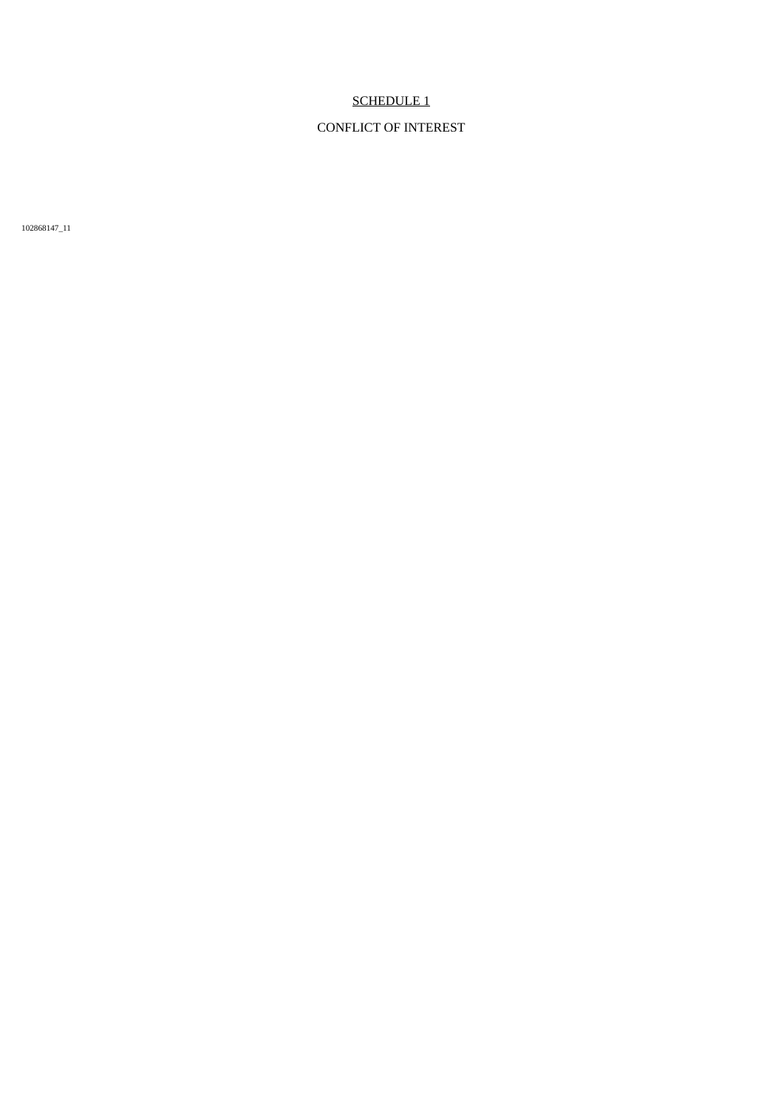# SCHEDULE 1

# CONFLICT OF INTEREST

102868147\_11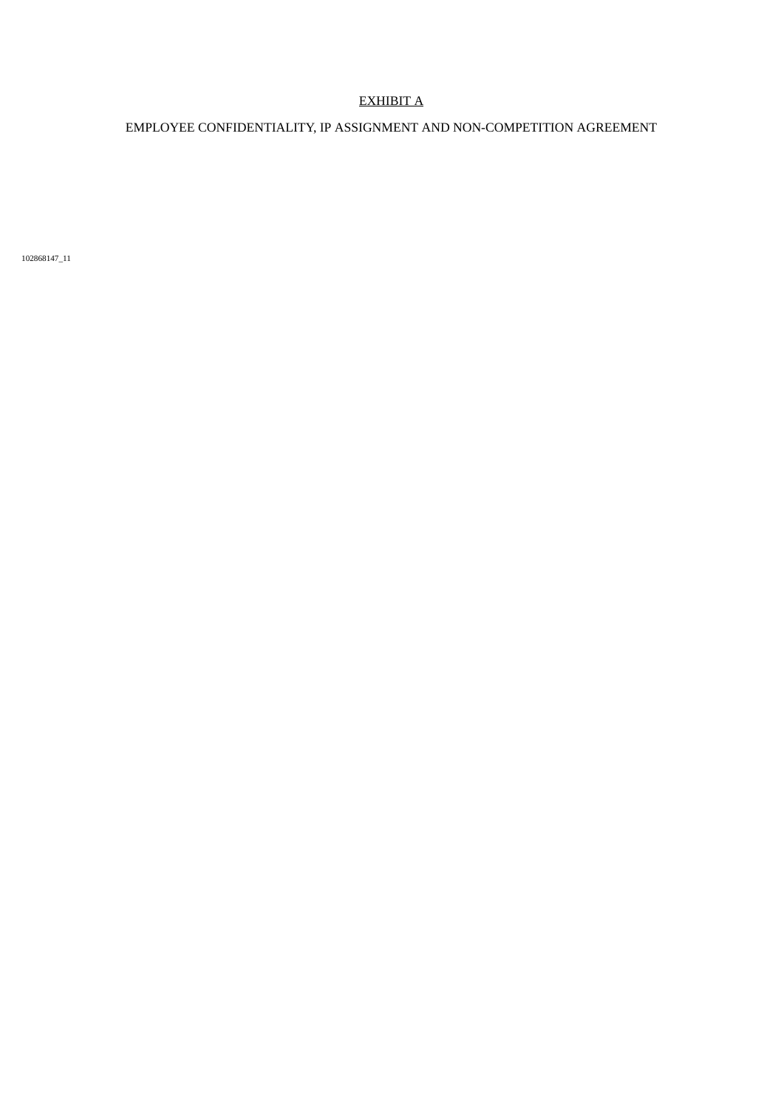# EXHIBIT A

# EMPLOYEE CONFIDENTIALITY, IP ASSIGNMENT AND NON-COMPETITION AGREEMENT

102868147\_11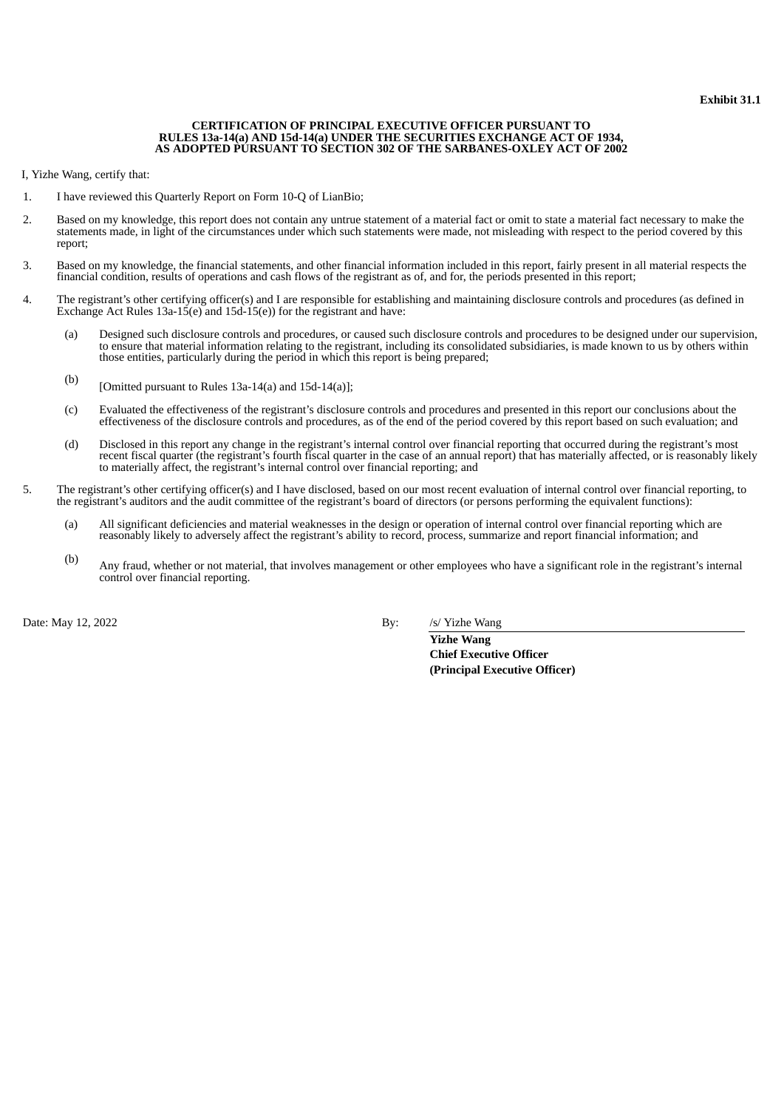#### **CERTIFICATION OF PRINCIPAL EXECUTIVE OFFICER PURSUANT TO RULES 13a-14(a) AND 15d-14(a) UNDER THE SECURITIES EXCHANGE ACT OF 1934, AS ADOPTED PURSUANT TO SECTION 302 OF THE SARBANES-OXLEY ACT OF 2002**

<span id="page-48-0"></span>I, Yizhe Wang, certify that:

- 1. I have reviewed this Quarterly Report on Form 10-Q of LianBio;
- 2. Based on my knowledge, this report does not contain any untrue statement of a material fact or omit to state a material fact necessary to make the statements made, in light of the circumstances under which such statements were made, not misleading with respect to the period covered by this report;
- 3. Based on my knowledge, the financial statements, and other financial information included in this report, fairly present in all material respects the financial condition, results of operations and cash flows of the registrant as of, and for, the periods presented in this report;
- 4. The registrant's other certifying officer(s) and I are responsible for establishing and maintaining disclosure controls and procedures (as defined in Exchange Act Rules 13a-15(e) and 15d-15(e)) for the registrant and have:
	- (a) Designed such disclosure controls and procedures, or caused such disclosure controls and procedures to be designed under our supervision, to ensure that material information relating to the registrant, including its consolidated subsidiaries, is made known to us by others within those entities, particularly during the period in which this report is being prepared;
	- (b) [Omitted pursuant to Rules 13a-14(a) and 15d-14(a)];
	- (c) Evaluated the effectiveness of the registrant's disclosure controls and procedures and presented in this report our conclusions about the effectiveness of the disclosure controls and procedures, as of the end of the period covered by this report based on such evaluation; and
	- (d) Disclosed in this report any change in the registrant's internal control over financial reporting that occurred during the registrant's most recent fiscal quarter (the registrant's fourth fiscal quarter in the case of an annual report) that has materially affected, or is reasonably likely to materially affect, the registrant's internal control over financial reporting; and
- 5. The registrant's other certifying officer(s) and I have disclosed, based on our most recent evaluation of internal control over financial reporting, to the registrant's auditors and the audit committee of the registrant's board of directors (or persons performing the equivalent functions):
	- (a) All significant deficiencies and material weaknesses in the design or operation of internal control over financial reporting which are reasonably likely to adversely affect the registrant's ability to record, process, summarize and report financial information; and
	- (b) Any fraud, whether or not material, that involves management or other employees who have <sup>a</sup> significant role in the registrant's internal control over financial reporting.

Date: May 12, 2022 By: /s/ Yizhe Wang

**Yizhe Wang**

**Chief Executive Officer (Principal Executive Officer)**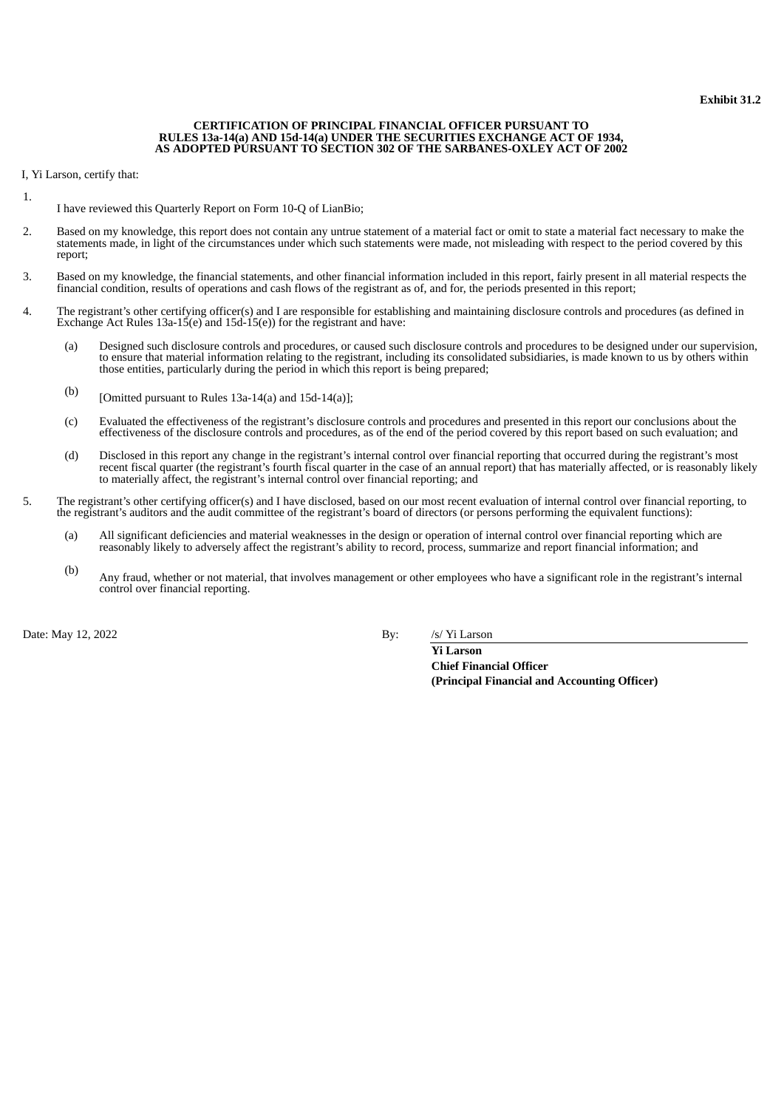#### **CERTIFICATION OF PRINCIPAL FINANCIAL OFFICER PURSUANT TO RULES 13a-14(a) AND 15d-14(a) UNDER THE SECURITIES EXCHANGE ACT OF 1934, AS ADOPTED PURSUANT TO SECTION 302 OF THE SARBANES-OXLEY ACT OF 2002**

<span id="page-49-0"></span>I, Yi Larson, certify that:

- 1.
- I have reviewed this Quarterly Report on Form 10-Q of LianBio;
- 2. Based on my knowledge, this report does not contain any untrue statement of a material fact or omit to state a material fact necessary to make the statements made, in light of the circumstances under which such statements were made, not misleading with respect to the period covered by this report;
- 3. Based on my knowledge, the financial statements, and other financial information included in this report, fairly present in all material respects the financial condition, results of operations and cash flows of the registrant as of, and for, the periods presented in this report;
- 4. The registrant's other certifying officer(s) and I are responsible for establishing and maintaining disclosure controls and procedures (as defined in Exchange Act Rules 13a-15(e) and 15d-15(e)) for the registrant and have:
	- (a) Designed such disclosure controls and procedures, or caused such disclosure controls and procedures to be designed under our supervision, to ensure that material information relating to the registrant, including its consolidated subsidiaries, is made known to us by others within those entities, particularly during the period in which this report is being prepared;
	- (b) [Omitted pursuant to Rules 13a-14(a) and 15d-14(a)];
	- (c) Evaluated the effectiveness of the registrant's disclosure controls and procedures and presented in this report our conclusions about the effectiveness of the disclosure controls and procedures, as of the end of the period covered by this report based on such evaluation; and
	- (d) Disclosed in this report any change in the registrant's internal control over financial reporting that occurred during the registrant's most recent fiscal quarter (the registrant's fourth fiscal quarter in the case of an annual report) that has materially affected, or is reasonably likely to materially affect, the registrant's internal control over financial reporting; and
- 5. The registrant's other certifying officer(s) and I have disclosed, based on our most recent evaluation of internal control over financial reporting, to the registrant's auditors and the audit committee of the registrant's board of directors (or persons performing the equivalent functions):
	- (a) All significant deficiencies and material weaknesses in the design or operation of internal control over financial reporting which are reasonably likely to adversely affect the registrant's ability to record, process, summarize and report financial information; and
	- (b) Any fraud, whether or not material, that involves management or other employees who have <sup>a</sup> significant role in the registrant's internal control over financial reporting.

Date: May 12, 2022 By: /s/ Yi Larson

**Yi Larson Chief Financial Officer (Principal Financial and Accounting Officer)**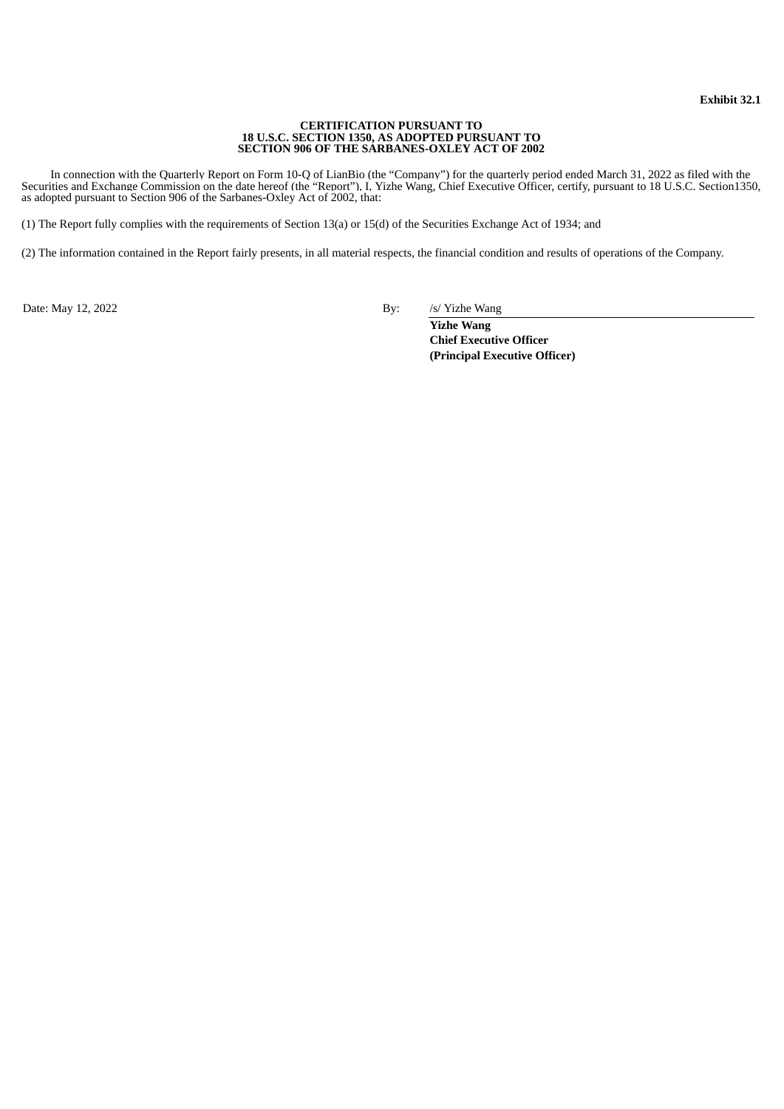#### **CERTIFICATION PURSUANT TO 18 U.S.C. SECTION 1350, AS ADOPTED PURSUANT TO SECTION 906 OF THE SARBANES-OXLEY ACT OF 2002**

<span id="page-50-0"></span>In connection with the Quarterly Report on Form 10-Q of LianBio (the "Company") for the quarterly period ended March 31, 2022 as filed with the Securities and Exchange Commission on the date hereof (the "Report"), I, Yizhe Wang, Chief Executive Officer, certify, pursuant to 18 U.S.C. Section1350, as adopted pursuant to Section 906 of the Sarbanes-Oxley Act of 2002, that:

(1) The Report fully complies with the requirements of Section 13(a) or 15(d) of the Securities Exchange Act of 1934; and

(2) The information contained in the Report fairly presents, in all material respects, the financial condition and results of operations of the Company.

Date: May 12, 2022 By: /s/ Yizhe Wang

**Yizhe Wang Chief Executive Officer (Principal Executive Officer)**